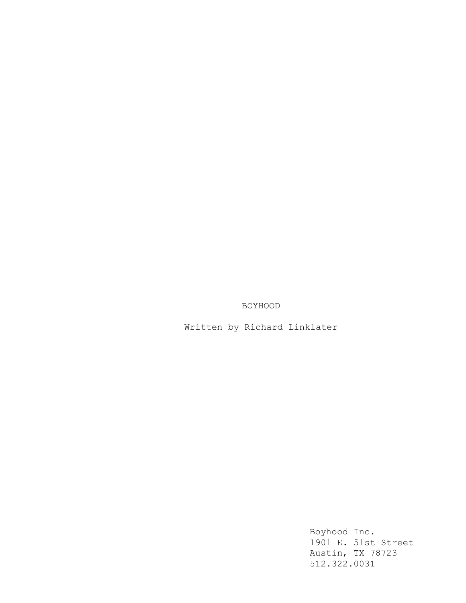BOYHOOD

Written by Richard Linklater

Boyhood Inc. 1901 E. 51st Street Austin, TX 78723 512.322.0031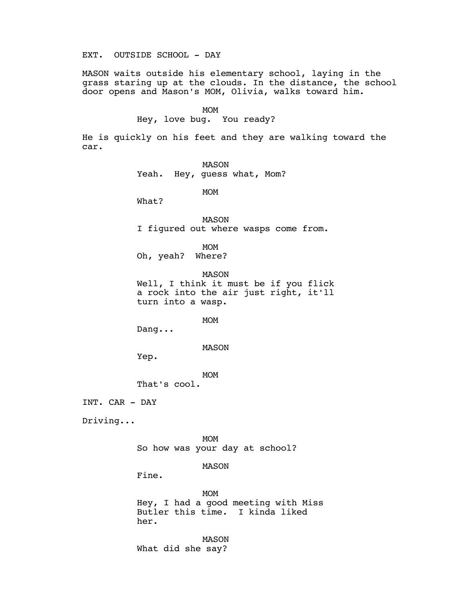# EXT. OUTSIDE SCHOOL - DAY

MASON waits outside his elementary school, laying in the grass staring up at the clouds. In the distance, the school door opens and Mason's MOM, Olivia, walks toward him.

#### MOM

## Hey, love bug. You ready?

He is quickly on his feet and they are walking toward the car.

> MASON Yeah. Hey, guess what, Mom?

> > MOM

What?

MASON I figured out where wasps come from.

MOM

Oh, yeah? Where?

MASON

Well, I think it must be if you flick a rock into the air just right, it'll turn into a wasp.

MOM

Dang...

MASON

Yep.

MOM

That's cool.

INT. CAR - DAY

Driving...

MOM

So how was your day at school?

MASON

Fine.

MOM Hey, I had a good meeting with Miss Butler this time. I kinda liked her.

MASON What did she say?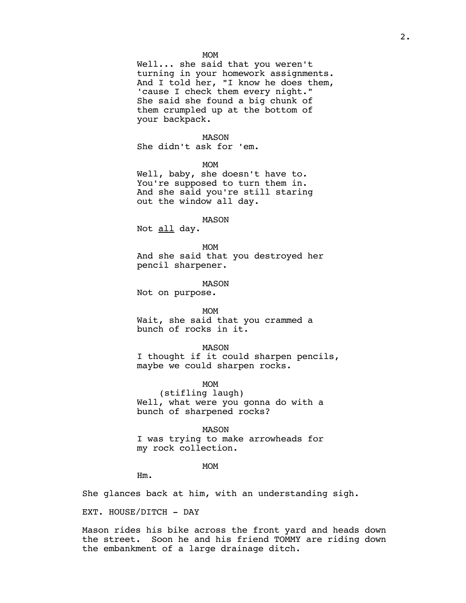Well... she said that you weren't turning in your homework assignments. And I told her, "I know he does them, 'cause I check them every night." She said she found a big chunk of them crumpled up at the bottom of your backpack.

## MASON

She didn't ask for 'em.

MOM

Well, baby, she doesn't have to. You're supposed to turn them in. And she said you're still staring out the window all day.

#### MASON

Not all day.

MOM And she said that you destroyed her pencil sharpener.

MASON

Not on purpose.

#### MOM

Wait, she said that you crammed a bunch of rocks in it.

#### MASON

I thought if it could sharpen pencils, maybe we could sharpen rocks.

MOM

(stifling laugh) Well, what were you gonna do with a bunch of sharpened rocks?

#### MASON

I was trying to make arrowheads for my rock collection.

#### MOM

Hm.

She glances back at him, with an understanding sigh.

EXT. HOUSE/DITCH - DAY

Mason rides his bike across the front yard and heads down the street. Soon he and his friend TOMMY are riding down the embankment of a large drainage ditch.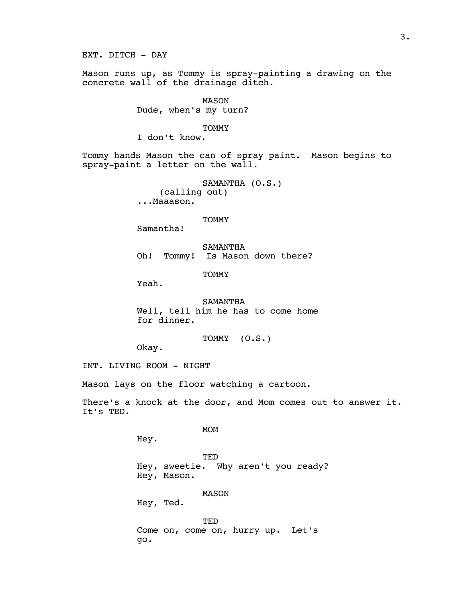EXT. DITCH - DAY

Mason runs up, as Tommy is spray-painting a drawing on the concrete wall of the drainage ditch.

> MASON Dude, when's my turn?

#### TOMMY

I don't know.

Tommy hands Mason the can of spray paint. Mason begins to spray-paint a letter on the wall.

> SAMANTHA (O.S.) (calling out) ...Maaason.

#### **TOMMY**

Samantha!

SAMANTHA Oh! Tommy! Is Mason down there?

**TOMMY** 

Yeah.

SAMANTHA Well, tell him he has to come home for dinner.

TOMMY (O.S.)

Okay.

INT. LIVING ROOM - NIGHT

Mason lays on the floor watching a cartoon.

There's a knock at the door, and Mom comes out to answer it. It's TED.

MOM

Hey.

**TED** Hey, sweetie. Why aren't you ready? Hey, Mason.

MASON

Hey, Ted.

**TED** Come on, come on, hurry up. Let's go.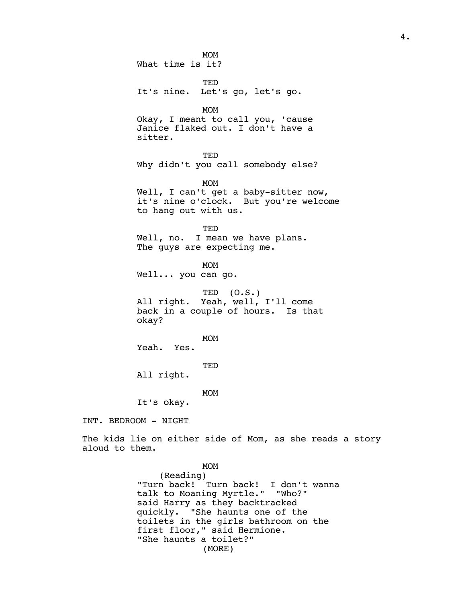MOM What time is it? TED It's nine. Let's go, let's go. MOM Okay, I meant to call you, 'cause Janice flaked out. I don't have a sitter. **TED** Why didn't you call somebody else? MOM Well, I can't get a baby-sitter now, it's nine o'clock. But you're welcome to hang out with us. TED Well, no. I mean we have plans. The guys are expecting me. MOM Well... you can go. TED (O.S.) All right. Yeah, well, I'll come back in a couple of hours. Is that okay? MOM Yeah. Yes. TED All right. MOM It's okay. INT. BEDROOM - NIGHT The kids lie on either side of Mom, as she reads a story aloud to them.

> MOM (Reading) "Turn back! Turn back! I don't wanna talk to Moaning Myrtle." "Who?" said Harry as they backtracked quickly. "She haunts one of the toilets in the girls bathroom on the first floor," said Hermione. "She haunts a toilet?" (MORE)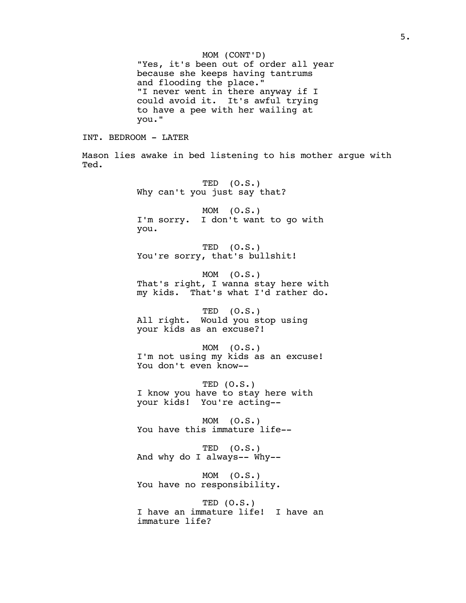MOM (CONT'D) "Yes, it's been out of order all year because she keeps having tantrums and flooding the place." "I never went in there anyway if I could avoid it. It's awful trying to have a pee with her wailing at you."

INT. BEDROOM - LATER

Mason lies awake in bed listening to his mother argue with Ted.

> TED (O.S.) Why can't you just say that?  $MOM$   $(0.S.)$ I'm sorry. I don't want to go with you. TED (O.S.) You're sorry, that's bullshit! MOM (O.S.) That's right, I wanna stay here with my kids. That's what I'd rather do. TED (O.S.) All right. Would you stop using your kids as an excuse?!  $MOM$   $(0.S.)$ I'm not using my kids as an excuse! You don't even know-- TED  $(0.S.)$ I know you have to stay here with your kids! You're acting--  $MOM$   $(0.S.)$ You have this immature life-- TED (O.S.)

And why do I always-- Why--

 $MOM$   $(0.S.)$ You have no responsibility.

TED (O.S.) I have an immature life! I have an immature life?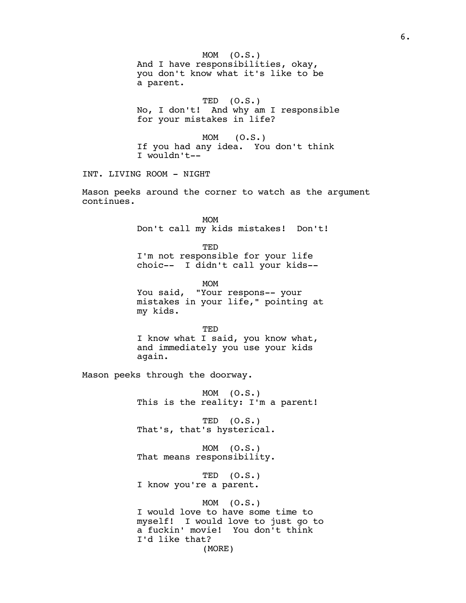$MOM$   $(0.S.)$ And I have responsibilities, okay, you don't know what it's like to be a parent.

TED (O.S.) No, I don't! And why am I responsible for your mistakes in life?

 $MOM$   $(0.S.)$ If you had any idea. You don't think I wouldn't--

INT. LIVING ROOM - NIGHT

Mason peeks around the corner to watch as the argument continues.

> MOM Don't call my kids mistakes! Don't!

**TED** I'm not responsible for your life choic-- I didn't call your kids--

MOM You said, "Your respons-- your mistakes in your life," pointing at my kids.

TED I know what I said, you know what, and immediately you use your kids again.

Mason peeks through the doorway.

MOM (O.S.) This is the reality: I'm a parent!

TED (O.S.) That's, that's hysterical.

 $MOM$   $(0.S.)$ That means responsibility.

TED (O.S.) I know you're a parent.

# MOM (O.S.)

I would love to have some time to myself! I would love to just go to a fuckin' movie! You don't think I'd like that? (MORE)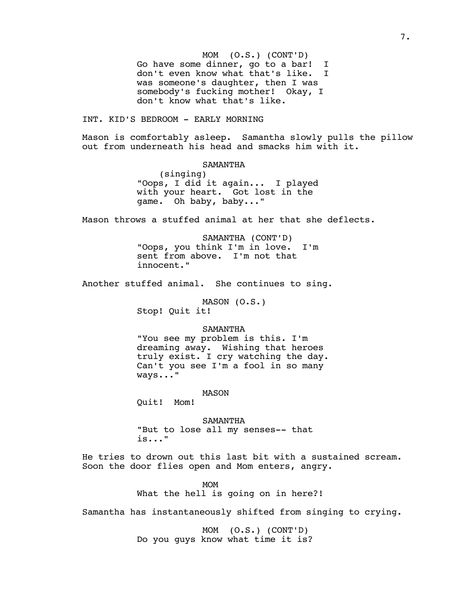MOM (O.S.) (CONT'D) Go have some dinner, go to a bar! I<br>don't even know what that's like. I don't even know what that's like. was someone's daughter, then I was somebody's fucking mother! Okay, I don't know what that's like.

INT. KID'S BEDROOM - EARLY MORNING

Mason is comfortably asleep. Samantha slowly pulls the pillow out from underneath his head and smacks him with it.

SAMANTHA

(singing) "Oops, I did it again... I played with your heart. Got lost in the game. Oh baby, baby..."

Mason throws a stuffed animal at her that she deflects.

SAMANTHA (CONT'D) "Oops, you think I'm in love. I'm sent from above. I'm not that innocent."

Another stuffed animal. She continues to sing.

MASON (O.S.) Stop! Quit it!

#### SAMANTHA

"You see my problem is this. I'm dreaming away. Wishing that heroes truly exist. I cry watching the day. Can't you see I'm a fool in so many ways..."

#### MASON

Quit! Mom!

SAMANTHA

"But to lose all my senses-- that is..."

He tries to drown out this last bit with a sustained scream. Soon the door flies open and Mom enters, angry.

MOM

What the hell is going on in here?!

Samantha has instantaneously shifted from singing to crying.

MOM (O.S.) (CONT'D) Do you guys know what time it is?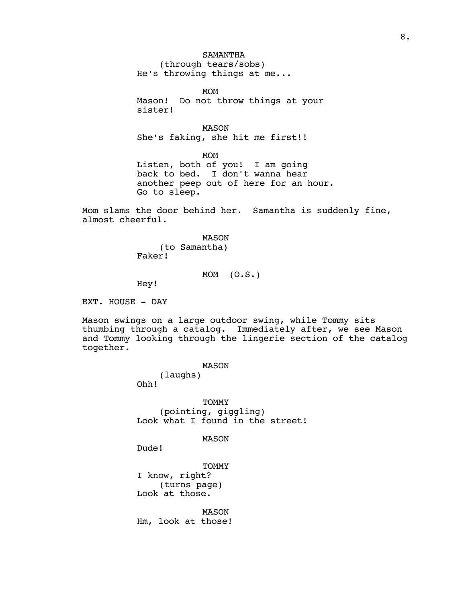SAMANTHA (through tears/sobs) He's throwing things at me...

MOM Mason! Do not throw things at your sister!

MASON She's faking, she hit me first!!

MOM Listen, both of you! I am going back to bed. I don't wanna hear another peep out of here for an hour. Go to sleep.

Mom slams the door behind her. Samantha is suddenly fine, almost cheerful.

> MASON (to Samantha) Faker!

> > MOM (O.S.)

Hey!

EXT. HOUSE - DAY

Mason swings on a large outdoor swing, while Tommy sits thumbing through a catalog. Immediately after, we see Mason and Tommy looking through the lingerie section of the catalog together.

> MASON (laughs) Ohh!

TOMMY (pointing, giggling) Look what I found in the street!

MASON

Dude!

**TOMMY** I know, right? (turns page) Look at those.

MASON Hm, look at those!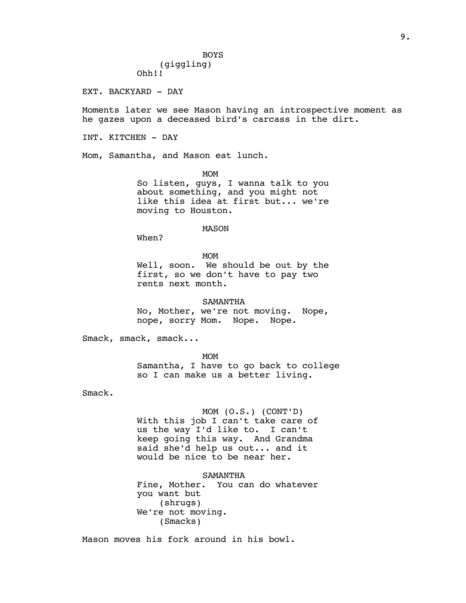BOYS (giggling) Ohh!!

EXT. BACKYARD - DAY

Moments later we see Mason having an introspective moment as he gazes upon a deceased bird's carcass in the dirt.

INT. KITCHEN - DAY

Mom, Samantha, and Mason eat lunch.

MOM

So listen, guys, I wanna talk to you about something, and you might not like this idea at first but... we're moving to Houston.

MASON

When?

MOM Well, soon. We should be out by the first, so we don't have to pay two rents next month.

SAMANTHA No, Mother, we're not moving. Nope, nope, sorry Mom. Nope. Nope.

Smack, smack, smack...

MOM Samantha, I have to go back to college so I can make us a better living.

Smack.

MOM (O.S.) (CONT'D) With this job I can't take care of us the way I'd like to. I can't keep going this way. And Grandma said she'd help us out... and it would be nice to be near her.

SAMANTHA Fine, Mother. You can do whatever you want but (shrugs) We're not moving. (Smacks)

Mason moves his fork around in his bowl.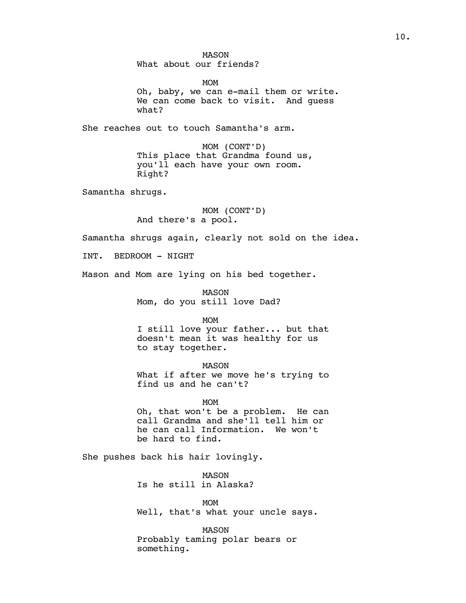MASON What about our friends? MOM Oh, baby, we can e-mail them or write. We can come back to visit. And quess what? She reaches out to touch Samantha's arm. MOM (CONT'D) This place that Grandma found us, you'll each have your own room. Right? Samantha shrugs. MOM (CONT'D) And there's a pool. Samantha shrugs again, clearly not sold on the idea. INT. BEDROOM - NIGHT Mason and Mom are lying on his bed together. MASON Mom, do you still love Dad? MOM I still love your father... but that doesn't mean it was healthy for us to stay together. MASON What if after we move he's trying to find us and he can't? MOM Oh, that won't be a problem. He can call Grandma and she'll tell him or he can call Information. We won't be hard to find. She pushes back his hair lovingly. MASON Is he still in Alaska? MOM Well, that's what your uncle says.

MASON Probably taming polar bears or something.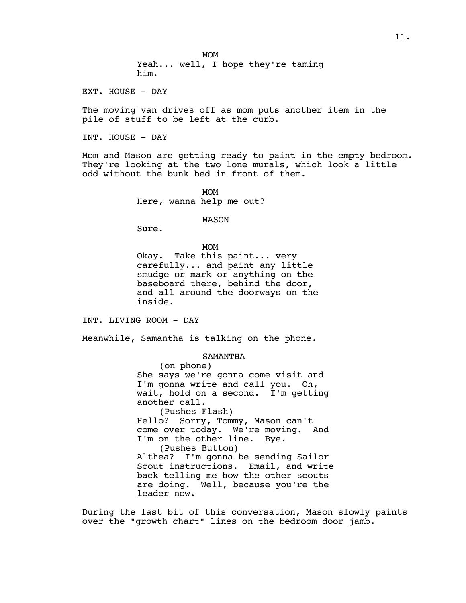MOM Yeah... well, I hope they're taming him.

EXT. HOUSE - DAY

The moving van drives off as mom puts another item in the pile of stuff to be left at the curb.

INT. HOUSE - DAY

Mom and Mason are getting ready to paint in the empty bedroom. They're looking at the two lone murals, which look a little odd without the bunk bed in front of them.

> MOM Here, wanna help me out?

> > MASON

Sure.

MOM

Okay. Take this paint... very carefully... and paint any little smudge or mark or anything on the baseboard there, behind the door, and all around the doorways on the inside.

INT. LIVING ROOM - DAY

Meanwhile, Samantha is talking on the phone.

SAMANTHA (on phone) She says we're gonna come visit and I'm gonna write and call you. Oh, wait, hold on a second. I'm getting another call. (Pushes Flash) Hello? Sorry, Tommy, Mason can't come over today. We're moving. And I'm on the other line. Bye. (Pushes Button) Althea? I'm gonna be sending Sailor Scout instructions. Email, and write back telling me how the other scouts are doing. Well, because you're the leader now.

During the last bit of this conversation, Mason slowly paints over the "growth chart" lines on the bedroom door jamb.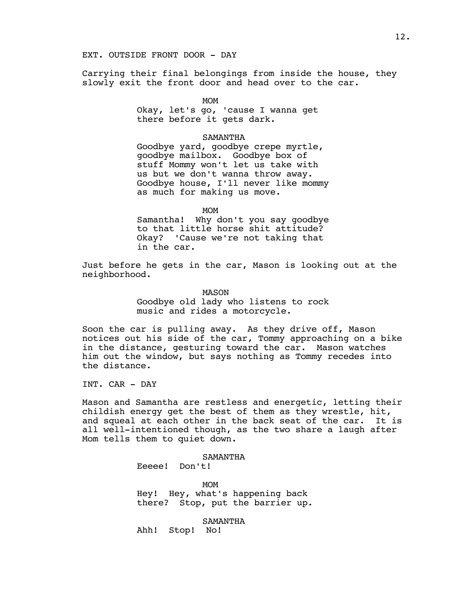# EXT. OUTSIDE FRONT DOOR - DAY

Carrying their final belongings from inside the house, they slowly exit the front door and head over to the car.

MOM

Okay, let's go, 'cause I wanna get there before it gets dark.

### SAMANTHA

Goodbye yard, goodbye crepe myrtle, goodbye mailbox. Goodbye box of stuff Mommy won't let us take with us but we don't wanna throw away. Goodbye house, I'll never like mommy as much for making us move.

MOM

Samantha! Why don't you say goodbye to that little horse shit attitude? Okay? 'Cause we're not taking that in the car.

Just before he gets in the car, Mason is looking out at the neighborhood.

# MASON Goodbye old lady who listens to rock music and rides a motorcycle.

Soon the car is pulling away. As they drive off, Mason notices out his side of the car, Tommy approaching on a bike in the distance, gesturing toward the car. Mason watches him out the window, but says nothing as Tommy recedes into the distance.

INT. CAR - DAY

Mason and Samantha are restless and energetic, letting their childish energy get the best of them as they wrestle, hit, and squeal at each other in the back seat of the car. It is all well-intentioned though, as the two share a laugh after Mom tells them to quiet down.

> SAMANTHA Eeeee! Don't! MOM Hey! Hey, what's happening back

there? Stop, put the barrier up.

SAMANTHA Ahh! Stop! No!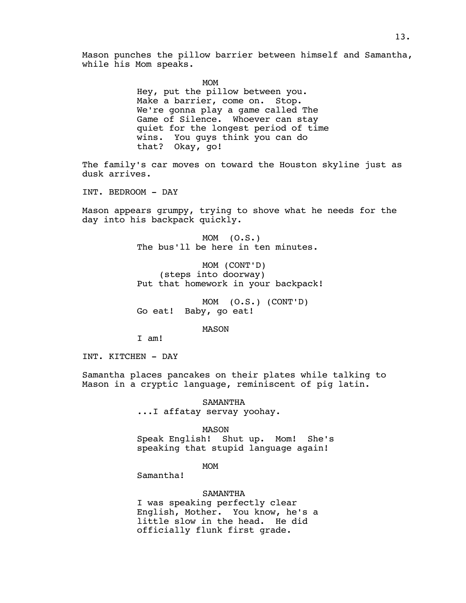Mason punches the pillow barrier between himself and Samantha, while his Mom speaks.

> MOM Hey, put the pillow between you. Make a barrier, come on. Stop. We're gonna play a game called The Game of Silence. Whoever can stay quiet for the longest period of time wins. You guys think you can do that? Okay, go!

The family's car moves on toward the Houston skyline just as dusk arrives.

INT. BEDROOM - DAY

Mason appears grumpy, trying to shove what he needs for the day into his backpack quickly.

> MOM (O.S.) The bus'll be here in ten minutes.

MOM (CONT'D) (steps into doorway) Put that homework in your backpack!

MOM (O.S.) (CONT'D) Go eat! Baby, go eat!

MASON

I am!

INT. KITCHEN - DAY

Samantha places pancakes on their plates while talking to Mason in a cryptic language, reminiscent of pig latin.

> SAMANTHA ...I affatay servay yoohay.

> > MASON

Speak English! Shut up. Mom! She's speaking that stupid language again!

MOM

Samantha!

# SAMANTHA

I was speaking perfectly clear English, Mother. You know, he's a little slow in the head. He did officially flunk first grade.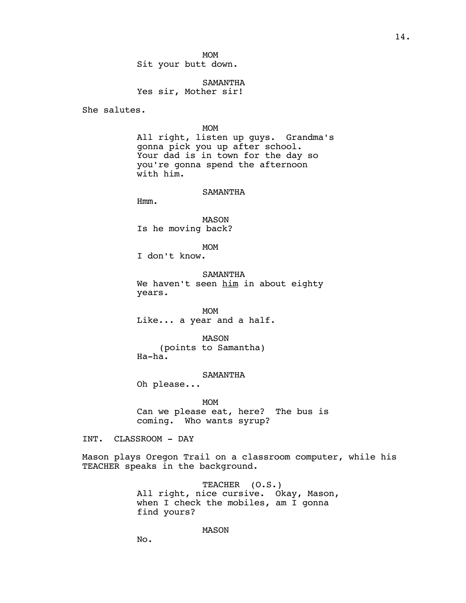Sit your butt down.

SAMANTHA Yes sir, Mother sir!

She salutes.

MOM

All right, listen up guys. Grandma's gonna pick you up after school. Your dad is in town for the day so you're gonna spend the afternoon with him.

## SAMANTHA

Hmm.

MASON Is he moving back?

MOM

I don't know.

SAMANTHA We haven't seen him in about eighty years.

MOM Like... a year and a half.

MASON (points to Samantha) Ha-ha.

#### SAMANTHA

Oh please...

MOM

Can we please eat, here? The bus is coming. Who wants syrup?

INT. CLASSROOM - DAY

Mason plays Oregon Trail on a classroom computer, while his TEACHER speaks in the background.

> TEACHER (O.S.) All right, nice cursive. Okay, Mason, when I check the mobiles, am I gonna find yours?

> > MASON

No.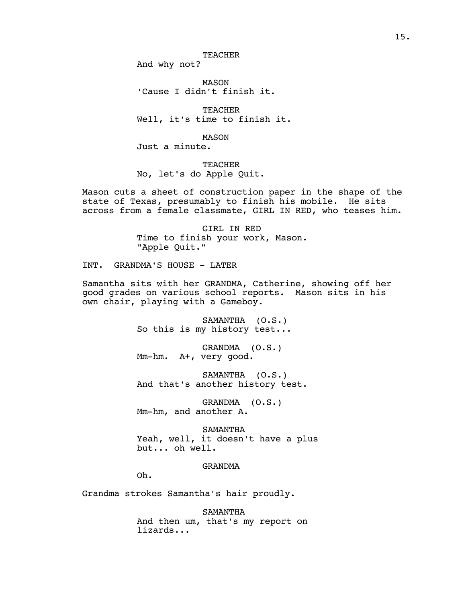TEACHER

And why not?

MASON 'Cause I didn't finish it.

TEACHER Well, it's time to finish it.

MASON Just a minute.

TEACHER No, let's do Apple Quit.

Mason cuts a sheet of construction paper in the shape of the state of Texas, presumably to finish his mobile. He sits across from a female classmate, GIRL IN RED, who teases him.

> GIRL IN RED Time to finish your work, Mason. "Apple Quit."

INT. GRANDMA'S HOUSE - LATER

Samantha sits with her GRANDMA, Catherine, showing off her good grades on various school reports. Mason sits in his own chair, playing with a Gameboy.

> SAMANTHA (O.S.) So this is my history test...

GRANDMA (O.S.) Mm-hm. A+, very good.

SAMANTHA (O.S.) And that's another history test.

GRANDMA (O.S.) Mm-hm, and another A.

SAMANTHA Yeah, well, it doesn't have a plus but... oh well.

GRANDMA

Oh.

Grandma strokes Samantha's hair proudly.

SAMANTHA And then um, that's my report on lizards...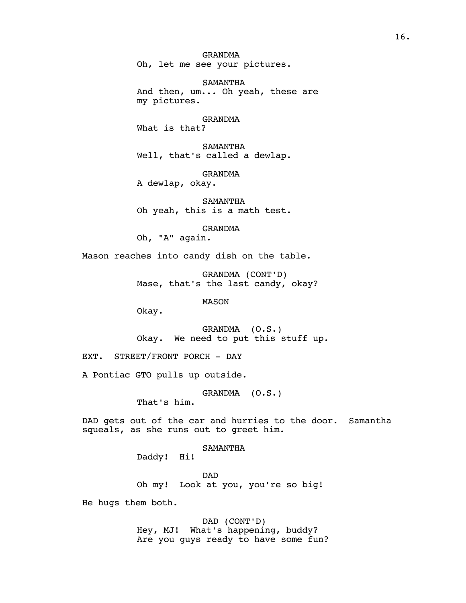GRANDMA Oh, let me see your pictures.

SAMANTHA And then, um... Oh yeah, these are my pictures.

#### GRANDMA

What is that?

SAMANTHA Well, that's called a dewlap.

GRANDMA

A dewlap, okay.

SAMANTHA Oh yeah, this is a math test.

GRANDMA

Oh, "A" again.

Mason reaches into candy dish on the table.

GRANDMA (CONT'D) Mase, that's the last candy, okay?

MASON

Okay.

GRANDMA (O.S.) Okay. We need to put this stuff up.

EXT. STREET/FRONT PORCH - DAY

A Pontiac GTO pulls up outside.

GRANDMA (O.S.)

That's him.

DAD gets out of the car and hurries to the door. Samantha squeals, as she runs out to greet him.

SAMANTHA

Daddy! Hi!

DAD Oh my! Look at you, you're so big!

He hugs them both.

DAD (CONT'D) Hey, MJ! What's happening, buddy? Are you guys ready to have some fun?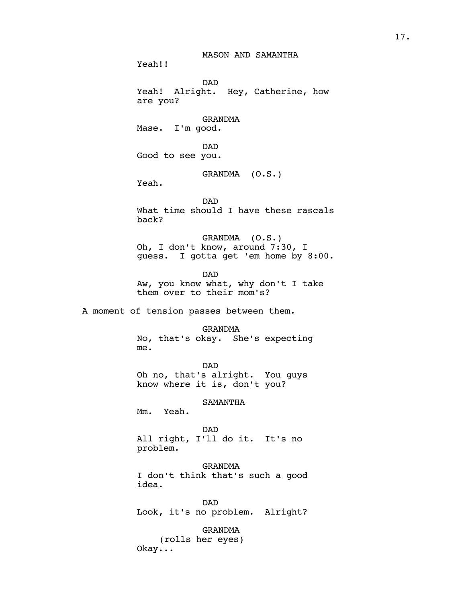MASON AND SAMANTHA Yeah!! DAD Yeah! Alright. Hey, Catherine, how are you? GRANDMA Mase. I'm good. DAD Good to see you. GRANDMA (O.S.) Yeah. DAD What time should I have these rascals back? GRANDMA (O.S.) Oh, I don't know, around 7:30, I guess. I gotta get 'em home by 8:00. DAD Aw, you know what, why don't I take them over to their mom's? A moment of tension passes between them. GRANDMA No, that's okay. She's expecting me. DAD Oh no, that's alright. You guys know where it is, don't you? SAMANTHA Mm. Yeah. DAD All right, I'll do it. It's no problem. GRANDMA I don't think that's such a good idea. DAD Look, it's no problem. Alright? GRANDMA (rolls her eyes)

Okay...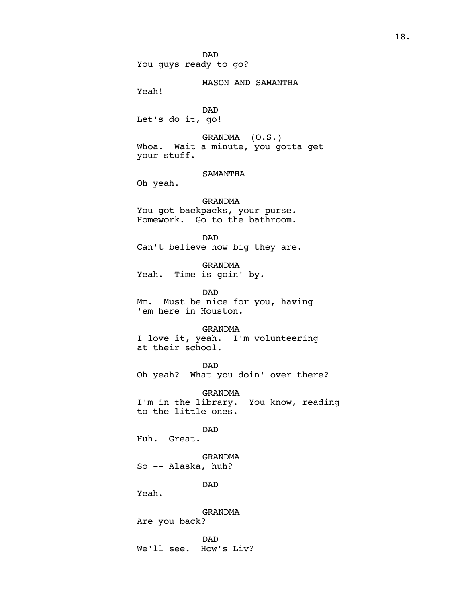DAD You guys ready to go?

MASON AND SAMANTHA

Yeah!

DAD Let's do it, go!

GRANDMA (O.S.) Whoa. Wait a minute, you gotta get your stuff.

# SAMANTHA

Oh yeah.

# GRANDMA

You got backpacks, your purse. Homework. Go to the bathroom.

DAD

Can't believe how big they are.

GRANDMA

Yeah. Time is goin' by.

DAD Mm. Must be nice for you, having 'em here in Houston.

# GRANDMA

I love it, yeah. I'm volunteering at their school.

DAD Oh yeah? What you doin' over there?

GRANDMA I'm in the library. You know, reading to the little ones.

DAD

Huh. Great.

GRANDMA So -- Alaska, huh?

DAD

Yeah.

GRANDMA Are you back?

DAD We'll see. How's Liv?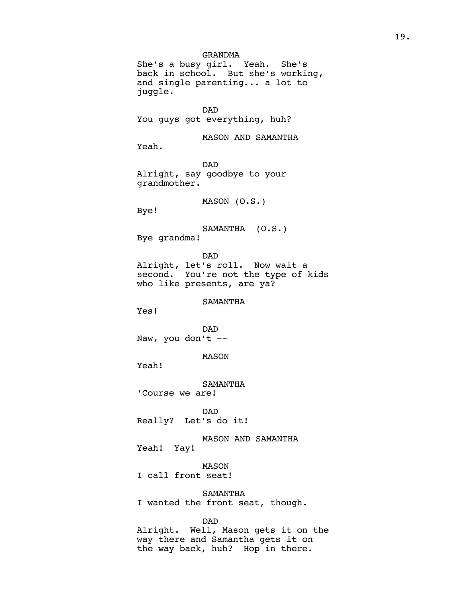GRANDMA She's a busy girl. Yeah. She's back in school. But she's working, and single parenting... a lot to juggle. DAD You guys got everything, huh? MASON AND SAMANTHA Yeah. DAD Alright, say goodbye to your grandmother. MASON (O.S.) Bye! SAMANTHA (O.S.) Bye grandma! DAD Alright, let's roll. Now wait a second. You're not the type of kids who like presents, are ya? SAMANTHA Yes! DAD Naw, you don't --MASON Yeah! SAMANTHA 'Course we are! DAD Really? Let's do it! MASON AND SAMANTHA Yeah! Yay! MASON I call front seat! SAMANTHA I wanted the front seat, though. DAD

Alright. Well, Mason gets it on the way there and Samantha gets it on the way back, huh? Hop in there.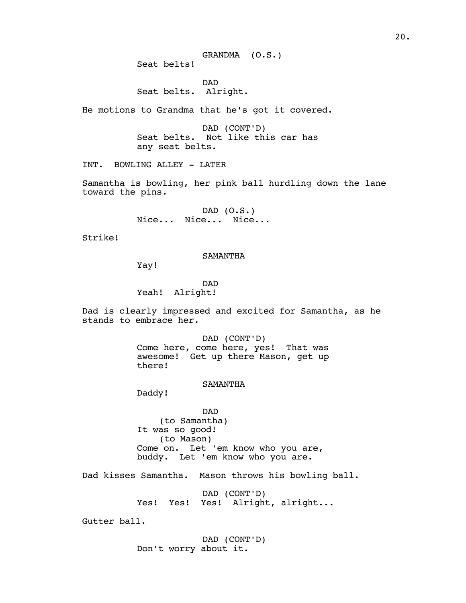# DAD Seat belts. Alright.

He motions to Grandma that he's got it covered.

DAD (CONT'D) Seat belts. Not like this car has any seat belts.

INT. BOWLING ALLEY - LATER

Samantha is bowling, her pink ball hurdling down the lane toward the pins.

> DAD (O.S.) Nice... Nice... Nice...

Strike!

# SAMANTHA

Yay!

# DAD Yeah! Alright!

Dad is clearly impressed and excited for Samantha, as he stands to embrace her.

> DAD (CONT'D) Come here, come here, yes! That was awesome! Get up there Mason, get up there!

#### SAMANTHA

Daddy!

DAD (to Samantha) It was so good! (to Mason) Come on. Let 'em know who you are, buddy. Let 'em know who you are.

Dad kisses Samantha. Mason throws his bowling ball.

DAD (CONT'D) Yes! Yes! Yes! Alright, alright...

Gutter ball.

DAD (CONT'D) Don't worry about it.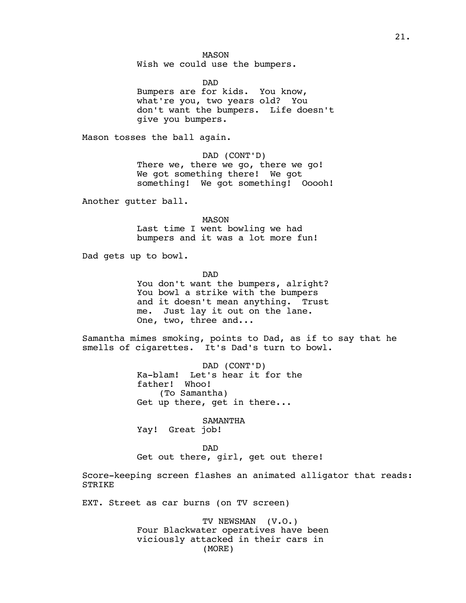MASON Wish we could use the bumpers.

DAD

Bumpers are for kids. You know, what're you, two years old? You don't want the bumpers. Life doesn't give you bumpers.

Mason tosses the ball again.

DAD (CONT'D) There we, there we go, there we go! We got something there! We got something! We got something! Ooooh!

Another gutter ball.

MASON Last time I went bowling we had bumpers and it was a lot more fun!

Dad gets up to bowl.

DAD

You don't want the bumpers, alright? You bowl a strike with the bumpers and it doesn't mean anything. Trust me. Just lay it out on the lane. One, two, three and...

Samantha mimes smoking, points to Dad, as if to say that he smells of cigarettes. It's Dad's turn to bowl.

> DAD (CONT'D) Ka-blam! Let's hear it for the father! Whoo! (To Samantha) Get up there, get in there...

SAMANTHA Yay! Great job!

DAD Get out there, girl, get out there!

Score-keeping screen flashes an animated alligator that reads: STRIKE

EXT. Street as car burns (on TV screen)

TV NEWSMAN (V.O.) Four Blackwater operatives have been viciously attacked in their cars in (MORE)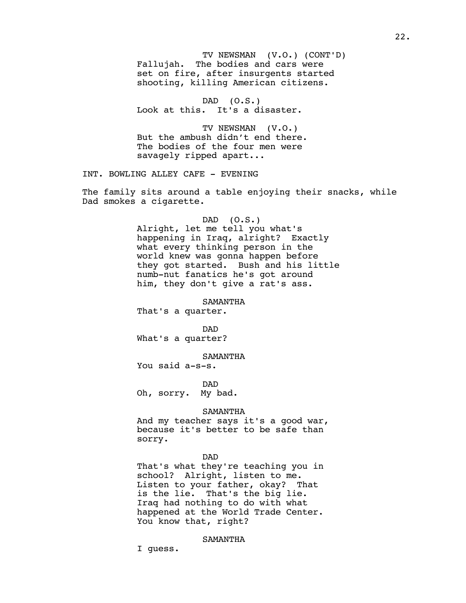TV NEWSMAN (V.O.) (CONT'D) Fallujah. The bodies and cars were set on fire, after insurgents started shooting, killing American citizens.

DAD (O.S.) Look at this. It's a disaster.

TV NEWSMAN (V.O.) But the ambush didn't end there. The bodies of the four men were savagely ripped apart...

INT. BOWLING ALLEY CAFE - EVENING

The family sits around a table enjoying their snacks, while Dad smokes a cigarette.

#### DAD (O.S.)

Alright, let me tell you what's happening in Iraq, alright? Exactly what every thinking person in the world knew was gonna happen before they got started. Bush and his little numb-nut fanatics he's got around him, they don't give a rat's ass.

SAMANTHA

That's a quarter.

DAD What's a quarter?

SAMANTHA

You said a-s-s.

DAD Oh, sorry. My bad.

#### SAMANTHA

And my teacher says it's a good war, because it's better to be safe than sorry.

## DAD

That's what they're teaching you in school? Alright, listen to me. Listen to your father, okay? That is the lie. That's the big lie. Iraq had nothing to do with what happened at the World Trade Center. You know that, right?

## SAMANTHA

I guess.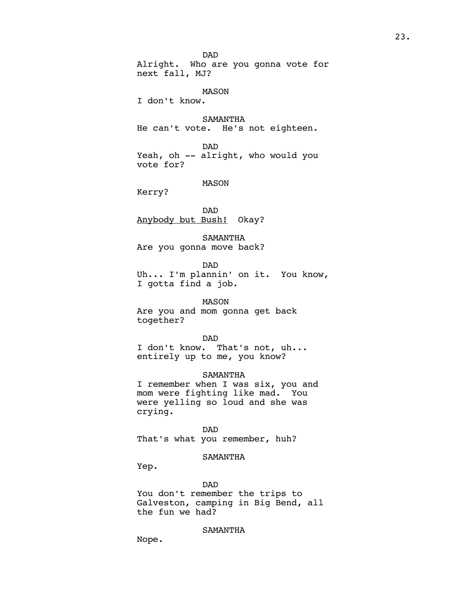DAD Alright. Who are you gonna vote for next fall, MJ?

## MASON

I don't know.

SAMANTHA He can't vote. He's not eighteen.

DAD Yeah, oh -- alright, who would you vote for?

MASON

Kerry?

DAD Anybody but Bush! Okay?

SAMANTHA Are you gonna move back?

DAD

Uh... I'm plannin' on it. You know, I gotta find a job.

MASON

Are you and mom gonna get back together?

DAD<br>T don't know. T That's not, uh... entirely up to me, you know?

SAMANTHA

I remember when I was six, you and mom were fighting like mad. You were yelling so loud and she was crying.

DAD That's what you remember, huh?

SAMANTHA

Yep.

DAD You don't remember the trips to Galveston, camping in Big Bend, all the fun we had?

SAMANTHA

Nope.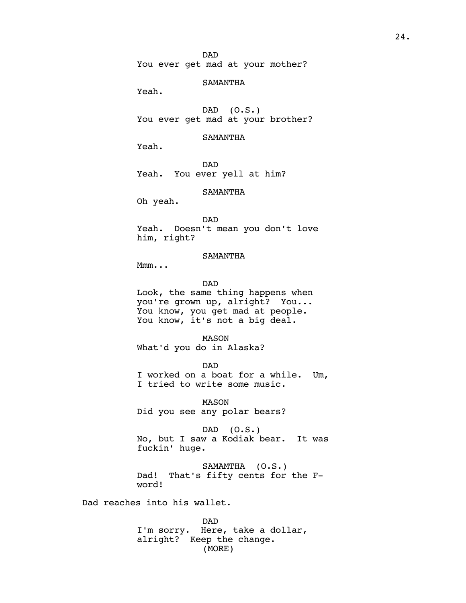DAD You ever get mad at your mother?

SAMANTHA

Yeah.

DAD (O.S.) You ever get mad at your brother?

SAMANTHA

Yeah.

DAD Yeah. You ever yell at him?

SAMANTHA

Oh yeah.

DAD Yeah. Doesn't mean you don't love him, right?

SAMANTHA

Mmm...

DAD

Look, the same thing happens when you're grown up, alright? You... You know, you get mad at people. You know, it's not a big deal.

MASON What'd you do in Alaska?

DAD I worked on a boat for a while. Um, I tried to write some music.

MASON Did you see any polar bears?

DAD (O.S.) No, but I saw a Kodiak bear. It was fuckin' huge.

SAMAMTHA (O.S.) Dad! That's fifty cents for the Fword!

Dad reaches into his wallet.

DAD I'm sorry. Here, take a dollar, alright? Keep the change. (MORE)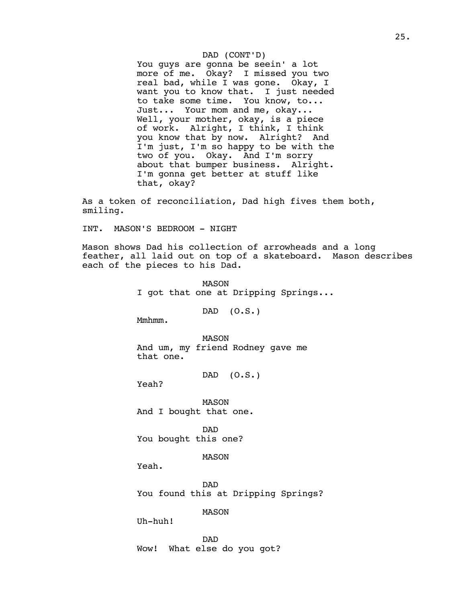DAD (CONT'D) You guys are gonna be seein' a lot more of me. Okay? I missed you two real bad, while I was gone. Okay, I want you to know that. I just needed to take some time. You know, to... Just... Your mom and me, okay... Well, your mother, okay, is a piece of work. Alright, I think, I think<br>you know that by now. Alright? And you know that by now. Alright? I'm just, I'm so happy to be with the two of you. Okay. And I'm sorry about that bumper business. Alright. I'm gonna get better at stuff like that, okay?

As a token of reconciliation, Dad high fives them both, smiling.

INT. MASON'S BEDROOM - NIGHT

Mason shows Dad his collection of arrowheads and a long feather, all laid out on top of a skateboard. Mason describes each of the pieces to his Dad.

> MASON I got that one at Dripping Springs...

> > DAD (O.S.)

Mmhmm.

MASON And um, my friend Rodney gave me that one.

DAD (O.S.)

Yeah?

MASON And I bought that one.

DAD You bought this one?

MASON

Yeah.

DAD You found this at Dripping Springs?

MASON

Uh-huh!

DAD Wow! What else do you got?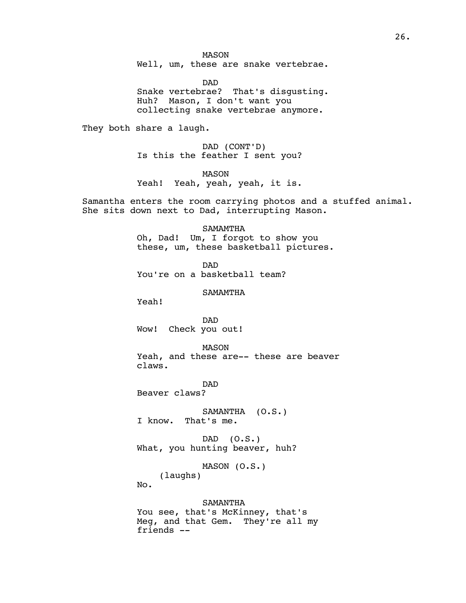MASON Well, um, these are snake vertebrae.

DAD Snake vertebrae? That's disgusting. Huh? Mason, I don't want you collecting snake vertebrae anymore.

They both share a laugh.

DAD (CONT'D) Is this the feather I sent you?

MASON Yeah! Yeah, yeah, yeah, it is.

Samantha enters the room carrying photos and a stuffed animal. She sits down next to Dad, interrupting Mason.

> SAMAMTHA Oh, Dad! Um, I forgot to show you these, um, these basketball pictures.

DAD You're on a basketball team?

SAMAMTHA

Yeah!

DAD Wow! Check you out!

MASON

Yeah, and these are-- these are beaver claws.

DAD

Beaver claws?

SAMANTHA (O.S.) I know. That's me.

DAD (O.S.) What, you hunting beaver, huh?

MASON (O.S.) (laughs)

No.

SAMANTHA You see, that's McKinney, that's Meg, and that Gem. They're all my friends --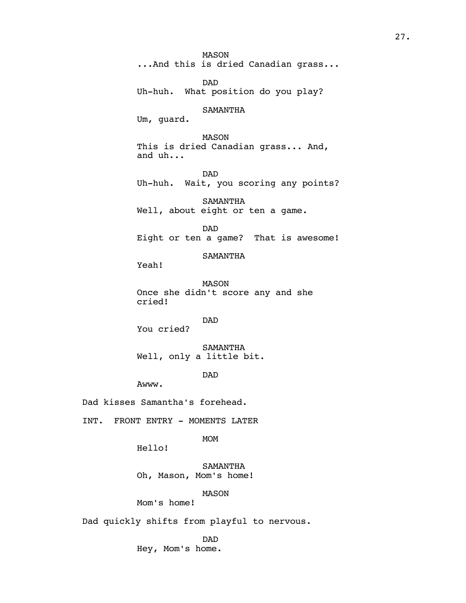MASON ...And this is dried Canadian grass...

DAD Uh-huh. What position do you play?

# SAMANTHA

Um, guard.

MASON

This is dried Canadian grass... And, and uh...

DAD

Uh-huh. Wait, you scoring any points?

SAMANTHA Well, about eight or ten a game.

DAD Eight or ten a game? That is awesome!

SAMANTHA

Yeah!

MASON Once she didn't score any and she cried!

# DAD

You cried?

SAMANTHA Well, only a little bit.

DAD

Awww.

Dad kisses Samantha's forehead.

INT. FRONT ENTRY - MOMENTS LATER

MOM

Hello!

SAMANTHA Oh, Mason, Mom's home!

MASON

Mom's home!

Dad quickly shifts from playful to nervous.

DAD Hey, Mom's home.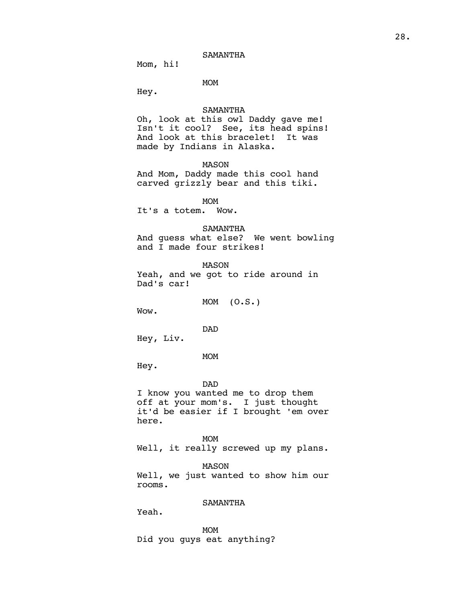Mom, hi!

MOM

Hey.

#### SAMANTHA

Oh, look at this owl Daddy gave me! Isn't it cool? See, its head spins! And look at this bracelet! It was made by Indians in Alaska.

MASON

And Mom, Daddy made this cool hand carved grizzly bear and this tiki.

MOM It's a totem. Wow.

SAMANTHA And guess what else? We went bowling and I made four strikes!

MASON Yeah, and we got to ride around in Dad's car!

MOM (O.S.)

Wow.

DAD

Hey, Liv.

MOM

Hey.

DAD

I know you wanted me to drop them off at your mom's. I just thought it'd be easier if I brought 'em over here.

MOM

Well, it really screwed up my plans.

MASON Well, we just wanted to show him our rooms.

SAMANTHA

Yeah.

MOM Did you guys eat anything?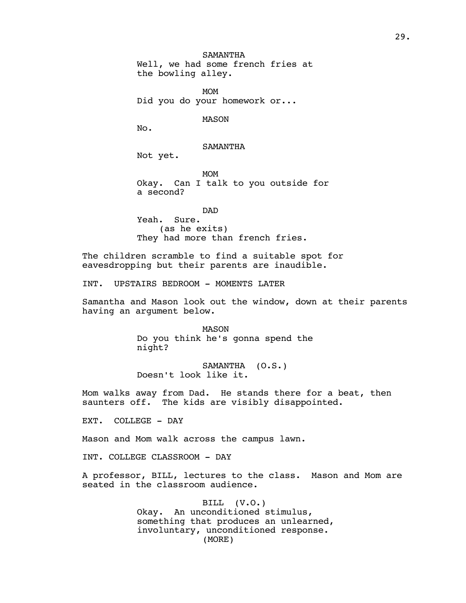SAMANTHA Well, we had some french fries at the bowling alley.

MOM Did you do your homework or...

MASON

No.

SAMANTHA

Not yet.

MOM Okay. Can I talk to you outside for a second?

DAD Yeah. Sure. (as he exits) They had more than french fries.

The children scramble to find a suitable spot for eavesdropping but their parents are inaudible.

INT. UPSTAIRS BEDROOM - MOMENTS LATER

Samantha and Mason look out the window, down at their parents having an argument below.

> MASON Do you think he's gonna spend the night?

SAMANTHA (O.S.) Doesn't look like it.

Mom walks away from Dad. He stands there for a beat, then saunters off. The kids are visibly disappointed.

EXT. COLLEGE - DAY

Mason and Mom walk across the campus lawn.

INT. COLLEGE CLASSROOM - DAY

A professor, BILL, lectures to the class. Mason and Mom are seated in the classroom audience.

> BILL (V.O.) Okay. An unconditioned stimulus, something that produces an unlearned, involuntary, unconditioned response. (MORE)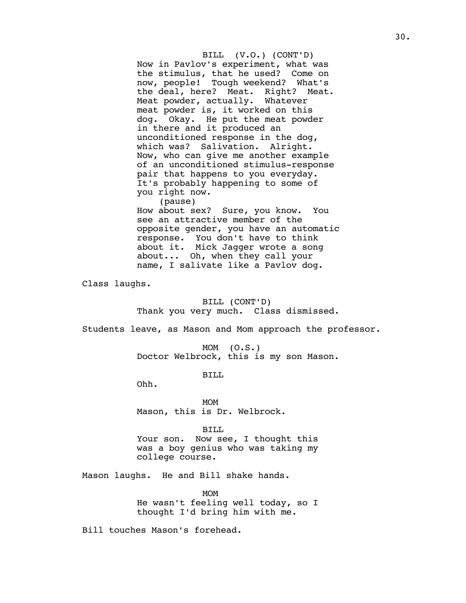BILL (V.O.) (CONT'D) Now in Pavlov's experiment, what was the stimulus, that he used? Come on now, people! Tough weekend? What's the deal, here? Meat. Right? Meat. Meat powder, actually. Whatever meat powder is, it worked on this dog. Okay. He put the meat powder in there and it produced an unconditioned response in the dog, which was? Salivation. Alright. Now, who can give me another example of an unconditioned stimulus-response pair that happens to you everyday. It's probably happening to some of you right now. (pause)

How about sex? Sure, you know. You see an attractive member of the opposite gender, you have an automatic response. You don't have to think about it. Mick Jagger wrote a song about... Oh, when they call your name, I salivate like a Pavlov dog.

Class laughs.

# BILL (CONT'D) Thank you very much. Class dismissed.

Students leave, as Mason and Mom approach the professor.

 $MOM$   $(0.S.)$ Doctor Welbrock, this is my son Mason.

BILL.

Ohh.

MOM Mason, this is Dr. Welbrock.

BILL

Your son. Now see, I thought this was a boy genius who was taking my college course.

Mason laughs. He and Bill shake hands.

MOM He wasn't feeling well today, so I thought I'd bring him with me.

Bill touches Mason's forehead.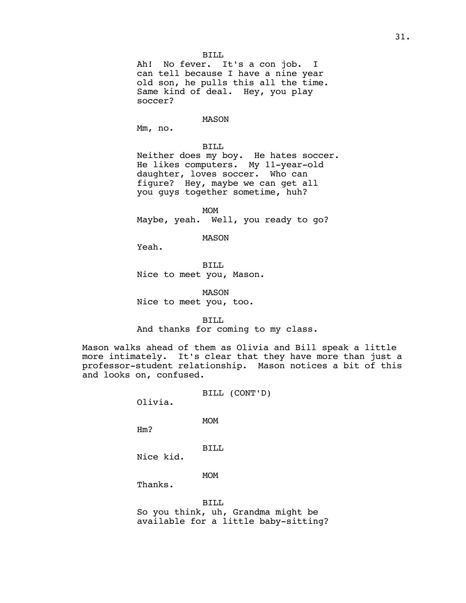BILL

Ah! No fever. It's a con job. I can tell because I have a nine year old son, he pulls this all the time. Same kind of deal. Hey, you play soccer?

#### MASON

Mm, no.

#### BILL

Neither does my boy. He hates soccer. He likes computers. My 11-year-old daughter, loves soccer. Who can figure? Hey, maybe we can get all you guys together sometime, huh?

MOM Maybe, yeah. Well, you ready to go?

MASON

Yeah.

BILL Nice to meet you, Mason.

MASON Nice to meet you, too.

# BILL And thanks for coming to my class.

Mason walks ahead of them as Olivia and Bill speak a little more intimately. It's clear that they have more than just a professor-student relationship. Mason notices a bit of this and looks on, confused.

BILL (CONT'D)

Olivia.

MOM

Hm?

BILL

Nice kid.

MOM

Thanks.

So you think, uh, Grandma might be available for a little baby-sitting?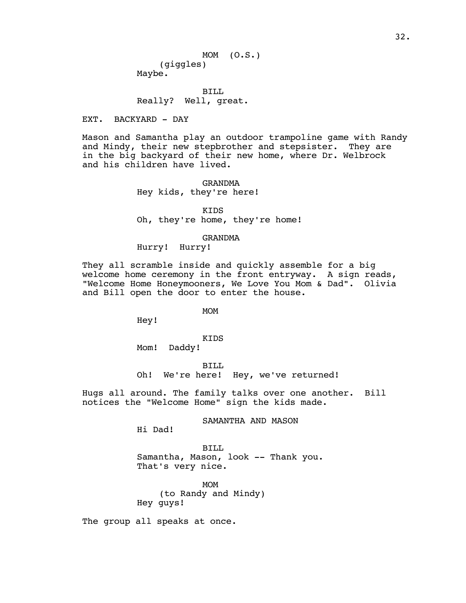MOM (O.S.) (giggles) Maybe.

BILL Really? Well, great.

EXT. BACKYARD - DAY

Mason and Samantha play an outdoor trampoline game with Randy and Mindy, their new stepbrother and stepsister. They are in the big backyard of their new home, where Dr. Welbrock and his children have lived.

> GRANDMA Hey kids, they're here!

KIDS Oh, they're home, they're home!

GRANDMA

Hurry! Hurry!

They all scramble inside and quickly assemble for a big welcome home ceremony in the front entryway. A sign reads, "Welcome Home Honeymooners, We Love You Mom & Dad". Olivia and Bill open the door to enter the house.

MOM

Hey!

KIDS Mom! Daddy!

BILL Oh! We're here! Hey, we've returned!

Hugs all around. The family talks over one another. Bill notices the "Welcome Home" sign the kids made.

SAMANTHA AND MASON

Hi Dad!

BILL Samantha, Mason, look -- Thank you. That's very nice.

MOM (to Randy and Mindy) Hey guys!

The group all speaks at once.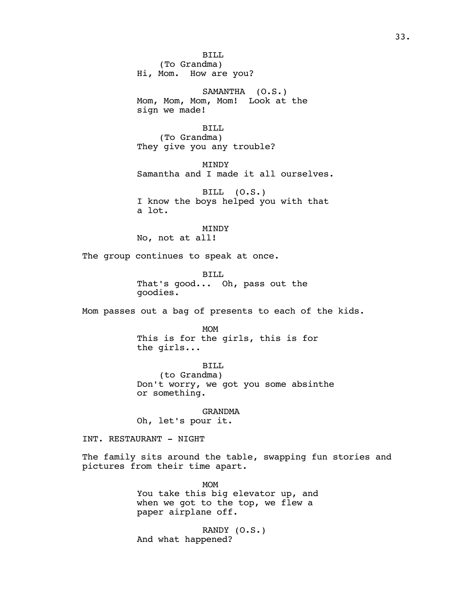BILL (To Grandma) Hi, Mom. How are you?

SAMANTHA (O.S.) Mom, Mom, Mom, Mom! Look at the sign we made!

BILL (To Grandma) They give you any trouble?

MINDY Samantha and I made it all ourselves.

BILL (O.S.) I know the boys helped you with that a lot.

MINDY No, not at all!

The group continues to speak at once.

BILL That's good... Oh, pass out the goodies.

Mom passes out a bag of presents to each of the kids.

MOM This is for the girls, this is for the girls...

BILL (to Grandma) Don't worry, we got you some absinthe or something.

GRANDMA Oh, let's pour it.

INT. RESTAURANT - NIGHT

The family sits around the table, swapping fun stories and pictures from their time apart.

> MOM You take this big elevator up, and when we got to the top, we flew a paper airplane off.

RANDY (O.S.) And what happened?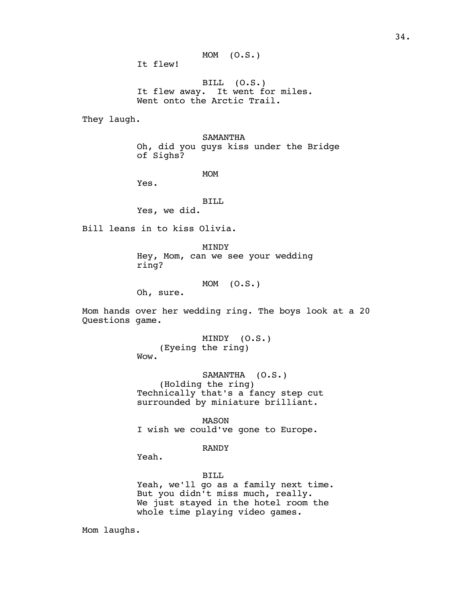It flew!

BILL (O.S.) It flew away. It went for miles. Went onto the Arctic Trail.

MOM (O.S.)

They laugh.

SAMANTHA Oh, did you guys kiss under the Bridge of Sighs?

MOM

Yes.

# BILL

Yes, we did.

Bill leans in to kiss Olivia.

MINDY

Hey, Mom, can we see your wedding ring?

 $MOM$   $(0.S.)$ 

Oh, sure.

Mom hands over her wedding ring. The boys look at a 20 Questions game.

> MINDY (O.S.) (Eyeing the ring) Wow.

SAMANTHA (O.S.) (Holding the ring) Technically that's a fancy step cut surrounded by miniature brilliant.

MASON I wish we could've gone to Europe.

## RANDY

Yeah.

BILL

Yeah, we'll go as a family next time. But you didn't miss much, really. We just stayed in the hotel room the whole time playing video games.

Mom laughs.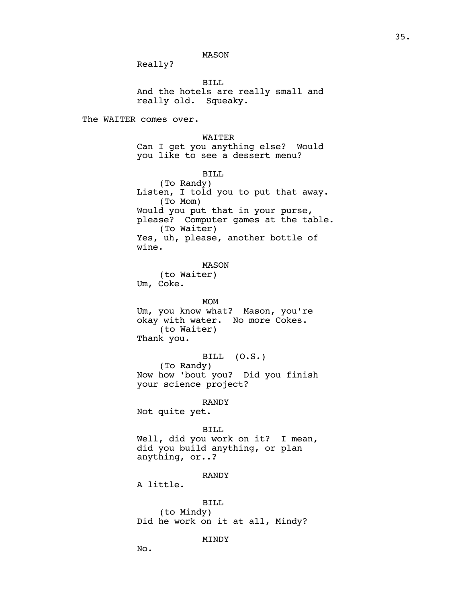Really?

BILL And the hotels are really small and really old. Squeaky.

The WAITER comes over.

WAITER Can I get you anything else? Would you like to see a dessert menu?

BILL (To Randy) Listen, I told you to put that away. (To Mom) Would you put that in your purse, please? Computer games at the table. (To Waiter) Yes, uh, please, another bottle of wine.

MASON (to Waiter) Um, Coke.

# MOM

Um, you know what? Mason, you're okay with water. No more Cokes. (to Waiter) Thank you.

## BILL (O.S.)

(To Randy) Now how 'bout you? Did you finish your science project?

#### RANDY

Not quite yet.

#### BILL

Well, did you work on it? I mean, did you build anything, or plan anything, or..?

## RANDY

A little.

# BILL

(to Mindy) Did he work on it at all, Mindy?

# MINDY

No.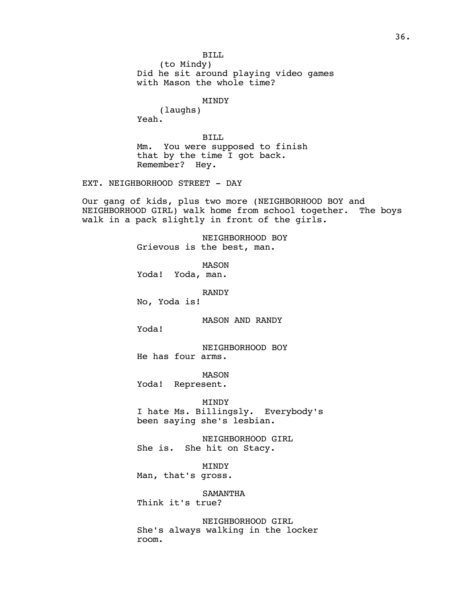BILL

(to Mindy) Did he sit around playing video games with Mason the whole time?

# MINDY

(laughs) Yeah.

BILL

Mm. You were supposed to finish that by the time I got back. Remember? Hey.

EXT. NEIGHBORHOOD STREET - DAY

room.

Our gang of kids, plus two more (NEIGHBORHOOD BOY and NEIGHBORHOOD GIRL) walk home from school together. The boys walk in a pack slightly in front of the girls.

> NEIGHBORHOOD BOY Grievous is the best, man. MASON Yoda! Yoda, man. RANDY No, Yoda is! MASON AND RANDY Yoda! NEIGHBORHOOD BOY He has four arms. MASON Yoda! Represent. MINDY I hate Ms. Billingsly. Everybody's been saying she's lesbian. NEIGHBORHOOD GIRL She is. She hit on Stacy. MINDY Man, that's gross. SAMANTHA Think it's true? NEIGHBORHOOD GIRL She's always walking in the locker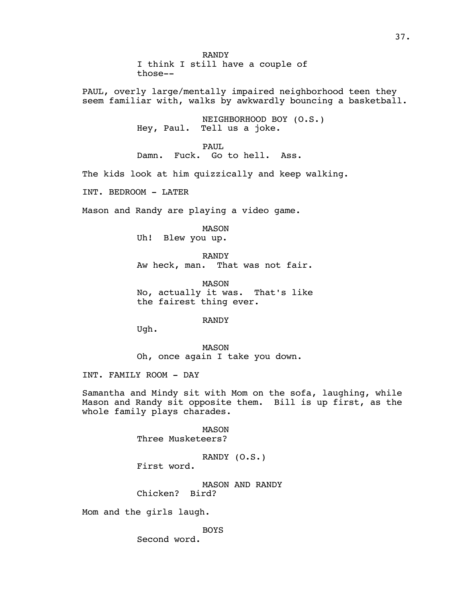RANDY I think I still have a couple of those--

PAUL, overly large/mentally impaired neighborhood teen they seem familiar with, walks by awkwardly bouncing a basketball.

> NEIGHBORHOOD BOY (O.S.) Hey, Paul. Tell us a joke.

> > PAUL

Damn. Fuck. Go to hell. Ass.

The kids look at him quizzically and keep walking.

INT. BEDROOM - LATER

Mason and Randy are playing a video game.

MASON Uh! Blew you up.

RANDY Aw heck, man. That was not fair.

MASON No, actually it was. That's like the fairest thing ever.

RANDY

Ugh.

MASON Oh, once again I take you down.

INT. FAMILY ROOM - DAY

Samantha and Mindy sit with Mom on the sofa, laughing, while Mason and Randy sit opposite them. Bill is up first, as the whole family plays charades.

> MASON Three Musketeers?

RANDY (O.S.) First word.

MASON AND RANDY Chicken? Bird?

Mom and the girls laugh.

BOYS

Second word.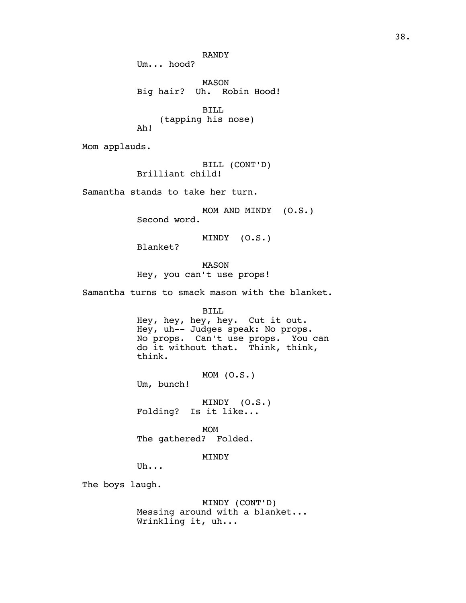RANDY

Um... hood?

MASON Big hair? Uh. Robin Hood!

BILL (tapping his nose) Ah!

Mom applauds.

BILL (CONT'D) Brilliant child!

Samantha stands to take her turn.

MOM AND MINDY (O.S.) Second word.

MINDY (O.S.)

Blanket?

MASON Hey, you can't use props!

Samantha turns to smack mason with the blanket.

BILL

Hey, hey, hey, hey. Cut it out. Hey, uh-- Judges speak: No props. No props. Can't use props. You can do it without that. Think, think, think.

MOM (O.S.) Um, bunch!

MINDY (O.S.) Folding? Is it like...

MOM The gathered? Folded.

MINDY

Uh...

The boys laugh.

MINDY (CONT'D) Messing around with a blanket... Wrinkling it, uh...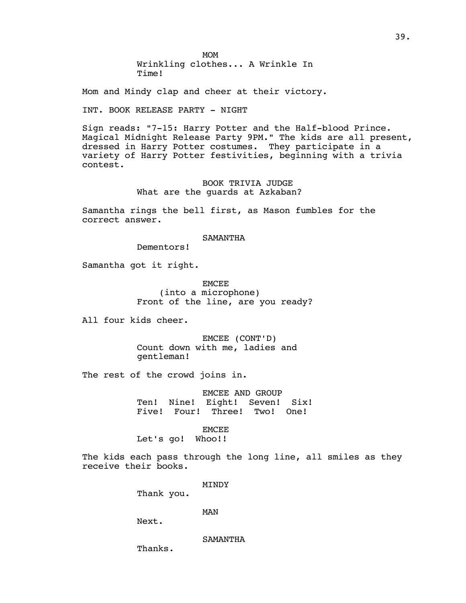Mom and Mindy clap and cheer at their victory.

INT. BOOK RELEASE PARTY - NIGHT

Sign reads: "7-15: Harry Potter and the Half-blood Prince. Magical Midnight Release Party 9PM." The kids are all present, dressed in Harry Potter costumes. They participate in a variety of Harry Potter festivities, beginning with a trivia contest.

> BOOK TRIVIA JUDGE What are the guards at Azkaban?

Samantha rings the bell first, as Mason fumbles for the correct answer.

## SAMANTHA

Dementors!

Samantha got it right.

EMCEE (into a microphone) Front of the line, are you ready?

All four kids cheer.

EMCEE (CONT'D) Count down with me, ladies and gentleman!

The rest of the crowd joins in.

EMCEE AND GROUP Ten! Nine! Eight! Seven! Six! Five! Four! Three! Two! One!

EMCEE Let's go! Whoo!!

The kids each pass through the long line, all smiles as they receive their books.

MINDY

Thank you.

MAN

Next.

SAMANTHA

Thanks.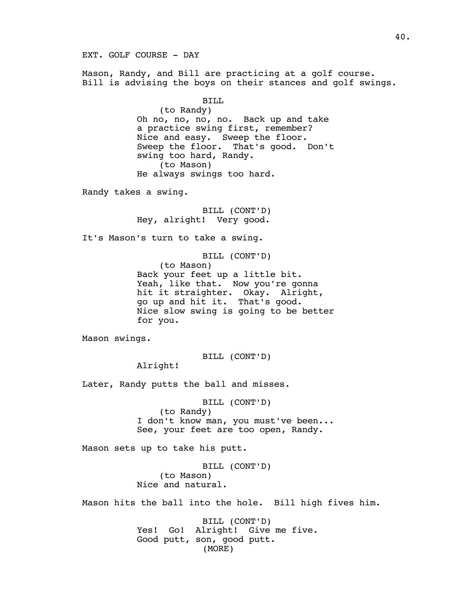EXT. GOLF COURSE - DAY

Mason, Randy, and Bill are practicing at a golf course. Bill is advising the boys on their stances and golf swings.

# BILL

(to Randy) Oh no, no, no, no. Back up and take a practice swing first, remember? Nice and easy. Sweep the floor. Sweep the floor. That's good. Don't swing too hard, Randy. (to Mason) He always swings too hard.

Randy takes a swing.

BILL (CONT'D) Hey, alright! Very good.

It's Mason's turn to take a swing.

BILL (CONT'D) (to Mason) Back your feet up a little bit. Yeah, like that. Now you're gonna hit it straighter. Okay. Alright, go up and hit it. That's good. Nice slow swing is going to be better for you.

Mason swings.

BILL (CONT'D)

Alright!

Later, Randy putts the ball and misses.

BILL (CONT'D) (to Randy) I don't know man, you must've been... See, your feet are too open, Randy.

Mason sets up to take his putt.

BILL (CONT'D) (to Mason) Nice and natural.

Mason hits the ball into the hole. Bill high fives him.

BILL (CONT'D) Yes! Go! Alright! Give me five. Good putt, son, good putt. (MORE)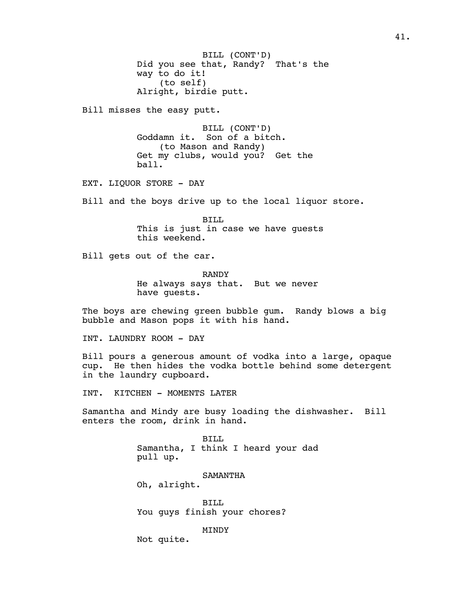BILL (CONT'D) Did you see that, Randy? That's the way to do it! (to self) Alright, birdie putt.

Bill misses the easy putt.

BILL (CONT'D) Goddamn it. Son of a bitch. (to Mason and Randy) Get my clubs, would you? Get the ball.

EXT. LIQUOR STORE - DAY

Bill and the boys drive up to the local liquor store.

BILL This is just in case we have guests this weekend.

Bill gets out of the car.

RANDY He always says that. But we never have guests.

The boys are chewing green bubble gum. Randy blows a big bubble and Mason pops it with his hand.

INT. LAUNDRY ROOM - DAY

Bill pours a generous amount of vodka into a large, opaque cup. He then hides the vodka bottle behind some detergent in the laundry cupboard.

INT. KITCHEN - MOMENTS LATER

Samantha and Mindy are busy loading the dishwasher. Bill enters the room, drink in hand.

> BILL. Samantha, I think I heard your dad pull up.

> > SAMANTHA

Oh, alright.

BILL You guys finish your chores?

MINDY

Not quite.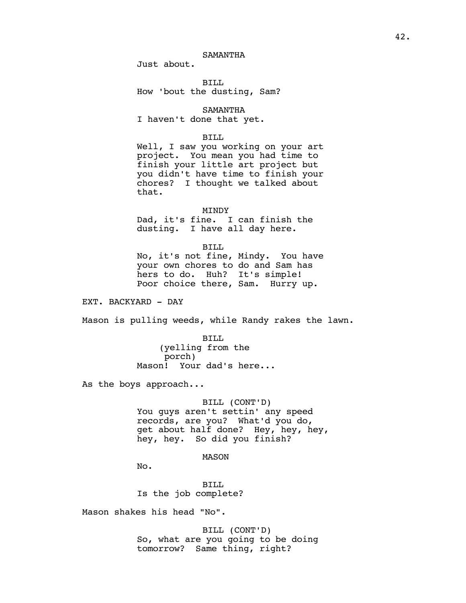## SAMANTHA

Just about.

BILL How 'bout the dusting, Sam?

#### SAMANTHA

I haven't done that yet.

## BILL

Well, I saw you working on your art project. You mean you had time to finish your little art project but you didn't have time to finish your chores? I thought we talked about that.

#### MINDY

Dad, it's fine. I can finish the dusting. I have all day here.

#### BILL

No, it's not fine, Mindy. You have your own chores to do and Sam has hers to do. Huh? It's simple! Poor choice there, Sam. Hurry up.

EXT. BACKYARD - DAY

Mason is pulling weeds, while Randy rakes the lawn.

BILL. (yelling from the porch) Mason! Your dad's here...

As the boys approach...

### BILL (CONT'D)

You guys aren't settin' any speed records, are you? What'd you do, get about half done? Hey, hey, hey, hey, hey. So did you finish?

MASON

No.

# BILL Is the job complete?

Mason shakes his head "No".

BILL (CONT'D) So, what are you going to be doing tomorrow? Same thing, right?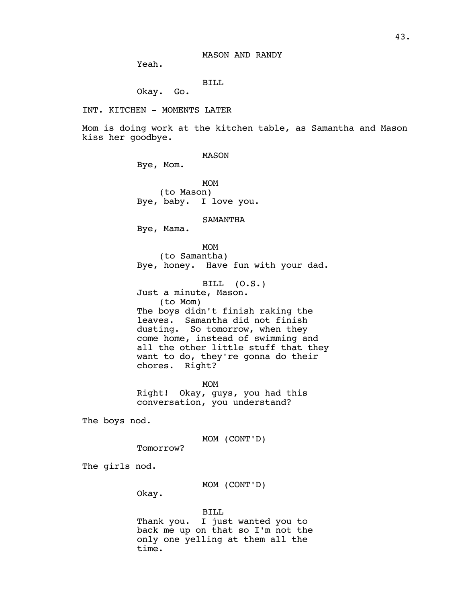Yeah.

#### BILL

# Okay. Go.

INT. KITCHEN - MOMENTS LATER

Mom is doing work at the kitchen table, as Samantha and Mason kiss her goodbye.

MASON

Bye, Mom.

MOM (to Mason)<br>Bye, baby. I I love you.

SAMANTHA

Bye, Mama.

MOM (to Samantha) Bye, honey. Have fun with your dad.

BILL (O.S.) Just a minute, Mason. (to Mom) The boys didn't finish raking the leaves. Samantha did not finish dusting. So tomorrow, when they come home, instead of swimming and all the other little stuff that they want to do, they're gonna do their chores. Right?

MOM Right! Okay, guys, you had this conversation, you understand?

The boys nod.

MOM (CONT'D)

Tomorrow?

The girls nod.

MOM (CONT'D)

Okay.

BILL

Thank you. I just wanted you to back me up on that so I'm not the only one yelling at them all the time.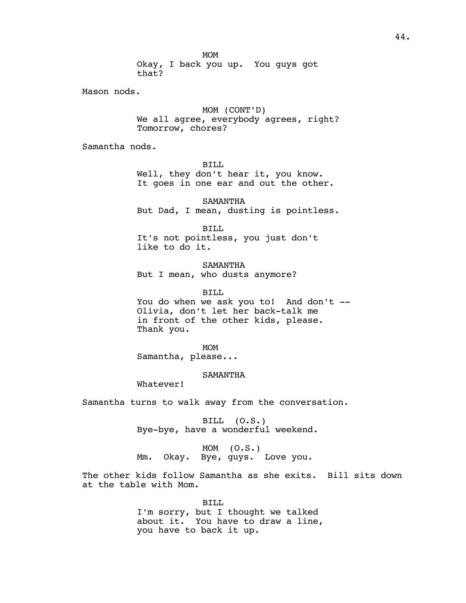Okay, I back you up. You guys got that?

Mason nods.

MOM (CONT'D) We all agree, everybody agrees, right? Tomorrow, chores?

Samantha nods.

BILL Well, they don't hear it, you know. It goes in one ear and out the other.

SAMANTHA But Dad, I mean, dusting is pointless.

BILL It's not pointless, you just don't like to do it.

SAMANTHA But I mean, who dusts anymore?

BILL You do when we ask you to! And don't --Olivia, don't let her back-talk me in front of the other kids, please. Thank you.

MOM

Samantha, please...

SAMANTHA

Whatever!

Samantha turns to walk away from the conversation.

BILL (O.S.) Bye-bye, have a wonderful weekend.

 $MOM$   $(0.S.)$ Mm. Okay. Bye, guys. Love you.

The other kids follow Samantha as she exits. Bill sits down at the table with Mom.

> BILL I'm sorry, but I thought we talked about it. You have to draw a line, you have to back it up.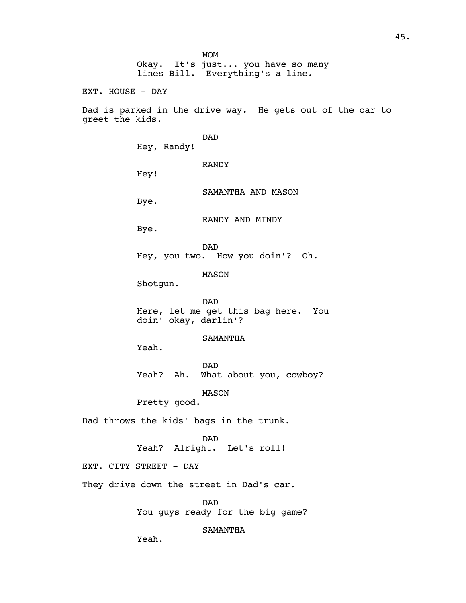Okay. It's just... you have so many lines Bill. Everything's a line.

EXT. HOUSE - DAY

Dad is parked in the drive way. He gets out of the car to greet the kids.

DAD

Hey, Randy!

RANDY

Hey!

SAMANTHA AND MASON

Bye.

RANDY AND MINDY

Bye.

DAD Hey, you two. How you doin'? Oh.

MASON

Shotgun.

DAD Here, let me get this bag here. You doin' okay, darlin'?

SAMANTHA

Yeah.

DAD Yeah? Ah. What about you, cowboy?

MASON

Pretty good.

Dad throws the kids' bags in the trunk.

DAD

Yeah? Alright. Let's roll!

EXT. CITY STREET - DAY

They drive down the street in Dad's car.

DAD

You guys ready for the big game?

SAMANTHA

Yeah.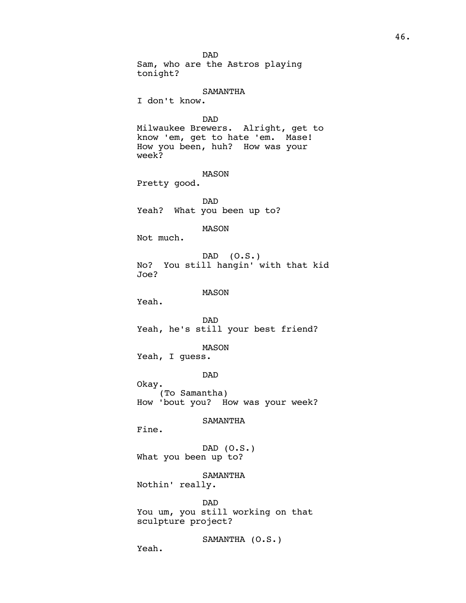DAD Sam, who are the Astros playing tonight? SAMANTHA I don't know. DAD Milwaukee Brewers. Alright, get to know 'em, get to hate 'em. Mase! How you been, huh? How was your week? MASON Pretty good. DAD Yeah? What you been up to? MASON Not much. DAD (O.S.) No? You still hangin' with that kid Joe? MASON Yeah. DAD Yeah, he's still your best friend? MASON Yeah, I guess. DAD Okay. (To Samantha) How 'bout you? How was your week? SAMANTHA Fine. DAD (O.S.) What you been up to? SAMANTHA Nothin' really. DAD You um, you still working on that sculpture project? SAMANTHA (O.S.)

Yeah.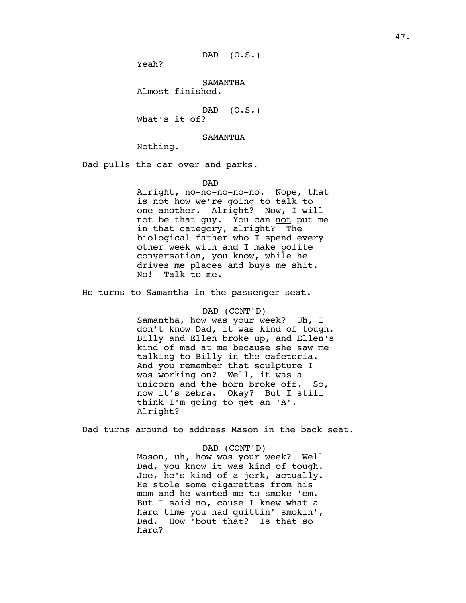Yeah?

SAMANTHA Almost finished.

DAD (O.S.) What's it of?

**SAMANTHA** 

Nothing.

Dad pulls the car over and parks.

DAD

Alright, no-no-no-no-no. Nope, that is not how we're going to talk to one another. Alright? Now, I will not be that guy. You can not put me in that category, alright? The biological father who I spend every other week with and I make polite conversation, you know, while he drives me places and buys me shit. No! Talk to me.

He turns to Samantha in the passenger seat.

#### DAD (CONT'D)

Samantha, how was your week? Uh, I don't know Dad, it was kind of tough. Billy and Ellen broke up, and Ellen's kind of mad at me because she saw me talking to Billy in the cafeteria. And you remember that sculpture I was working on? Well, it was a unicorn and the horn broke off. So, now it's zebra. Okay? But I still think I'm going to get an 'A'. Alright?

Dad turns around to address Mason in the back seat.

# DAD (CONT'D) Mason, uh, how was your week? Well

Dad, you know it was kind of tough. Joe, he's kind of a jerk, actually. He stole some cigarettes from his mom and he wanted me to smoke 'em. But I said no, cause I knew what a hard time you had quittin' smokin', Dad. How 'bout that? Is that so hard?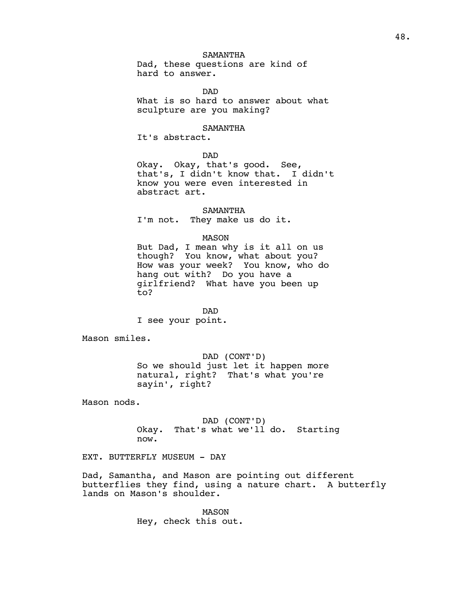# SAMANTHA

Dad, these questions are kind of hard to answer.

**DAD** What is so hard to answer about what sculpture are you making?

#### SAMANTHA

It's abstract.

DAD

Okay. Okay, that's good. See, that's, I didn't know that. I didn't know you were even interested in abstract art.

SAMANTHA I'm not. They make us do it.

MASON

But Dad, I mean why is it all on us though? You know, what about you? How was your week? You know, who do hang out with? Do you have a girlfriend? What have you been up to?

DAD

I see your point.

Mason smiles.

DAD (CONT'D) So we should just let it happen more natural, right? That's what you're sayin', right?

Mason nods.

DAD (CONT'D) Okay. That's what we'll do. Starting now.

EXT. BUTTERFLY MUSEUM - DAY

Dad, Samantha, and Mason are pointing out different butterflies they find, using a nature chart. A butterfly lands on Mason's shoulder.

> MASON Hey, check this out.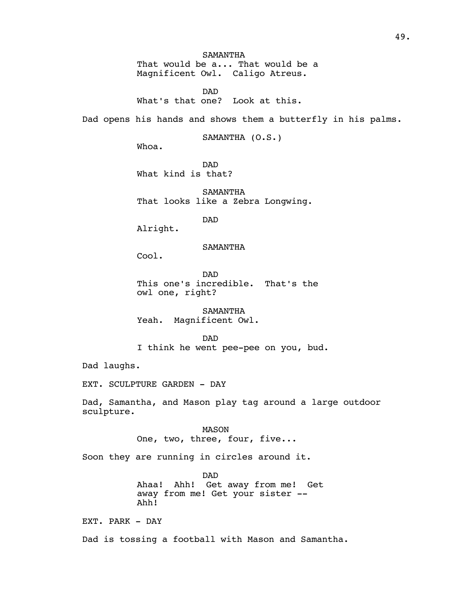SAMANTHA That would be a... That would be a Magnificent Owl. Caligo Atreus.

DAD What's that one? Look at this.

Dad opens his hands and shows them a butterfly in his palms.

SAMANTHA (O.S.)

Whoa.

DAD What kind is that?

SAMANTHA That looks like a Zebra Longwing.

DAD

Alright.

SAMANTHA

Cool.

DAD This one's incredible. That's the owl one, right?

SAMANTHA Yeah. Magnificent Owl.

DAD I think he went pee-pee on you, bud.

Dad laughs.

EXT. SCULPTURE GARDEN - DAY

Dad, Samantha, and Mason play tag around a large outdoor sculpture.

> MASON One, two, three, four, five...

Soon they are running in circles around it.

DAD Ahaa! Ahh! Get away from me! Get away from me! Get your sister -- Ahh!

EXT. PARK - DAY

Dad is tossing a football with Mason and Samantha.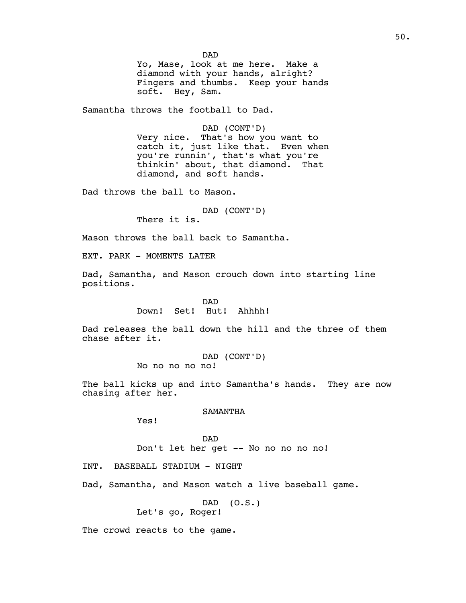DAD Yo, Mase, look at me here. Make a diamond with your hands, alright? Fingers and thumbs. Keep your hands soft. Hey, Sam.

Samantha throws the football to Dad.

DAD (CONT'D) Very nice. That's how you want to catch it, just like that. Even when you're runnin', that's what you're thinkin' about, that diamond. That diamond, and soft hands.

Dad throws the ball to Mason.

DAD (CONT'D) There it is.

Mason throws the ball back to Samantha.

EXT. PARK - MOMENTS LATER

Dad, Samantha, and Mason crouch down into starting line positions.

> DAD Down! Set! Hut! Ahhhh!

Dad releases the ball down the hill and the three of them chase after it.

> DAD (CONT'D) No no no no no!

The ball kicks up and into Samantha's hands. They are now chasing after her.

SAMANTHA

Yes!

DAD

Don't let her get -- No no no no no!

INT. BASEBALL STADIUM - NIGHT

Dad, Samantha, and Mason watch a live baseball game.

DAD (O.S.) Let's go, Roger!

The crowd reacts to the game.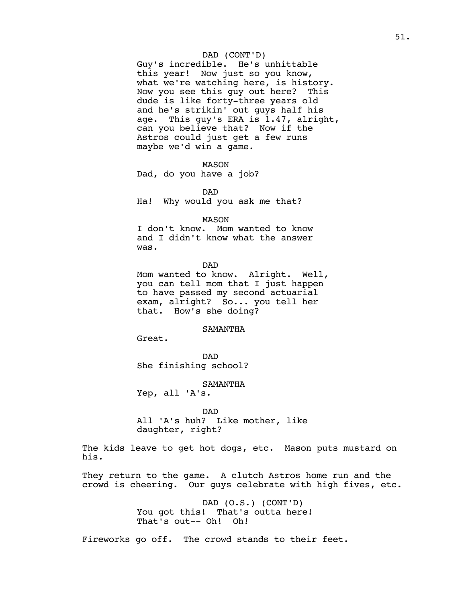## DAD (CONT'D)

Guy's incredible. He's unhittable this year! Now just so you know, what we're watching here, is history. Now you see this guy out here? This dude is like forty-three years old and he's strikin' out guys half his age. This guy's ERA is 1.47, alright, can you believe that? Now if the Astros could just get a few runs maybe we'd win a game.

MASON Dad, do you have a job?

DAD Ha! Why would you ask me that?

#### MASON

I don't know. Mom wanted to know and I didn't know what the answer was.

DAD

Mom wanted to know. Alright. Well, you can tell mom that I just happen to have passed my second actuarial exam, alright? So... you tell her that. How's she doing?

SAMANTHA

Great.

DAD She finishing school?

SAMANTHA

Yep, all 'A's.

DAD All 'A's huh? Like mother, like daughter, right?

The kids leave to get hot dogs, etc. Mason puts mustard on his.

They return to the game. A clutch Astros home run and the crowd is cheering. Our guys celebrate with high fives, etc.

> DAD (O.S.) (CONT'D) You got this! That's outta here! That's out-- Oh! Oh!

Fireworks go off. The crowd stands to their feet.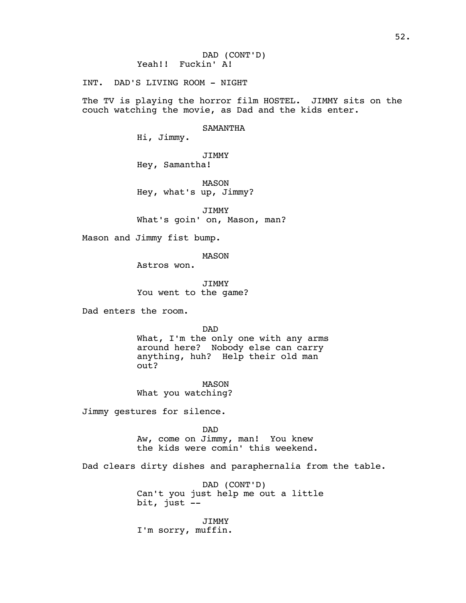INT. DAD'S LIVING ROOM - NIGHT

The TV is playing the horror film HOSTEL. JIMMY sits on the couch watching the movie, as Dad and the kids enter.

SAMANTHA

Hi, Jimmy.

JIMMY Hey, Samantha!

MASON Hey, what's up, Jimmy?

JIMMY What's goin' on, Mason, man?

Mason and Jimmy fist bump.

MASON

Astros won.

JIMMY You went to the game?

Dad enters the room.

DAD

What, I'm the only one with any arms around here? Nobody else can carry anything, huh? Help their old man out?

MASON What you watching?

Jimmy gestures for silence.

DAD Aw, come on Jimmy, man! You knew the kids were comin' this weekend.

Dad clears dirty dishes and paraphernalia from the table.

DAD (CONT'D) Can't you just help me out a little bit, just --

JIMMY I'm sorry, muffin.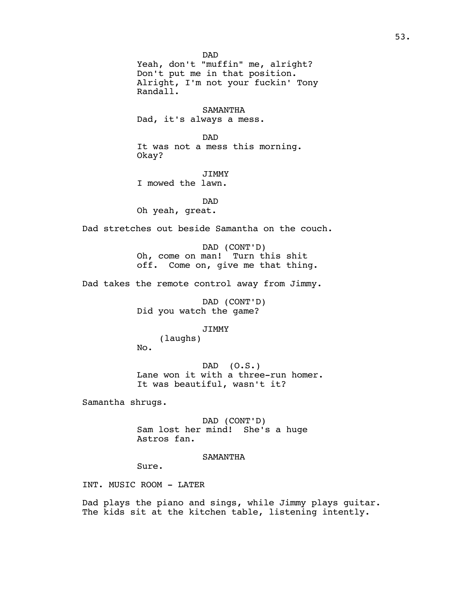DAD Yeah, don't "muffin" me, alright? Don't put me in that position. Alright, I'm not your fuckin' Tony Randall.

SAMANTHA Dad, it's always a mess.

DAD

It was not a mess this morning. Okay?

JIMMY I mowed the lawn.

DAD Oh yeah, great.

Dad stretches out beside Samantha on the couch.

DAD (CONT'D) Oh, come on man! Turn this shit off. Come on, give me that thing.

Dad takes the remote control away from Jimmy.

DAD (CONT'D) Did you watch the game?

JIMMY

(laughs) No.

DAD (O.S.) Lane won it with a three-run homer. It was beautiful, wasn't it?

Samantha shrugs.

DAD (CONT'D) Sam lost her mind! She's a huge Astros fan.

## SAMANTHA

Sure.

INT. MUSIC ROOM - LATER

Dad plays the piano and sings, while Jimmy plays guitar. The kids sit at the kitchen table, listening intently.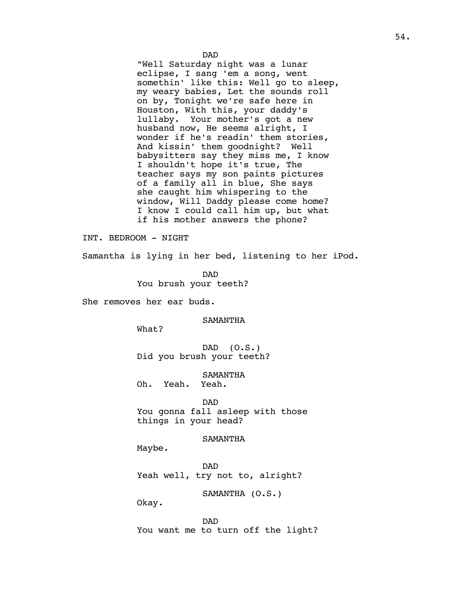DAD "Well Saturday night was a lunar eclipse, I sang 'em a song, went somethin' like this: Well go to sleep, my weary babies, Let the sounds roll on by, Tonight we're safe here in Houston, With this, your daddy's lullaby. Your mother's got a new husband now, He seems alright, I wonder if he's readin' them stories, And kissin' them goodnight? Well babysitters say they miss me, I know I shouldn't hope it's true, The teacher says my son paints pictures of a family all in blue, She says she caught him whispering to the window, Will Daddy please come home? I know I could call him up, but what

INT. BEDROOM - NIGHT

Samantha is lying in her bed, listening to her iPod.

if his mother answers the phone?

DAD You brush your teeth?

She removes her ear buds.

SAMANTHA

What?

DAD (O.S.) Did you brush your teeth?

SAMANTHA Oh. Yeah. Yeah.

DAD You gonna fall asleep with those things in your head?

SAMANTHA

Maybe.

DAD Yeah well, try not to, alright?

SAMANTHA (O.S.)

Okay.

DAD You want me to turn off the light?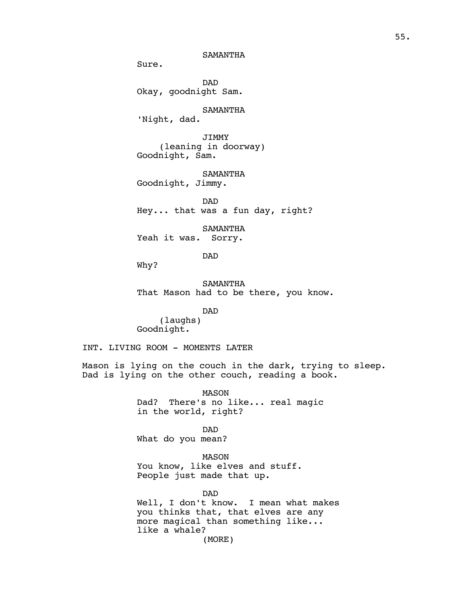Sure.

DAD Okay, goodnight Sam.

SAMANTHA

'Night, dad.

JIMMY (leaning in doorway) Goodnight, Sam.

SAMANTHA Goodnight, Jimmy.

DAD Hey... that was a fun day, right?

SAMANTHA Yeah it was. Sorry.

DAD

Why?

SAMANTHA That Mason had to be there, you know.

> DAD (laughs)

Goodnight.

INT. LIVING ROOM - MOMENTS LATER

Mason is lying on the couch in the dark, trying to sleep. Dad is lying on the other couch, reading a book.

> MASON Dad? There's no like... real magic in the world, right?

DAD What do you mean?

MASON You know, like elves and stuff. People just made that up.

DAD Well, I don't know. I mean what makes you thinks that, that elves are any more magical than something like... like a whale? (MORE)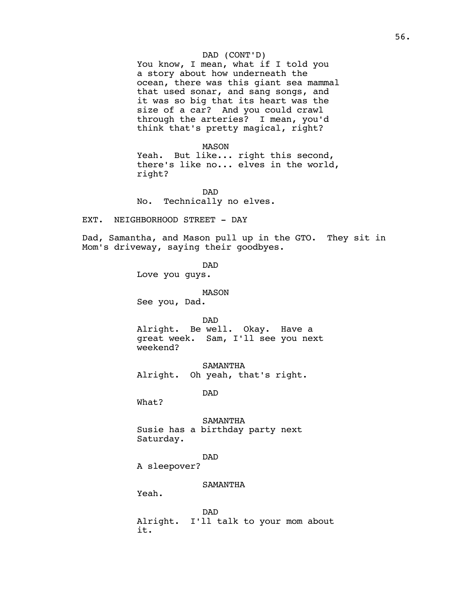## DAD (CONT'D)

You know, I mean, what if I told you a story about how underneath the ocean, there was this giant sea mammal that used sonar, and sang songs, and it was so big that its heart was the size of a car? And you could crawl through the arteries? I mean, you'd think that's pretty magical, right?

## MASON

Yeah. But like... right this second, there's like no... elves in the world, right?

DAD No. Technically no elves.

## EXT. NEIGHBORHOOD STREET - DAY

Dad, Samantha, and Mason pull up in the GTO. They sit in Mom's driveway, saying their goodbyes.

DAD

Love you guys.

MASON

See you, Dad.

DAD Alright. Be well. Okay. Have a great week. Sam, I'll see you next weekend?

SAMANTHA Alright. Oh yeah, that's right.

DAD

What?

SAMANTHA Susie has a birthday party next Saturday.

DAD

A sleepover?

#### SAMANTHA

Yeah.

DAD Alright. I'll talk to your mom about it.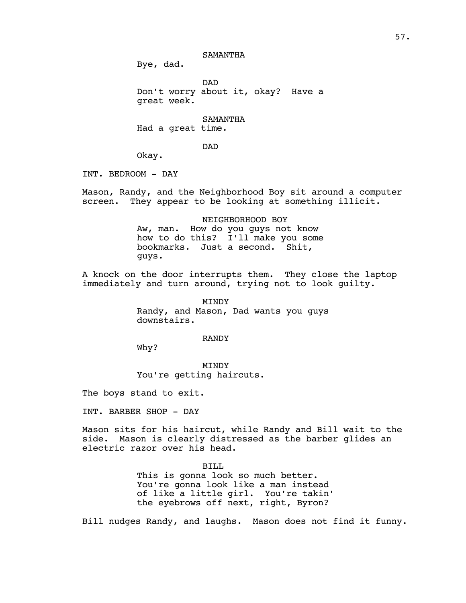Bye, dad.

DAD Don't worry about it, okay? Have a great week.

SAMANTHA Had a great time.

DAD

Okay.

INT. BEDROOM - DAY

Mason, Randy, and the Neighborhood Boy sit around a computer screen. They appear to be looking at something illicit.

> NEIGHBORHOOD BOY Aw, man. How do you guys not know how to do this? I'll make you some bookmarks. Just a second. Shit, guys.

A knock on the door interrupts them. They close the laptop immediately and turn around, trying not to look guilty.

> MINDY Randy, and Mason, Dad wants you guys downstairs.

## RANDY

Why?

MINDY You're getting haircuts.

The boys stand to exit.

INT. BARBER SHOP - DAY

Mason sits for his haircut, while Randy and Bill wait to the side. Mason is clearly distressed as the barber glides an electric razor over his head.

> BILL This is gonna look so much better. You're gonna look like a man instead of like a little girl. You're takin' the eyebrows off next, right, Byron?

Bill nudges Randy, and laughs. Mason does not find it funny.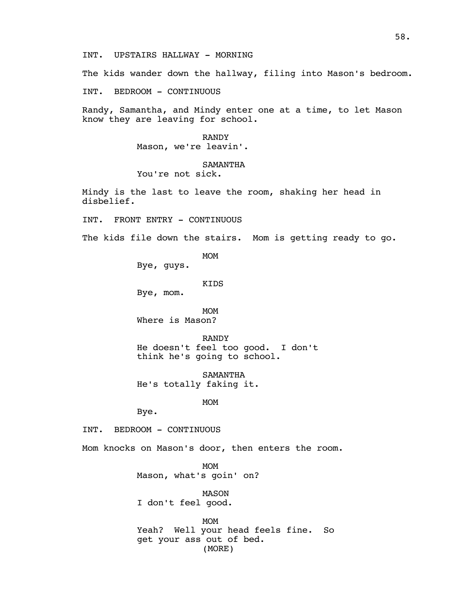INT. UPSTAIRS HALLWAY - MORNING

The kids wander down the hallway, filing into Mason's bedroom.

INT. BEDROOM - CONTINUOUS

Randy, Samantha, and Mindy enter one at a time, to let Mason know they are leaving for school.

> RANDY Mason, we're leavin'.

### SAMANTHA You're not sick.

Mindy is the last to leave the room, shaking her head in disbelief.

INT. FRONT ENTRY - CONTINUOUS

The kids file down the stairs. Mom is getting ready to go.

MOM

Bye, guys.

KIDS

Bye, mom.

MOM Where is Mason?

RANDY

He doesn't feel too good. I don't think he's going to school.

SAMANTHA He's totally faking it.

MOM

Bye.

INT. BEDROOM - CONTINUOUS

Mom knocks on Mason's door, then enters the room.

MOM Mason, what's goin' on?

MASON I don't feel good.

MOM Yeah? Well your head feels fine. So get your ass out of bed. (MORE)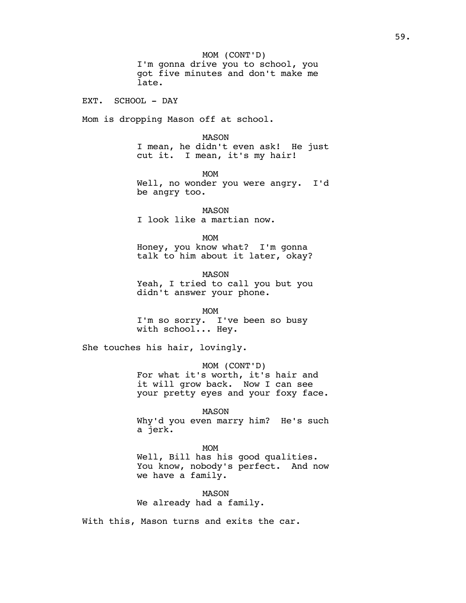EXT. SCHOOL - DAY

Mom is dropping Mason off at school.

### MASON

I mean, he didn't even ask! He just cut it. I mean, it's my hair!

MOM

Well, no wonder you were angry. I'd be angry too.

MASON I look like a martian now.

MOM

Honey, you know what? I'm gonna talk to him about it later, okay?

MASON

Yeah, I tried to call you but you didn't answer your phone.

MOM

I'm so sorry. I've been so busy with school... Hey.

She touches his hair, lovingly.

MOM (CONT'D) For what it's worth, it's hair and it will grow back. Now I can see your pretty eyes and your foxy face.

MASON

Why'd you even marry him? He's such a jerk.

MOM

Well, Bill has his good qualities. You know, nobody's perfect. And now we have a family.

MASON We already had a family.

With this, Mason turns and exits the car.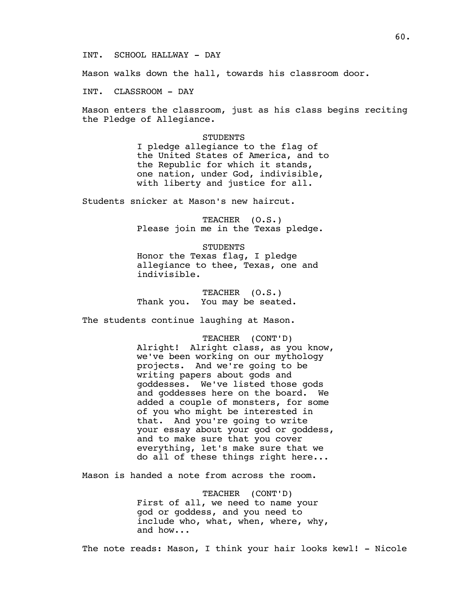INT. SCHOOL HALLWAY - DAY

Mason walks down the hall, towards his classroom door.

INT. CLASSROOM - DAY

Mason enters the classroom, just as his class begins reciting the Pledge of Allegiance.

#### **STUDENTS**

I pledge allegiance to the flag of the United States of America, and to the Republic for which it stands, one nation, under God, indivisible, with liberty and justice for all.

Students snicker at Mason's new haircut.

TEACHER (O.S.) Please join me in the Texas pledge.

**STUDENTS** Honor the Texas flag, I pledge allegiance to thee, Texas, one and indivisible.

TEACHER (O.S.) Thank you. You may be seated.

The students continue laughing at Mason.

TEACHER (CONT'D) Alright! Alright class, as you know, we've been working on our mythology projects. And we're going to be writing papers about gods and goddesses. We've listed those gods and goddesses here on the board. We added a couple of monsters, for some of you who might be interested in that. And you're going to write your essay about your god or goddess, and to make sure that you cover everything, let's make sure that we do all of these things right here...

Mason is handed a note from across the room.

TEACHER (CONT'D) First of all, we need to name your god or goddess, and you need to include who, what, when, where, why, and how...

The note reads: Mason, I think your hair looks kewl! - Nicole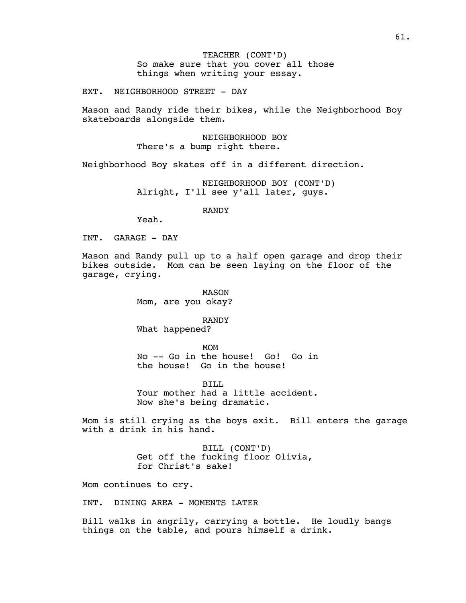TEACHER (CONT'D) So make sure that you cover all those things when writing your essay.

EXT. NEIGHBORHOOD STREET - DAY

Mason and Randy ride their bikes, while the Neighborhood Boy skateboards alongside them.

> NEIGHBORHOOD BOY There's a bump right there.

Neighborhood Boy skates off in a different direction.

NEIGHBORHOOD BOY (CONT'D) Alright, I'll see y'all later, guys.

RANDY

Yeah.

INT. GARAGE - DAY

Mason and Randy pull up to a half open garage and drop their bikes outside. Mom can be seen laying on the floor of the garage, crying.

> MASON Mom, are you okay?

> > RANDY

What happened?

MOM No -- Go in the house! Go! Go in the house! Go in the house!

BILL. Your mother had a little accident. Now she's being dramatic.

Mom is still crying as the boys exit. Bill enters the garage with a drink in his hand.

> BILL (CONT'D) Get off the fucking floor Olivia, for Christ's sake!

Mom continues to cry.

INT. DINING AREA - MOMENTS LATER

Bill walks in angrily, carrying a bottle. He loudly bangs things on the table, and pours himself a drink.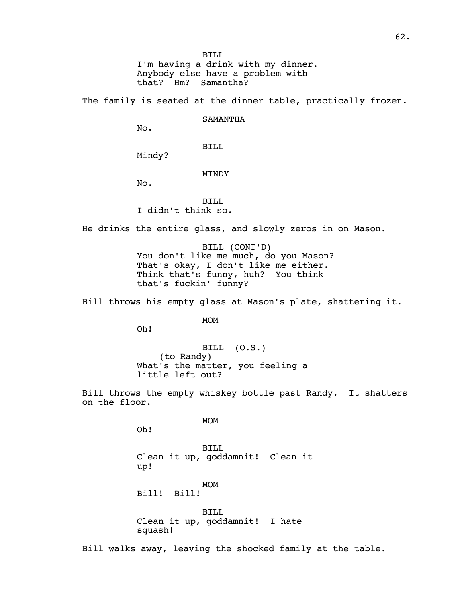I'm having a drink with my dinner. Anybody else have a problem with that? Hm? Samantha?

The family is seated at the dinner table, practically frozen.

**SAMANTHA** 

No.

BILL

Mindy?

# MINDY

No.

BILL I didn't think so.

He drinks the entire glass, and slowly zeros in on Mason.

BILL (CONT'D) You don't like me much, do you Mason? That's okay, I don't like me either. Think that's funny, huh? You think that's fuckin' funny?

Bill throws his empty glass at Mason's plate, shattering it.

MOM

Oh!

BILL (O.S.) (to Randy) What's the matter, you feeling a little left out?

Bill throws the empty whiskey bottle past Randy. It shatters on the floor.

MOM

Oh!

BILL Clean it up, goddamnit! Clean it up!

MOM Bill! Bill!

BILL Clean it up, goddamnit! I hate squash!

Bill walks away, leaving the shocked family at the table.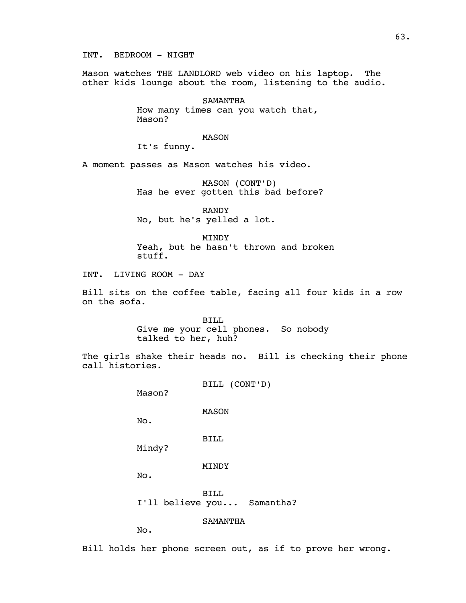INT. BEDROOM - NIGHT

Mason watches THE LANDLORD web video on his laptop. The other kids lounge about the room, listening to the audio.

> SAMANTHA How many times can you watch that, Mason?

> > MASON

It's funny.

A moment passes as Mason watches his video.

MASON (CONT'D) Has he ever gotten this bad before?

RANDY No, but he's yelled a lot.

MINDY Yeah, but he hasn't thrown and broken stuff.

INT. LIVING ROOM - DAY

Bill sits on the coffee table, facing all four kids in a row on the sofa.

> BILL Give me your cell phones. So nobody talked to her, huh?

The girls shake their heads no. Bill is checking their phone call histories.

BILL (CONT'D)

Mason?

MASON

No.

BILL

Mindy?

MINDY

No.

BILL I'll believe you... Samantha?

SAMANTHA

No.

Bill holds her phone screen out, as if to prove her wrong.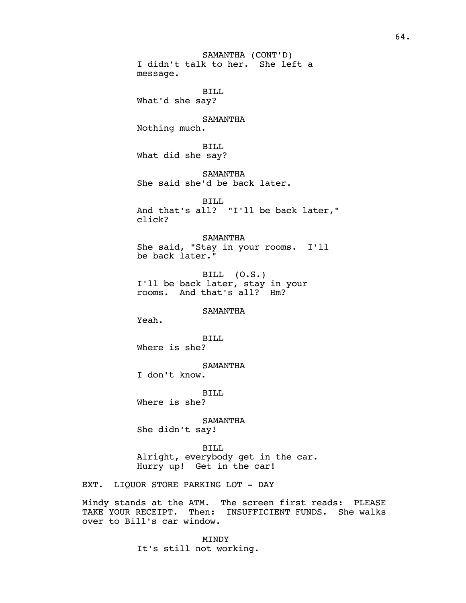SAMANTHA (CONT'D) I didn't talk to her. She left a message. BILL What'd she say? SAMANTHA Nothing much. BILL What did she say? SAMANTHA She said she'd be back later. BILL And that's all? "I'll be back later," click? SAMANTHA She said, "Stay in your rooms. I'll be back later." BILL  $(0.S.)$ I'll be back later, stay in your rooms. And that's all? Hm? SAMANTHA Yeah. BILL Where is she? SAMANTHA I don't know. BILL Where is she? SAMANTHA She didn't say! BILL Alright, everybody get in the car. Hurry up! Get in the car!

EXT. LIQUOR STORE PARKING LOT - DAY

Mindy stands at the ATM. The screen first reads: PLEASE TAKE YOUR RECEIPT. Then: INSUFFICIENT FUNDS. She walks over to Bill's car window.

> MINDY It's still not working.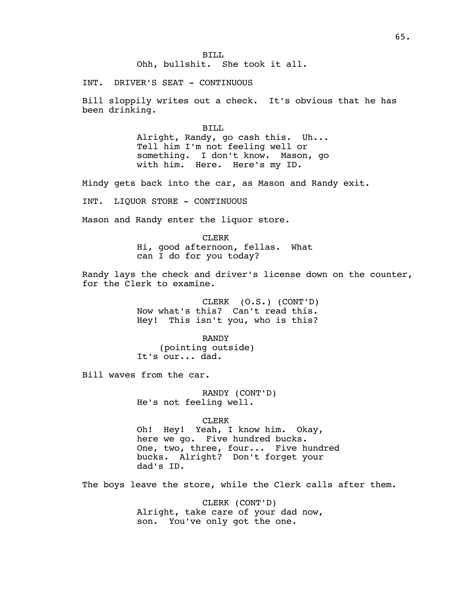## INT. DRIVER'S SEAT - CONTINUOUS

Bill sloppily writes out a check. It's obvious that he has been drinking.

> BILL Alright, Randy, go cash this. Uh... Tell him I'm not feeling well or something. I don't know. Mason, go with him. Here. Here's my ID.

Mindy gets back into the car, as Mason and Randy exit.

INT. LIQUOR STORE - CONTINUOUS

Mason and Randy enter the liquor store.

CLERK Hi, good afternoon, fellas. What can I do for you today?

Randy lays the check and driver's license down on the counter, for the Clerk to examine.

> CLERK (O.S.) (CONT'D) Now what's this? Can't read this. Hey! This isn't you, who is this?

RANDY (pointing outside) It's our... dad.

Bill waves from the car.

RANDY (CONT'D) He's not feeling well.

CLERK

Oh! Hey! Yeah, I know him. Okay, here we go. Five hundred bucks. One, two, three, four... Five hundred bucks. Alright? Don't forget your dad's ID.

The boys leave the store, while the Clerk calls after them.

CLERK (CONT'D) Alright, take care of your dad now, son. You've only got the one.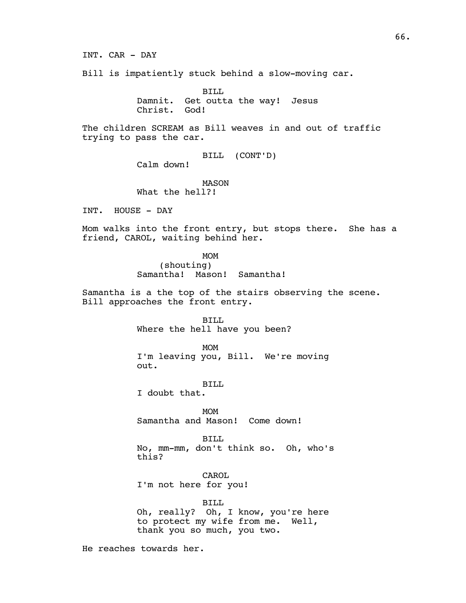INT. CAR - DAY

Bill is impatiently stuck behind a slow-moving car.

BILL Damnit. Get outta the way! Jesus Christ. God!

The children SCREAM as Bill weaves in and out of traffic trying to pass the car.

BILL (CONT'D)

Calm down!

MASON What the hell?!

INT. HOUSE - DAY

Mom walks into the front entry, but stops there. She has a friend, CAROL, waiting behind her.

> MOM (shouting) Samantha! Mason! Samantha!

Samantha is a the top of the stairs observing the scene. Bill approaches the front entry.

> BILL. Where the hell have you been?

> > MOM

I'm leaving you, Bill. We're moving out.

BILL

I doubt that.

MOM Samantha and Mason! Come down!

BILL No, mm-mm, don't think so. Oh, who's

this?

CAROL I'm not here for you!

BILL

Oh, really? Oh, I know, you're here to protect my wife from me. Well, thank you so much, you two.

He reaches towards her.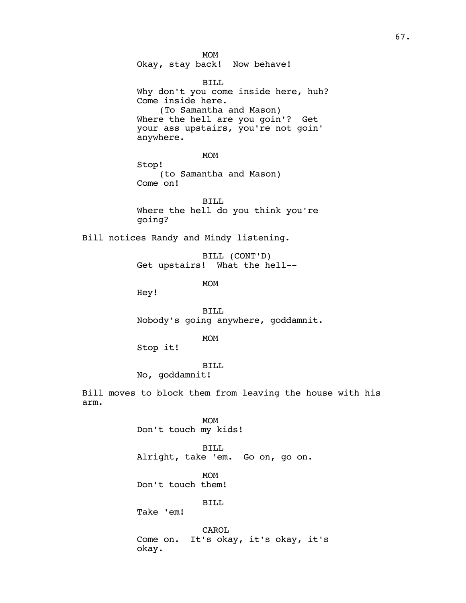MOM Okay, stay back! Now behave! BILL Why don't you come inside here, huh? Come inside here. (To Samantha and Mason) Where the hell are you goin'? Get your ass upstairs, you're not goin' anywhere. MOM Stop! (to Samantha and Mason) Come on! BILL Where the hell do you think you're going? Bill notices Randy and Mindy listening. BILL (CONT'D) Get upstairs! What the hell-- MOM Hey! BILL Nobody's going anywhere, goddamnit. MOM Stop it! BILL No, goddamnit! Bill moves to block them from leaving the house with his arm. MOM Don't touch my kids! BILL Alright, take 'em. Go on, go on. MOM Don't touch them! BILL Take 'em! CAROL Come on. It's okay, it's okay, it's

okay.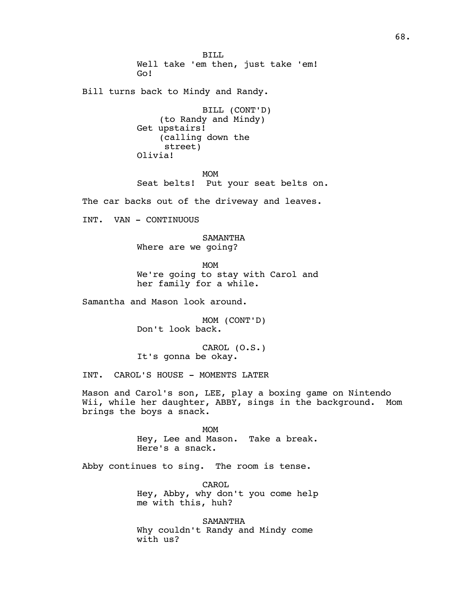BILL Well take 'em then, just take 'em! Go!

Bill turns back to Mindy and Randy.

BILL (CONT'D) (to Randy and Mindy) Get upstairs! (calling down the street) Olivia!

MOM Seat belts! Put your seat belts on.

The car backs out of the driveway and leaves.

INT. VAN - CONTINUOUS

SAMANTHA Where are we going?

MOM We're going to stay with Carol and her family for a while.

Samantha and Mason look around.

MOM (CONT'D) Don't look back.

CAROL (O.S.) It's gonna be okay.

INT. CAROL'S HOUSE - MOMENTS LATER

Mason and Carol's son, LEE, play a boxing game on Nintendo Wii, while her daughter, ABBY, sings in the background. Mom brings the boys a snack.

> MOM Hey, Lee and Mason. Take a break. Here's a snack.

Abby continues to sing. The room is tense.

CAROL Hey, Abby, why don't you come help me with this, huh?

SAMANTHA Why couldn't Randy and Mindy come with us?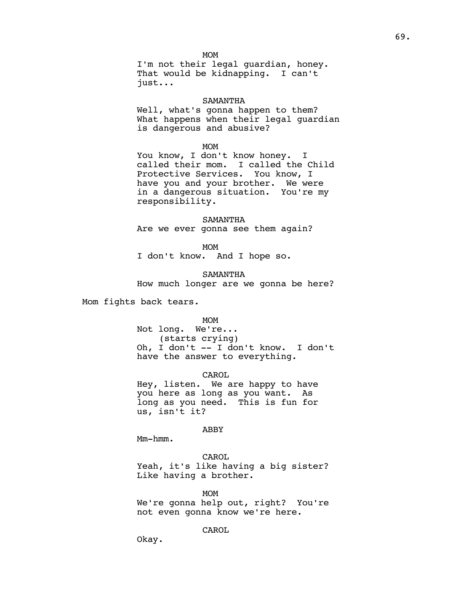MOM I'm not their legal quardian, honey. That would be kidnapping. I can't just...

#### SAMANTHA

Well, what's gonna happen to them? What happens when their legal guardian is dangerous and abusive?

#### MOM

You know, I don't know honey. I called their mom. I called the Child Protective Services. You know, I have you and your brother. We were in a dangerous situation. You're my responsibility.

SAMANTHA

Are we ever gonna see them again?

MOM

I don't know. And I hope so.

SAMANTHA How much longer are we gonna be here?

Mom fights back tears.

MOM

Not long. We're... (starts crying) Oh, I don't -- I don't know. I don't have the answer to everything.

CAROL

Hey, listen. We are happy to have you here as long as you want. As long as you need. This is fun for us, isn't it?

ABBY

Mm-hmm.

CAROL

Yeah, it's like having a big sister? Like having a brother.

MOM We're gonna help out, right? You're not even gonna know we're here.

CAROL

Okay.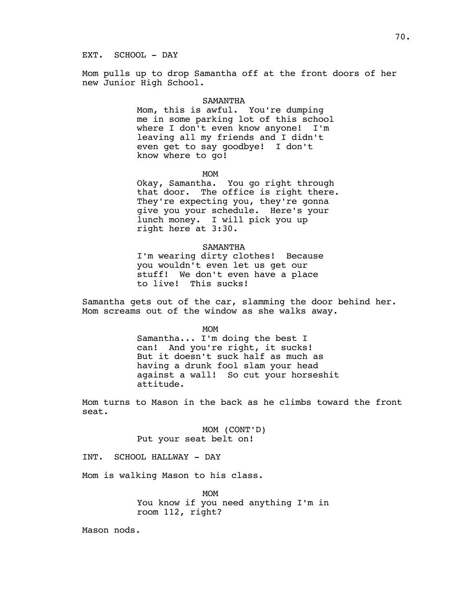## EXT. SCHOOL - DAY

Mom pulls up to drop Samantha off at the front doors of her new Junior High School.

#### SAMANTHA

Mom, this is awful. You're dumping me in some parking lot of this school where I don't even know anyone! I'm leaving all my friends and I didn't even get to say goodbye! I don't know where to go!

MOM

Okay, Samantha. You go right through that door. The office is right there. They're expecting you, they're gonna give you your schedule. Here's your lunch money. I will pick you up right here at 3:30.

#### SAMANTHA

I'm wearing dirty clothes! Because you wouldn't even let us get our stuff! We don't even have a place to live! This sucks!

Samantha gets out of the car, slamming the door behind her. Mom screams out of the window as she walks away.

> MOM Samantha... I'm doing the best I can! And you're right, it sucks! But it doesn't suck half as much as having a drunk fool slam your head against a wall! So cut your horseshit attitude.

Mom turns to Mason in the back as he climbs toward the front seat.

> MOM (CONT'D) Put your seat belt on!

# INT. SCHOOL HALLWAY - DAY

Mom is walking Mason to his class.

MOM You know if you need anything I'm in room 112, right?

Mason nods.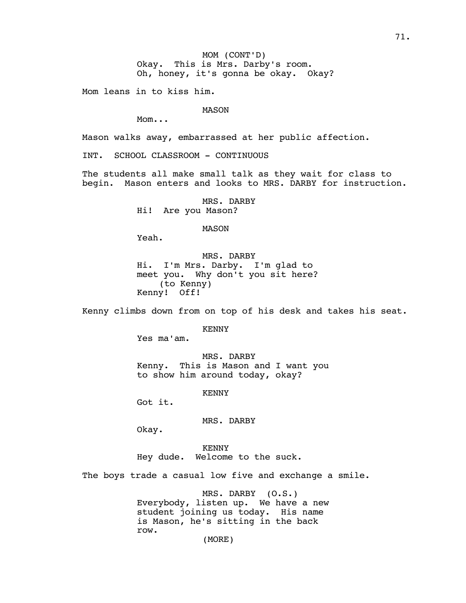MOM (CONT'D) Okay. This is Mrs. Darby's room. Oh, honey, it's gonna be okay. Okay?

Mom leans in to kiss him.

MASON

Mom...

Mason walks away, embarrassed at her public affection.

INT. SCHOOL CLASSROOM - CONTINUOUS

The students all make small talk as they wait for class to begin. Mason enters and looks to MRS. DARBY for instruction.

> MRS. DARBY Hi! Are you Mason?

> > MASON

Yeah.

MRS. DARBY Hi. I'm Mrs. Darby. I'm glad to meet you. Why don't you sit here? (to Kenny) Kenny! Off!

Kenny climbs down from on top of his desk and takes his seat.

KENNY

Yes ma'am.

MRS. DARBY Kenny. This is Mason and I want you to show him around today, okay?

KENNY

Got it.

MRS. DARBY

Okay.

KENNY Hey dude. Welcome to the suck.

The boys trade a casual low five and exchange a smile.

MRS. DARBY (O.S.) Everybody, listen up. We have a new student joining us today. His name is Mason, he's sitting in the back row.

(MORE)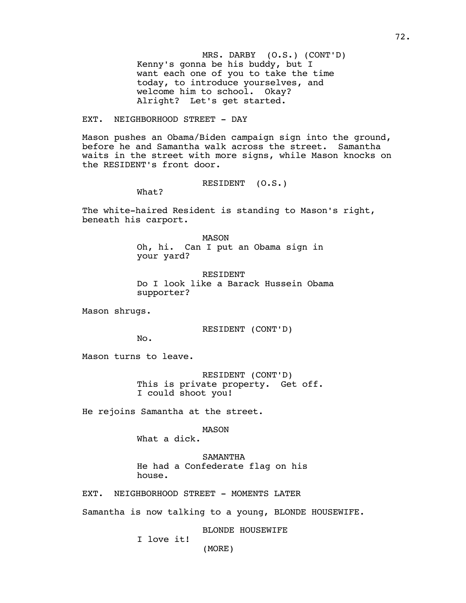MRS. DARBY (O.S.) (CONT'D) Kenny's gonna be his buddy, but I want each one of you to take the time today, to introduce yourselves, and welcome him to school. Okay? Alright? Let's get started.

EXT. NEIGHBORHOOD STREET - DAY

Mason pushes an Obama/Biden campaign sign into the ground, before he and Samantha walk across the street. Samantha waits in the street with more signs, while Mason knocks on the RESIDENT's front door.

RESIDENT (O.S.)

What?

The white-haired Resident is standing to Mason's right, beneath his carport.

MASON

Oh, hi. Can I put an Obama sign in your yard?

**RESIDENT** Do I look like a Barack Hussein Obama supporter?

Mason shrugs.

RESIDENT (CONT'D)

No.

Mason turns to leave.

RESIDENT (CONT'D) This is private property. Get off. I could shoot you!

He rejoins Samantha at the street.

MASON

What a dick.

SAMANTHA He had a Confederate flag on his house.

EXT. NEIGHBORHOOD STREET - MOMENTS LATER

Samantha is now talking to a young, BLONDE HOUSEWIFE.

BLONDE HOUSEWIFE I love it!

(MORE)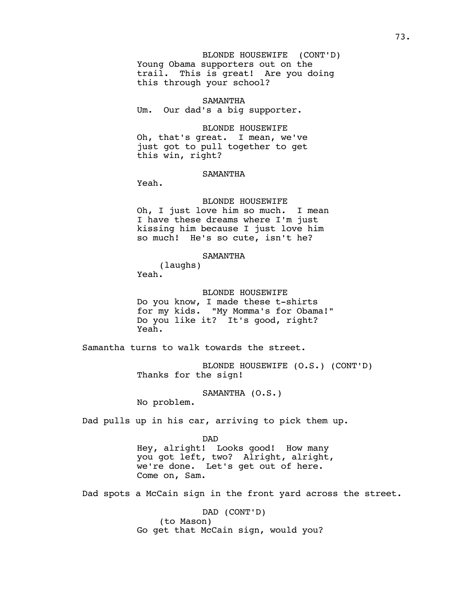BLONDE HOUSEWIFE (CONT'D) Young Obama supporters out on the trail. This is great! Are you doing this through your school?

SAMANTHA Um. Our dad's a big supporter.

BLONDE HOUSEWIFE Oh, that's great. I mean, we've just got to pull together to get this win, right?

# SAMANTHA

Yeah.

## BLONDE HOUSEWIFE

Oh, I just love him so much. I mean I have these dreams where I'm just kissing him because I just love him so much! He's so cute, isn't he?

### SAMANTHA

(laughs) Yeah.

# BLONDE HOUSEWIFE

Do you know, I made these t-shirts for my kids. "My Momma's for Obama!" Do you like it? It's good, right? Yeah.

Samantha turns to walk towards the street.

BLONDE HOUSEWIFE (O.S.) (CONT'D) Thanks for the sign!

SAMANTHA (O.S.)

No problem.

Dad pulls up in his car, arriving to pick them up.

#### DAD

Hey, alright! Looks good! How many you got left, two? Alright, alright, we're done. Let's get out of here. Come on, Sam.

Dad spots a McCain sign in the front yard across the street.

DAD (CONT'D) (to Mason) Go get that McCain sign, would you?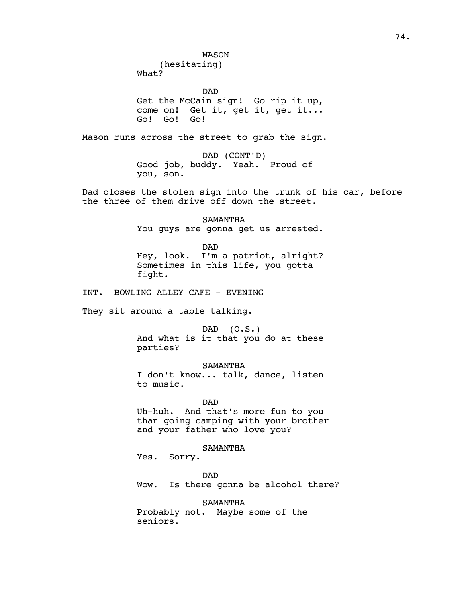What?

DAD Get the McCain sign! Go rip it up, come on! Get it, get it, get it...<br>Go! Go! Go! Go! Go! Go!

Mason runs across the street to grab the sign.

DAD (CONT'D) Good job, buddy. Yeah. Proud of you, son.

Dad closes the stolen sign into the trunk of his car, before the three of them drive off down the street.

> SAMANTHA You guys are gonna get us arrested.

> DAD Hey, look. I'm a patriot, alright? Sometimes in this life, you gotta fight.

INT. BOWLING ALLEY CAFE - EVENING

They sit around a table talking.

DAD (O.S.) And what is it that you do at these parties?

SAMANTHA I don't know... talk, dance, listen to music.

DAD

Uh-huh. And that's more fun to you than going camping with your brother and your father who love you?

SAMANTHA

Yes. Sorry.

DAD

Wow. Is there gonna be alcohol there?

SAMANTHA Probably not. Maybe some of the seniors.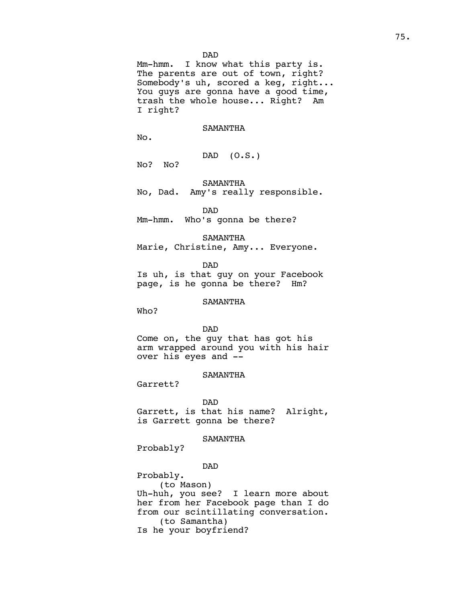Mm-hmm. I know what this party is. The parents are out of town, right? Somebody's uh, scored a keg, right... You guys are gonna have a good time, trash the whole house... Right? Am I right?

#### SAMANTHA

No.

DAD (O.S.)

No? No?

SAMANTHA No, Dad. Amy's really responsible.

DAD

Mm-hmm. Who's gonna be there?

SAMANTHA

Marie, Christine, Amy... Everyone.

DAD

Is uh, is that guy on your Facebook page, is he gonna be there? Hm?

# SAMANTHA

Who?

#### DAD

Come on, the guy that has got his arm wrapped around you with his hair over his eyes and --

## SAMANTHA

Garrett?

DAD

Garrett, is that his name? Alright, is Garrett gonna be there?

# SAMANTHA

Probably?

# DAD

Probably. (to Mason) Uh-huh, you see? I learn more about her from her Facebook page than I do from our scintillating conversation. (to Samantha) Is he your boyfriend?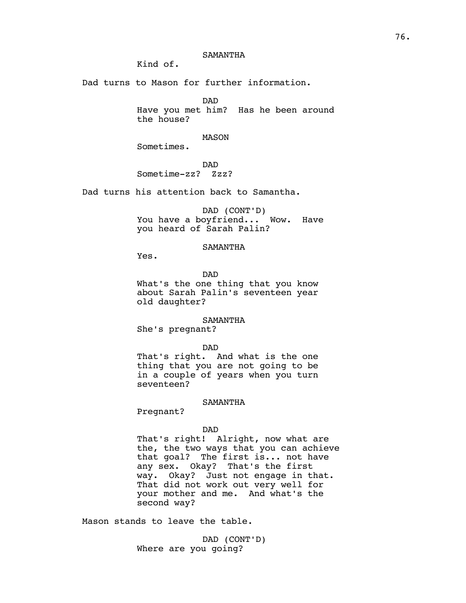Kind of.

Dad turns to Mason for further information.

DAD

Have you met him? Has he been around the house?

MASON

Sometimes.

DAD Sometime-zz? Zzz?

Dad turns his attention back to Samantha.

DAD (CONT'D) You have a boyfriend... Wow. Have you heard of Sarah Palin?

# SAMANTHA

Yes.

DAD What's the one thing that you know about Sarah Palin's seventeen year old daughter?

#### SAMANTHA

She's pregnant?

#### DAD

That's right. And what is the one thing that you are not going to be in a couple of years when you turn seventeen?

# SAMANTHA

Pregnant?

#### DAD

That's right! Alright, now what are the, the two ways that you can achieve that goal? The first is... not have any sex. Okay? That's the first way. Okay? Just not engage in that. That did not work out very well for your mother and me. And what's the second way?

Mason stands to leave the table.

DAD (CONT'D) Where are you going?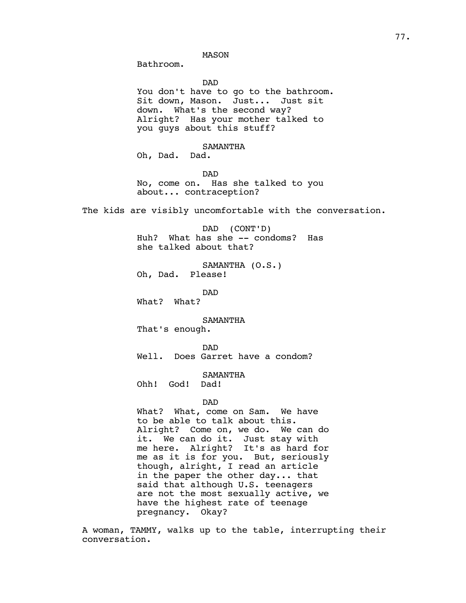# MASON

Bathroom.

DAD You don't have to go to the bathroom. Sit down, Mason. Just... Just sit down. What's the second way? Alright? Has your mother talked to you guys about this stuff?

# SAMANTHA

Oh, Dad. Dad.

DAD

No, come on. Has she talked to you about... contraception?

The kids are visibly uncomfortable with the conversation.

DAD (CONT'D) Huh? What has she -- condoms? Has she talked about that?

SAMANTHA (O.S.) Oh, Dad. Please!

DAD

What? What?

SAMANTHA

That's enough.

DAD Well. Does Garret have a condom?

SAMANTHA

Ohh! God! Dad!

#### DAD

What? What, come on Sam. We have to be able to talk about this. Alright? Come on, we do. We can do it. We can do it. Just stay with me here. Alright? It's as hard for me as it is for you. But, seriously though, alright, I read an article in the paper the other day... that said that although U.S. teenagers are not the most sexually active, we have the highest rate of teenage pregnancy. Okay?

A woman, TAMMY, walks up to the table, interrupting their conversation.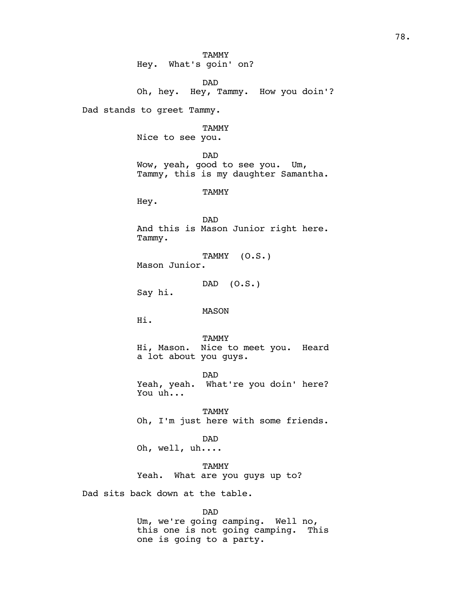TAMMY Hey. What's goin' on? DAD Oh, hey. Hey, Tammy. How you doin'? Dad stands to greet Tammy. TAMMY Nice to see you. DAD Wow, yeah, good to see you. Um, Tammy, this is my daughter Samantha. TAMMY Hey. DAD And this is Mason Junior right here. Tammy. TAMMY (O.S.) Mason Junior. DAD (O.S.) Say hi. MASON Hi. TAMMY Hi, Mason. Nice to meet you. Heard a lot about you guys. DAD Yeah, yeah. What're you doin' here? You uh... TAMMY Oh, I'm just here with some friends. DAD Oh, well, uh.... TAMMY Yeah. What are you guys up to? Dad sits back down at the table. DAD Um, we're going camping. Well no,

this one is not going camping. This

one is going to a party.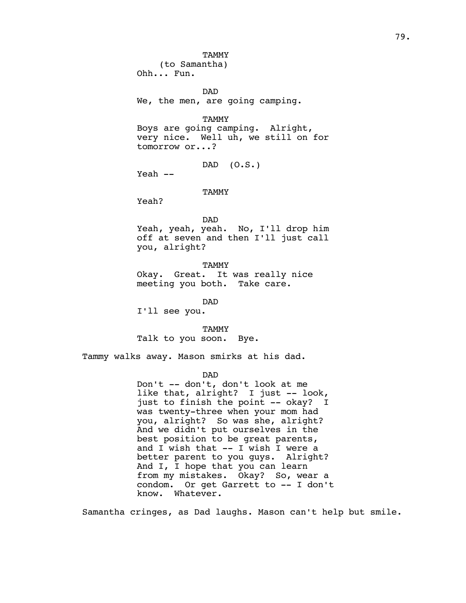TAMMY (to Samantha) Ohh... Fun. DAD We, the men, are going camping. TAMMY Boys are going camping. Alright, very nice. Well uh, we still on for tomorrow or...? DAD (O.S.)  $Yeah$  --TAMMY Yeah?

DAD Yeah, yeah, yeah. No, I'll drop him off at seven and then I'll just call you, alright?

TAMMY Okay. Great. It was really nice meeting you both. Take care.

DAD

I'll see you.

TAMMY Talk to you soon. Bye.

Tammy walks away. Mason smirks at his dad.

DAD

Don't -- don't, don't look at me like that, alright? I just -- look, just to finish the point -- okay? I was twenty-three when your mom had you, alright? So was she, alright? And we didn't put ourselves in the best position to be great parents, and I wish that -- I wish I were a better parent to you guys. Alright? And I, I hope that you can learn from my mistakes. Okay? So, wear a condom. Or get Garrett to -- I don't know. Whatever.

Samantha cringes, as Dad laughs. Mason can't help but smile.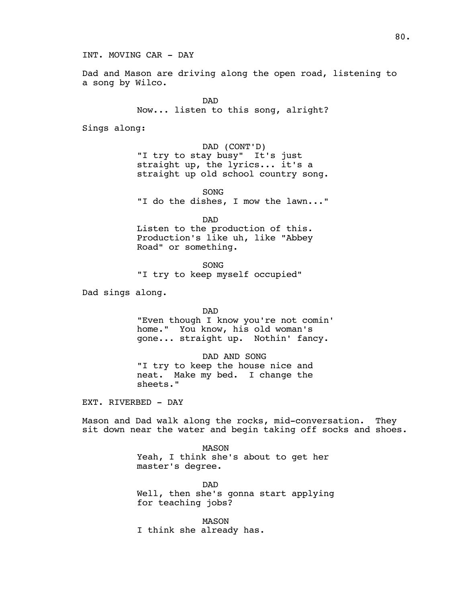Dad and Mason are driving along the open road, listening to a song by Wilco.

> DAD Now... listen to this song, alright?

Sings along:

DAD (CONT'D) "I try to stay busy" It's just straight up, the lyrics... it's a straight up old school country song.

SONG "I do the dishes, I mow the lawn..."

DAD Listen to the production of this. Production's like uh, like "Abbey Road" or something.

SONG "I try to keep myself occupied"

Dad sings along.

DAD

"Even though I know you're not comin' home." You know, his old woman's gone... straight up. Nothin' fancy.

DAD AND SONG "I try to keep the house nice and neat. Make my bed. I change the sheets."

EXT. RIVERBED - DAY

Mason and Dad walk along the rocks, mid-conversation. They sit down near the water and begin taking off socks and shoes.

> MASON Yeah, I think she's about to get her master's degree.

DAD Well, then she's gonna start applying for teaching jobs?

MASON I think she already has.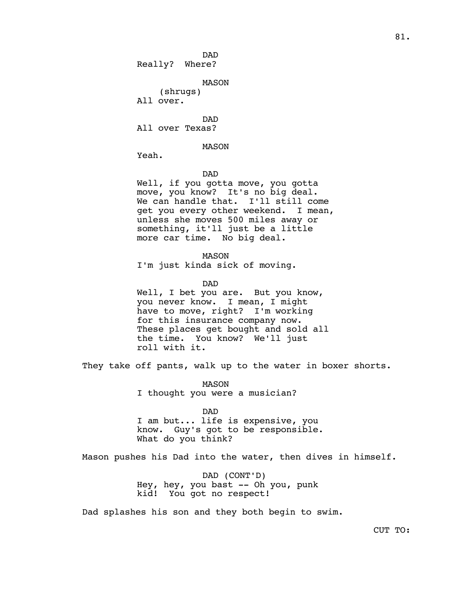DAD Really? Where?

MASON

(shrugs) All over.

DAD

All over Texas?

MASON

Yeah.

# DAD

Well, if you gotta move, you gotta move, you know? It's no big deal. We can handle that. I'll still come get you every other weekend. I mean, unless she moves 500 miles away or something, it'll just be a little more car time. No big deal.

MASON I'm just kinda sick of moving.

DAD

Well, I bet you are. But you know, you never know. I mean, I might have to move, right? I'm working for this insurance company now. These places get bought and sold all the time. You know? We'll just roll with it.

They take off pants, walk up to the water in boxer shorts.

MASON I thought you were a musician?

DAD

I am but... life is expensive, you know. Guy's got to be responsible. What do you think?

Mason pushes his Dad into the water, then dives in himself.

DAD (CONT'D) Hey, hey, you bast -- Oh you, punk kid! You got no respect!

Dad splashes his son and they both begin to swim.

CUT TO: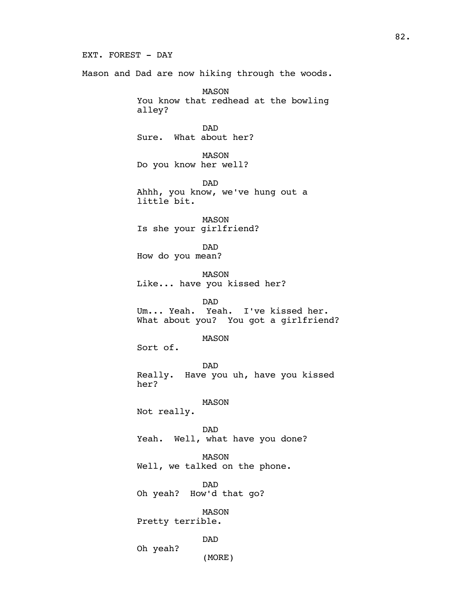# EXT. FOREST - DAY Mason and Dad are now hiking through the woods. MASON You know that redhead at the bowling alley? DAD Sure. What about her? MASON Do you know her well? DAD Ahhh, you know, we've hung out a little bit. MASON Is she your girlfriend? DAD How do you mean? MASON Like... have you kissed her? DAD Um... Yeah. Yeah. I've kissed her. What about you? You got a girlfriend? MASON Sort of. DAD Really. Have you uh, have you kissed her? MASON Not really. DAD Yeah. Well, what have you done? MASON Well, we talked on the phone. DAD Oh yeah? How'd that go? MASON Pretty terrible. DAD Oh yeah?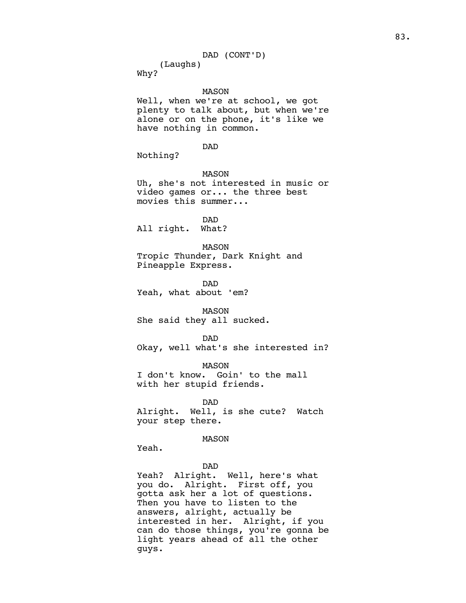(Laughs) Why?

# MASON

Well, when we're at school, we got plenty to talk about, but when we're alone or on the phone, it's like we have nothing in common.

#### DAD

Nothing?

#### MASON

Uh, she's not interested in music or video games or... the three best movies this summer...

DAD All right. What?

# MASON

Tropic Thunder, Dark Knight and Pineapple Express.

DAD Yeah, what about 'em?

MASON She said they all sucked.

#### DAD

Okay, well what's she interested in?

MASON I don't know. Goin' to the mall with her stupid friends.

### DAD

Alright. Well, is she cute? Watch your step there.

# MASON

Yeah.

#### DAD

Yeah? Alright. Well, here's what you do. Alright. First off, you gotta ask her a lot of questions. Then you have to listen to the answers, alright, actually be interested in her. Alright, if you can do those things, you're gonna be light years ahead of all the other guys.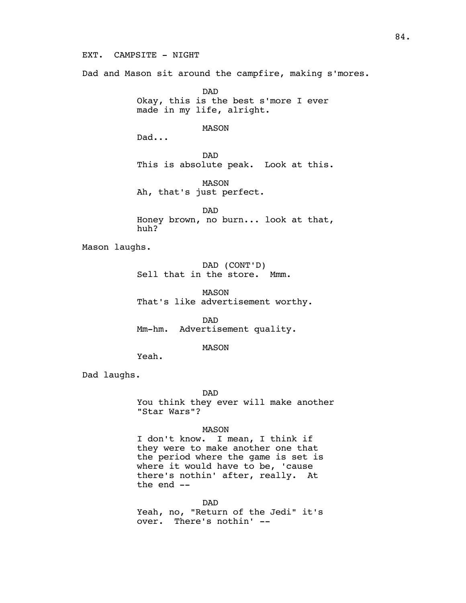#### EXT. CAMPSITE - NIGHT

Dad and Mason sit around the campfire, making s'mores.

DAD Okay, this is the best s'more I ever made in my life, alright.

# MASON

Dad...

DAD This is absolute peak. Look at this.

MASON Ah, that's just perfect.

DAD Honey brown, no burn... look at that, huh?

Mason laughs.

DAD (CONT'D) Sell that in the store. Mmm.

MASON That's like advertisement worthy.

DAD Mm-hm. Advertisement quality.

MASON

Yeah.

Dad laughs.

DAD You think they ever will make another "Star Wars"?

#### MASON

I don't know. I mean, I think if they were to make another one that the period where the game is set is where it would have to be, 'cause there's nothin' after, really. At the end --

DAD

Yeah, no, "Return of the Jedi" it's over. There's nothin' --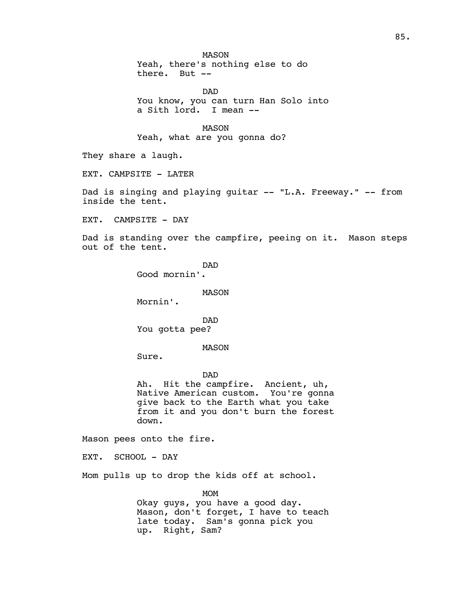MASON Yeah, there's nothing else to do there. But --

DAD You know, you can turn Han Solo into a Sith lord. I mean --

MASON Yeah, what are you gonna do?

They share a laugh.

EXT. CAMPSITE - LATER

Dad is singing and playing guitar -- "L.A. Freeway." -- from inside the tent.

EXT. CAMPSITE - DAY

Dad is standing over the campfire, peeing on it. Mason steps out of the tent.

DAD

Good mornin'.

MASON

Mornin'.

DAD You gotta pee?

MASON

Sure.

DAD

Ah. Hit the campfire. Ancient, uh, Native American custom. You're gonna give back to the Earth what you take from it and you don't burn the forest down.

Mason pees onto the fire.

EXT. SCHOOL - DAY

Mom pulls up to drop the kids off at school.

MOM Okay guys, you have a good day. Mason, don't forget, I have to teach late today. Sam's gonna pick you up. Right, Sam?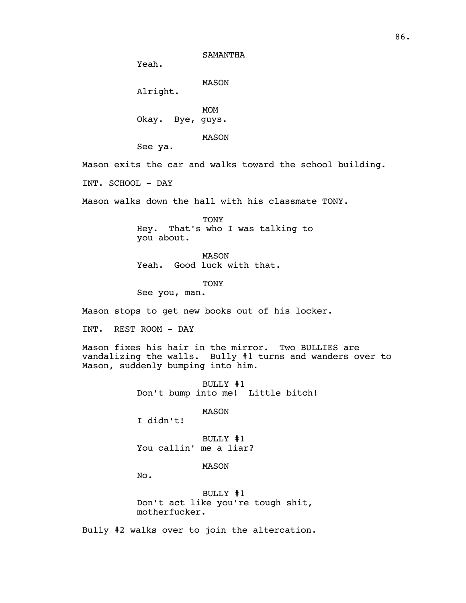Yeah.

MASON

Alright.

MOM Okay. Bye, guys.

MASON

See ya.

Mason exits the car and walks toward the school building.

INT. SCHOOL - DAY

Mason walks down the hall with his classmate TONY.

**TONY** Hey. That's who I was talking to you about.

MASON Yeah. Good luck with that.

TONY

See you, man.

Mason stops to get new books out of his locker.

INT. REST ROOM - DAY

Mason fixes his hair in the mirror. Two BULLIES are vandalizing the walls. Bully #1 turns and wanders over to Mason, suddenly bumping into him.

> BULLY #1 Don't bump into me! Little bitch!

> > MASON

I didn't!

BULLY #1 You callin' me a liar?

MASON

No.

BULLY #1 Don't act like you're tough shit, motherfucker.

Bully #2 walks over to join the altercation.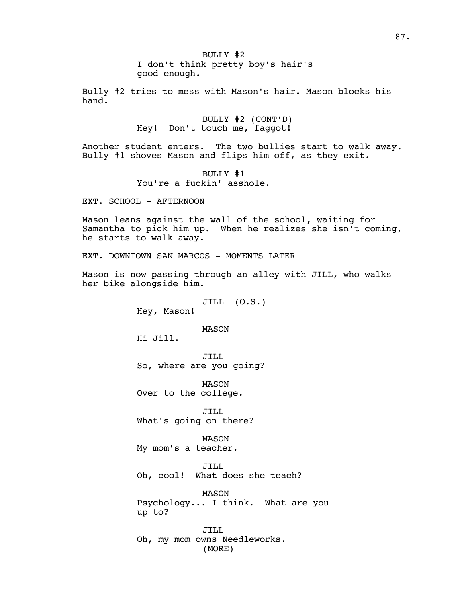Bully #2 tries to mess with Mason's hair. Mason blocks his hand.

> BULLY #2 (CONT'D) Hey! Don't touch me, faggot!

Another student enters. The two bullies start to walk away. Bully #1 shoves Mason and flips him off, as they exit.

> BULLY #1 You're a fuckin' asshole.

EXT. SCHOOL - AFTERNOON

Mason leans against the wall of the school, waiting for Samantha to pick him up. When he realizes she isn't coming, he starts to walk away.

EXT. DOWNTOWN SAN MARCOS - MOMENTS LATER

Mason is now passing through an alley with JILL, who walks her bike alongside him.

JILL (O.S.)

Hey, Mason!

# MASON

Hi Jill.

JILL So, where are you going?

MASON Over to the college.

JILL What's going on there?

MASON My mom's a teacher.

JILL Oh, cool! What does she teach?

MASON Psychology... I think. What are you up to?

JILL Oh, my mom owns Needleworks. (MORE)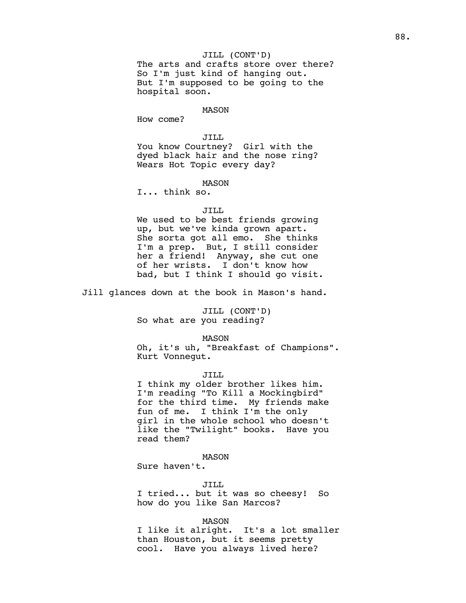# JILL (CONT'D)

The arts and crafts store over there? So I'm just kind of hanging out. But I'm supposed to be going to the hospital soon.

#### MASON

How come?

# JILL

You know Courtney? Girl with the dyed black hair and the nose ring? Wears Hot Topic every day?

# MASON

I... think so.

#### JILL

We used to be best friends growing up, but we've kinda grown apart. She sorta got all emo. She thinks I'm a prep. But, I still consider her a friend! Anyway, she cut one of her wrists. I don't know how bad, but I think I should go visit.

Jill glances down at the book in Mason's hand.

#### JILL (CONT'D)

So what are you reading?

## MASON

Oh, it's uh, "Breakfast of Champions". Kurt Vonnegut.

#### JILL

I think my older brother likes him. I'm reading "To Kill a Mockingbird" for the third time. My friends make fun of me. I think I'm the only girl in the whole school who doesn't like the "Twilight" books. Have you read them?

# MASON

Sure haven't.

#### JILL

I tried... but it was so cheesy! So how do you like San Marcos?

# MASON

I like it alright. It's a lot smaller than Houston, but it seems pretty cool. Have you always lived here?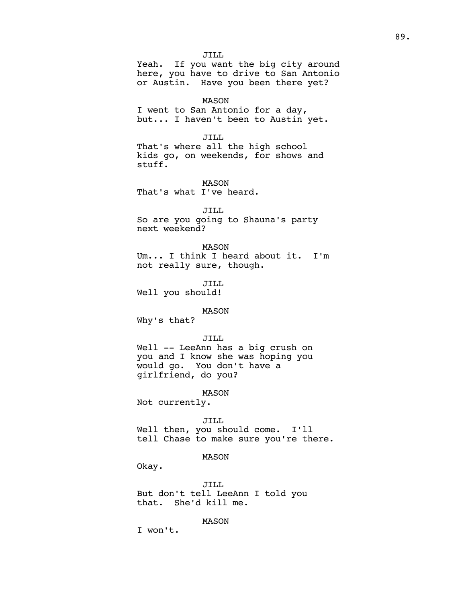JILL Yeah. If you want the big city around here, you have to drive to San Antonio or Austin. Have you been there yet?

#### MASON

I went to San Antonio for a day, but... I haven't been to Austin yet.

#### JILL

That's where all the high school kids go, on weekends, for shows and stuff.

MASON That's what I've heard.

#### JILL

So are you going to Shauna's party next weekend?

#### MASON

Um... I think I heard about it. I'm not really sure, though.

JILL Well you should!

Why's that?

## JILL

MASON

Well -- LeeAnn has a big crush on you and I know she was hoping you would go. You don't have a girlfriend, do you?

#### MASON

Not currently.

#### JILL

Well then, you should come. I'll tell Chase to make sure you're there.

#### MASON

Okay.

JILL But don't tell LeeAnn I told you that. She'd kill me.

# MASON

I won't.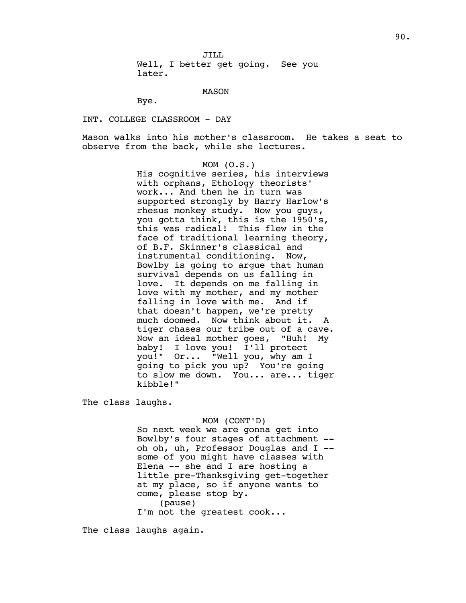JILL Well, I better get going. See you later.

MASON

Bye.

INT. COLLEGE CLASSROOM - DAY

Mason walks into his mother's classroom. He takes a seat to observe from the back, while she lectures.

#### $MOM$   $(O.S.)$

His cognitive series, his interviews with orphans, Ethology theorists' work... And then he in turn was supported strongly by Harry Harlow's rhesus monkey study. Now you guys, you gotta think, this is the 1950's, this was radical! This flew in the face of traditional learning theory, of B.F. Skinner's classical and instrumental conditioning. Now, Bowlby is going to argue that human survival depends on us falling in love. It depends on me falling in love with my mother, and my mother falling in love with me. And if that doesn't happen, we're pretty much doomed. Now think about it. A tiger chases our tribe out of a cave. Now an ideal mother goes, "Huh! My baby! I love you! I'll protect you!" Or... "Well you, why am I going to pick you up? You're going to slow me down. You... are... tiger kibble!"

The class laughs.

#### MOM (CONT'D)

So next week we are gonna get into Bowlby's four stages of attachment - oh oh, uh, Professor Douglas and I - some of you might have classes with Elena -- she and I are hosting a little pre-Thanksgiving get-together at my place, so if anyone wants to come, please stop by. (pause) I'm not the greatest cook...

The class laughs again.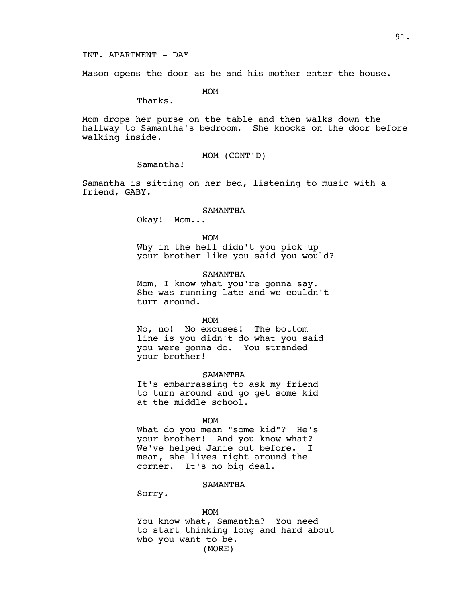Mason opens the door as he and his mother enter the house.

MOM

Thanks.

Mom drops her purse on the table and then walks down the hallway to Samantha's bedroom. She knocks on the door before walking inside.

MOM (CONT'D)

Samantha!

Samantha is sitting on her bed, listening to music with a friend, GABY.

## SAMANTHA

Okay! Mom...

MOM

Why in the hell didn't you pick up your brother like you said you would?

SAMANTHA

Mom, I know what you're gonna say. She was running late and we couldn't turn around.

MOM

No, no! No excuses! The bottom line is you didn't do what you said you were gonna do. You stranded your brother!

## SAMANTHA

It's embarrassing to ask my friend to turn around and go get some kid at the middle school.

#### MOM

What do you mean "some kid"? He's your brother! And you know what? We've helped Janie out before. I mean, she lives right around the corner. It's no big deal.

#### SAMANTHA

Sorry.

#### MOM

You know what, Samantha? You need to start thinking long and hard about who you want to be. (MORE)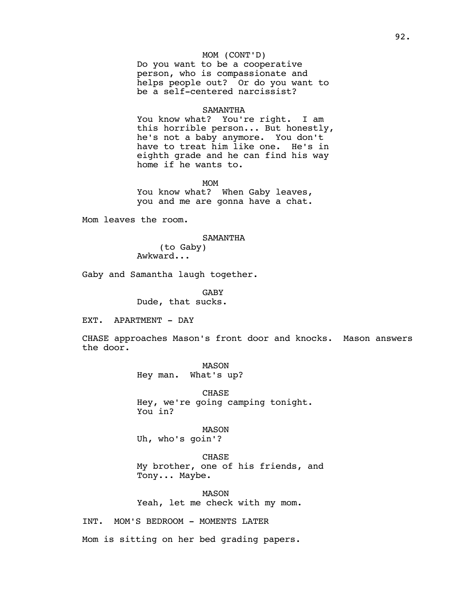# MOM (CONT'D)

Do you want to be a cooperative person, who is compassionate and helps people out? Or do you want to be a self-centered narcissist?

#### SAMANTHA

You know what? You're right. I am this horrible person... But honestly, he's not a baby anymore. You don't have to treat him like one. He's in eighth grade and he can find his way home if he wants to.

MOM

You know what? When Gaby leaves, you and me are gonna have a chat.

Mom leaves the room.

#### SAMANTHA

(to Gaby) Awkward...

Gaby and Samantha laugh together.

**GABY** Dude, that sucks.

EXT. APARTMENT - DAY

CHASE approaches Mason's front door and knocks. Mason answers the door.

> MASON Hey man. What's up?

**CHASE** Hey, we're going camping tonight. You in?

MASON Uh, who's goin'?

**CHASE** My brother, one of his friends, and Tony... Maybe.

MASON Yeah, let me check with my mom.

INT. MOM'S BEDROOM - MOMENTS LATER

Mom is sitting on her bed grading papers.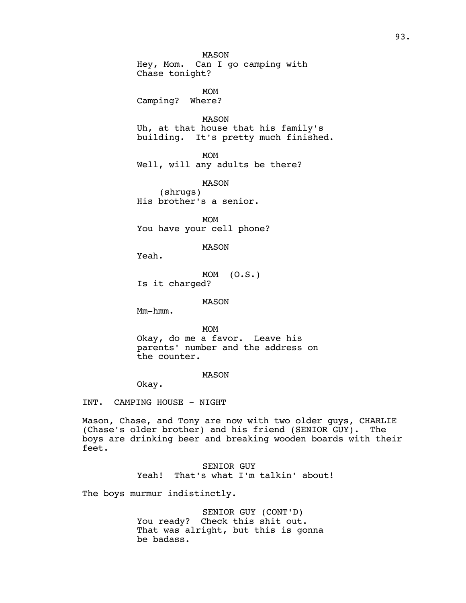MASON Hey, Mom. Can I go camping with Chase tonight?

MOM Camping? Where?

MASON Uh, at that house that his family's building. It's pretty much finished.

MOM Well, will any adults be there?

MASON (shrugs) His brother's a senior.

MOM You have your cell phone?

MASON

Yeah.

MOM (O.S.) Is it charged?

MASON

Mm-hmm.

MOM Okay, do me a favor. Leave his parents' number and the address on the counter.

# MASON

Okay.

INT. CAMPING HOUSE - NIGHT

Mason, Chase, and Tony are now with two older guys, CHARLIE (Chase's older brother) and his friend (SENIOR GUY). The boys are drinking beer and breaking wooden boards with their feet.

> SENIOR GUY Yeah! That's what I'm talkin' about!

The boys murmur indistinctly.

SENIOR GUY (CONT'D) You ready? Check this shit out. That was alright, but this is gonna be badass.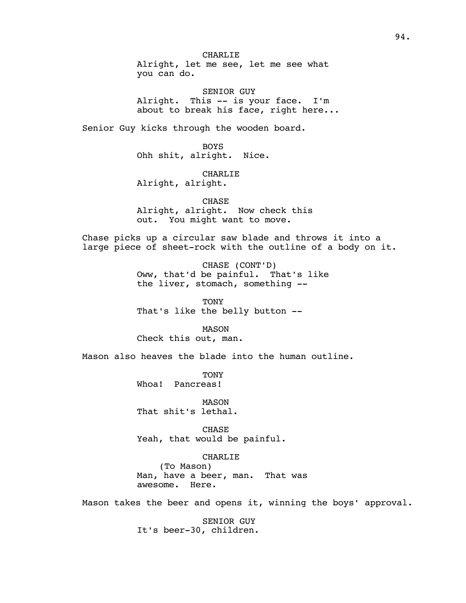CHARLIE Alright, let me see, let me see what you can do.

SENIOR GUY Alright. This -- is your face. I'm about to break his face, right here...

Senior Guy kicks through the wooden board.

BOYS Ohh shit, alright. Nice.

CHARLIE

Alright, alright.

CHASE Alright, alright. Now check this out. You might want to move.

Chase picks up a circular saw blade and throws it into a large piece of sheet-rock with the outline of a body on it.

> CHASE (CONT'D) Oww, that'd be painful. That's like the liver, stomach, something --

**TONY** That's like the belly button --

MASON Check this out, man.

Mason also heaves the blade into the human outline.

**TONY** Whoa! Pancreas!

MASON That shit's lethal.

CHASE Yeah, that would be painful.

CHARLIE

(To Mason) Man, have a beer, man. That was awesome. Here.

Mason takes the beer and opens it, winning the boys' approval.

SENIOR GUY It's beer-30, children.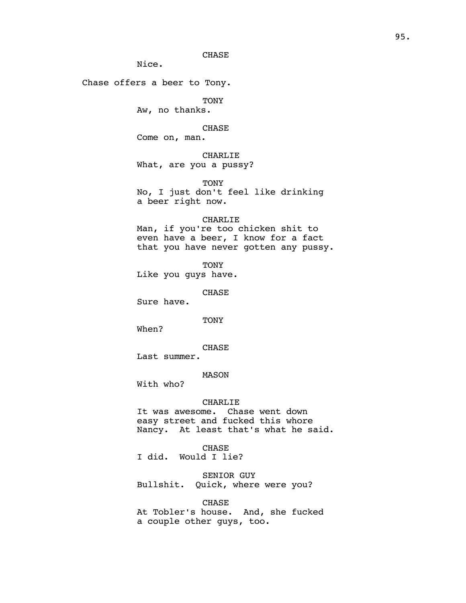**CHASE** 

Nice.

Chase offers a beer to Tony.

**TONY** 

Aw, no thanks.

CHASE

Come on, man.

CHARLIE What, are you a pussy?

TONY

No, I just don't feel like drinking a beer right now.

## CHARLIE

Man, if you're too chicken shit to even have a beer, I know for a fact that you have never gotten any pussy.

**TONY** Like you guys have.

**CHASE** 

Sure have.

TONY

When?

#### CHASE

Last summer.

MASON

With who?

#### CHARLIE

It was awesome. Chase went down easy street and fucked this whore Nancy. At least that's what he said.

# CHASE

I did. Would I lie?

# SENIOR GUY

Bullshit. Quick, where were you?

#### **CHASE**

At Tobler's house. And, she fucked a couple other guys, too.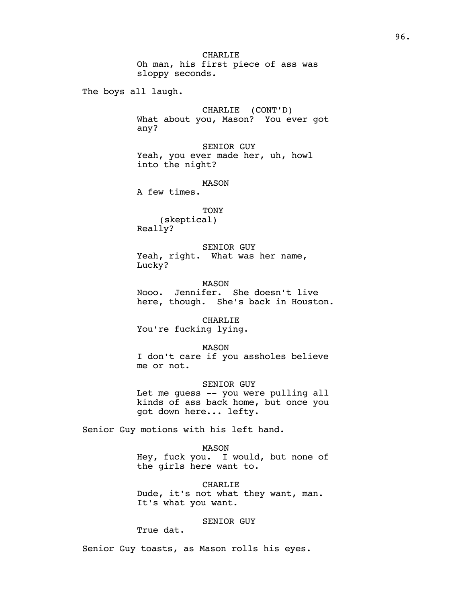CHARLIE Oh man, his first piece of ass was sloppy seconds.

The boys all laugh.

CHARLIE (CONT'D) What about you, Mason? You ever got any?

SENIOR GUY Yeah, you ever made her, uh, howl into the night?

MASON

A few times.

**TONY** (skeptical) Really?

SENIOR GUY Yeah, right. What was her name, Lucky?

MASON Nooo. Jennifer. She doesn't live here, though. She's back in Houston.

CHARLIE You're fucking lying.

MASON

I don't care if you assholes believe me or not.

SENIOR GUY Let me guess -- you were pulling all kinds of ass back home, but once you got down here... lefty.

Senior Guy motions with his left hand.

MASON

Hey, fuck you. I would, but none of the girls here want to.

CHARLIE Dude, it's not what they want, man. It's what you want.

SENIOR GUY

True dat.

Senior Guy toasts, as Mason rolls his eyes.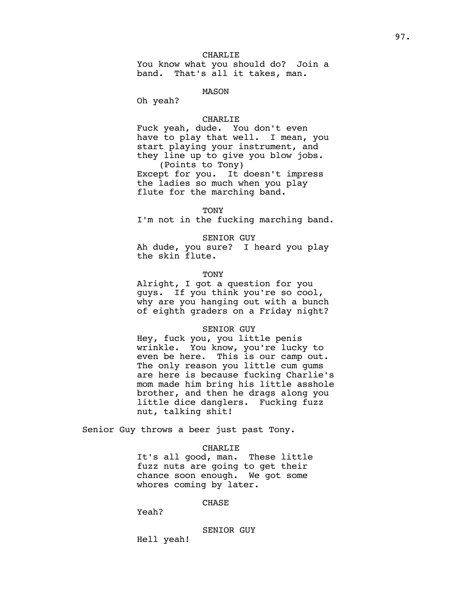# CHARLIE

You know what you should do? Join a band. That's all it takes, man.

# MASON

Oh yeah?

# CHARLIE

Fuck yeah, dude. You don't even have to play that well. I mean, you start playing your instrument, and they line up to give you blow jobs. (Points to Tony)

Except for you. It doesn't impress the ladies so much when you play flute for the marching band.

**TONY** 

I'm not in the fucking marching band.

SENIOR GUY

Ah dude, you sure? I heard you play the skin flute.

# TONY

Alright, I got a question for you guys. If you think you're so cool, why are you hanging out with a bunch of eighth graders on a Friday night?

#### SENIOR GUY

Hey, fuck you, you little penis wrinkle. You know, you're lucky to even be here. This is our camp out. The only reason you little cum gums are here is because fucking Charlie's mom made him bring his little asshole brother, and then he drags along you little dice danglers. Fucking fuzz nut, talking shit!

Senior Guy throws a beer just past Tony.

#### **CHARLIE**

It's all good, man. These little fuzz nuts are going to get their chance soon enough. We got some whores coming by later.

**CHASE** 

Yeah?

SENIOR GUY

Hell yeah!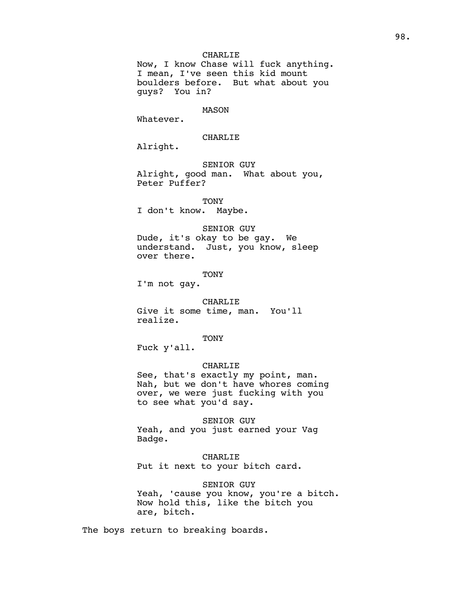# CHARLIE

Now, I know Chase will fuck anything. I mean, I've seen this kid mount boulders before. But what about you guys? You in?

#### MASON

Whatever.

# CHARLIE

Alright.

SENIOR GUY Alright, good man. What about you, Peter Puffer?

**TONY** I don't know. Maybe.

# SENIOR GUY

Dude, it's okay to be gay. We understand. Just, you know, sleep over there.

TONY

I'm not gay.

CHARLIE Give it some time, man. You'll realize.

**TONY** 

Fuck y'all.

## CHARLIE

See, that's exactly my point, man. Nah, but we don't have whores coming over, we were just fucking with you to see what you'd say.

#### SENIOR GUY

Yeah, and you just earned your Vag Badge.

# CHARLIE

Put it next to your bitch card.

#### SENIOR GUY

Yeah, 'cause you know, you're a bitch. Now hold this, like the bitch you are, bitch.

The boys return to breaking boards.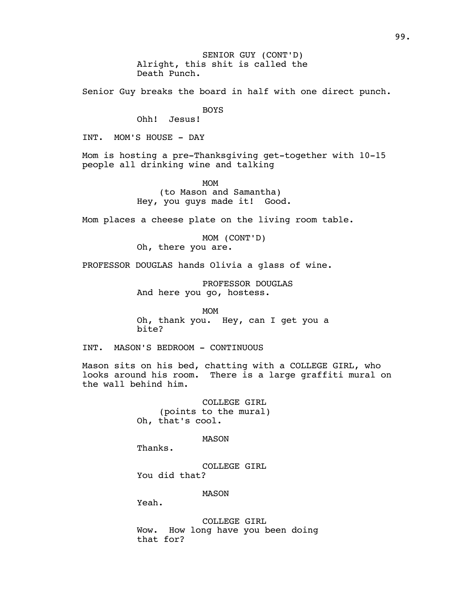SENIOR GUY (CONT'D) Alright, this shit is called the Death Punch.

Senior Guy breaks the board in half with one direct punch.

BOYS

Ohh! Jesus!

INT. MOM'S HOUSE - DAY

Mom is hosting a pre-Thanksgiving get-together with 10-15 people all drinking wine and talking

> MOM (to Mason and Samantha) Hey, you guys made it! Good.

Mom places a cheese plate on the living room table.

MOM (CONT'D) Oh, there you are.

PROFESSOR DOUGLAS hands Olivia a glass of wine.

PROFESSOR DOUGLAS And here you go, hostess.

MOM Oh, thank you. Hey, can I get you a bite?

INT. MASON'S BEDROOM - CONTINUOUS

Mason sits on his bed, chatting with a COLLEGE GIRL, who looks around his room. There is a large graffiti mural on the wall behind him.

> COLLEGE GIRL (points to the mural) Oh, that's cool.

> > MASON

Thanks.

COLLEGE GIRL You did that?

MASON

Yeah.

COLLEGE GIRL Wow. How long have you been doing that for?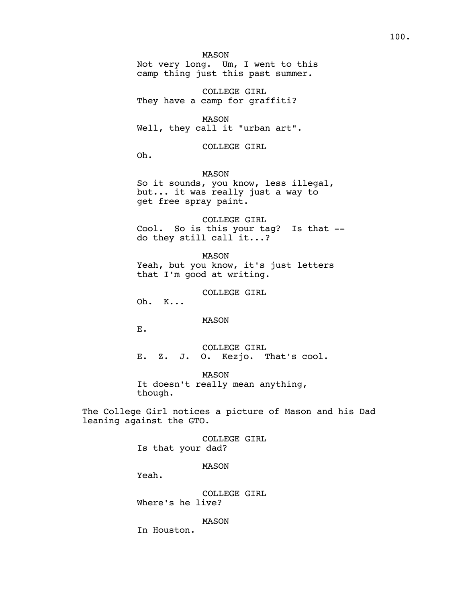# MASON

Not very long. Um, I went to this camp thing just this past summer.

COLLEGE GIRL They have a camp for graffiti?

MASON Well, they call it "urban art".

COLLEGE GIRL

Oh.

MASON So it sounds, you know, less illegal, but... it was really just a way to get free spray paint.

COLLEGE GIRL Cool. So is this your tag? Is that - do they still call it...?

MASON Yeah, but you know, it's just letters that I'm good at writing.

COLLEGE GIRL

Oh. K...

MASON

E.

COLLEGE GIRL E. Z. J. O. Kezjo. That's cool.

MASON It doesn't really mean anything, though.

The College Girl notices a picture of Mason and his Dad leaning against the GTO.

> COLLEGE GIRL Is that your dad?

> > MASON

Yeah.

COLLEGE GIRL Where's he live?

MASON

In Houston.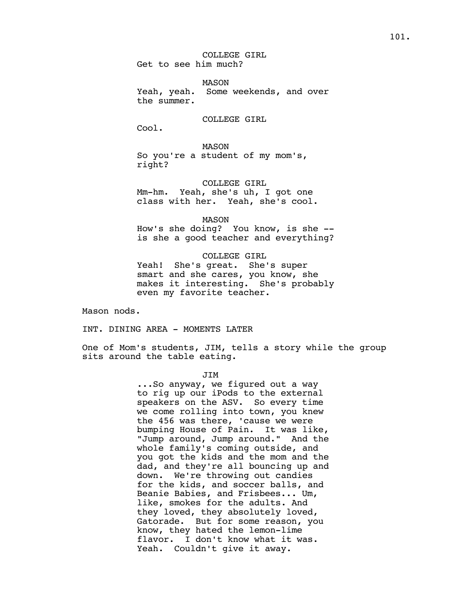COLLEGE GIRL Get to see him much?

MASON Yeah, yeah. Some weekends, and over the summer.

COLLEGE GIRL

Cool.

MASON So you're a student of my mom's, right?

COLLEGE GIRL Mm-hm. Yeah, she's uh, I got one class with her. Yeah, she's cool.

MASON How's she doing? You know, is she - is she a good teacher and everything?

COLLEGE GIRL Yeah! She's great. She's super smart and she cares, you know, she makes it interesting. She's probably even my favorite teacher.

Mason nods.

INT. DINING AREA - MOMENTS LATER

One of Mom's students, JIM, tells a story while the group sits around the table eating.

JIM

...So anyway, we figured out a way to rig up our iPods to the external speakers on the ASV. So every time we come rolling into town, you knew the 456 was there, 'cause we were bumping House of Pain. It was like, "Jump around, Jump around." And the whole family's coming outside, and you got the kids and the mom and the dad, and they're all bouncing up and down. We're throwing out candies for the kids, and soccer balls, and Beanie Babies, and Frisbees... Um, like, smokes for the adults. And they loved, they absolutely loved, Gatorade. But for some reason, you know, they hated the lemon-lime flavor. I don't know what it was. Yeah. Couldn't give it away.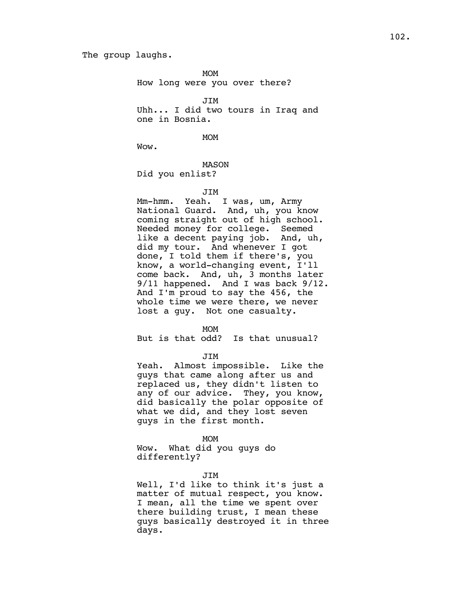MOM How long were you over there?

JIM

Uhh... I did two tours in Iraq and one in Bosnia.

MOM

Wow.

MASON Did you enlist?

#### JIM

Mm-hmm. Yeah. I was, um, Army National Guard. And, uh, you know coming straight out of high school. Needed money for college. Seemed like a decent paying job. And, uh, did my tour. And whenever I got done, I told them if there's, you know, a world-changing event, I'll come back. And, uh, 3 months later 9/11 happened. And I was back 9/12. And I'm proud to say the 456, the whole time we were there, we never lost a guy. Not one casualty.

MOM

But is that odd? Is that unusual?

JIM

Yeah. Almost impossible. Like the guys that came along after us and replaced us, they didn't listen to any of our advice. They, you know, did basically the polar opposite of what we did, and they lost seven guys in the first month.

MOM

Wow. What did you guys do differently?

#### JIM

Well, I'd like to think it's just a matter of mutual respect, you know. I mean, all the time we spent over there building trust, I mean these guys basically destroyed it in three days.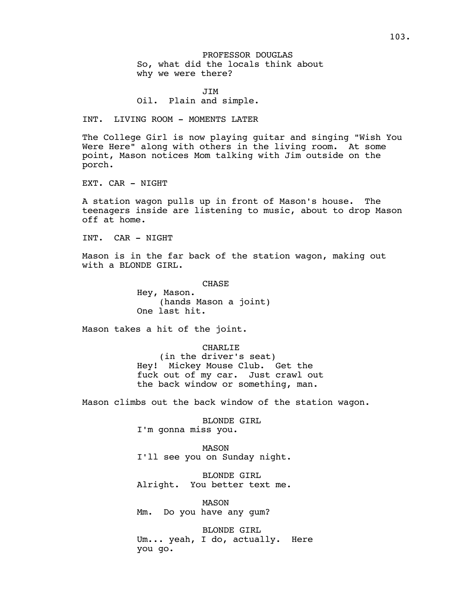PROFESSOR DOUGLAS So, what did the locals think about why we were there?

JIM Oil. Plain and simple.

INT. LIVING ROOM - MOMENTS LATER

The College Girl is now playing guitar and singing "Wish You Were Here" along with others in the living room. At some point, Mason notices Mom talking with Jim outside on the porch.

EXT. CAR - NIGHT

A station wagon pulls up in front of Mason's house. The teenagers inside are listening to music, about to drop Mason off at home.

INT. CAR - NIGHT

Mason is in the far back of the station wagon, making out with a BLONDE GIRL.

> CHASE Hey, Mason. (hands Mason a joint) One last hit.

Mason takes a hit of the joint.

CHARLIE

(in the driver's seat) Hey! Mickey Mouse Club. Get the fuck out of my car. Just crawl out the back window or something, man.

Mason climbs out the back window of the station wagon.

BLONDE GIRL I'm gonna miss you.

MASON I'll see you on Sunday night.

BLONDE GIRL Alright. You better text me.

MASON Mm. Do you have any gum?

BLONDE GIRL Um... yeah, I do, actually. Here you go.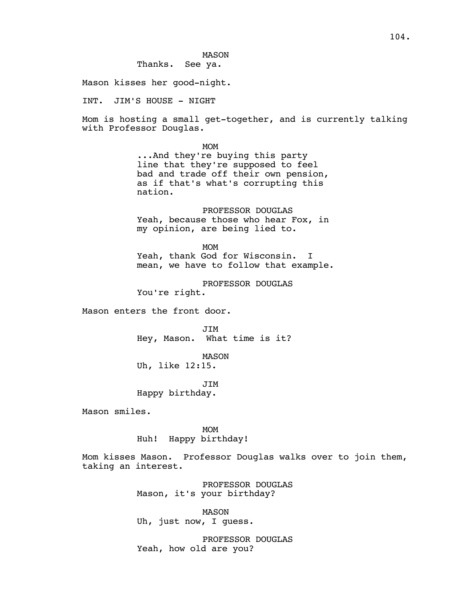MASON Thanks. See ya.

Mason kisses her good-night.

INT. JIM'S HOUSE - NIGHT

Mom is hosting a small get-together, and is currently talking with Professor Douglas.

> MOM ...And they're buying this party line that they're supposed to feel bad and trade off their own pension, as if that's what's corrupting this nation.

> PROFESSOR DOUGLAS Yeah, because those who hear Fox, in my opinion, are being lied to.

MOM Yeah, thank God for Wisconsin. I mean, we have to follow that example.

PROFESSOR DOUGLAS You're right.

Mason enters the front door.

JIM Hey, Mason. What time is it?

MASON Uh, like 12:15.

JIM Happy birthday.

Mason smiles.

MOM Huh! Happy birthday!

Mom kisses Mason. Professor Douglas walks over to join them, taking an interest.

> PROFESSOR DOUGLAS Mason, it's your birthday?

MASON Uh, just now, I guess.

PROFESSOR DOUGLAS Yeah, how old are you?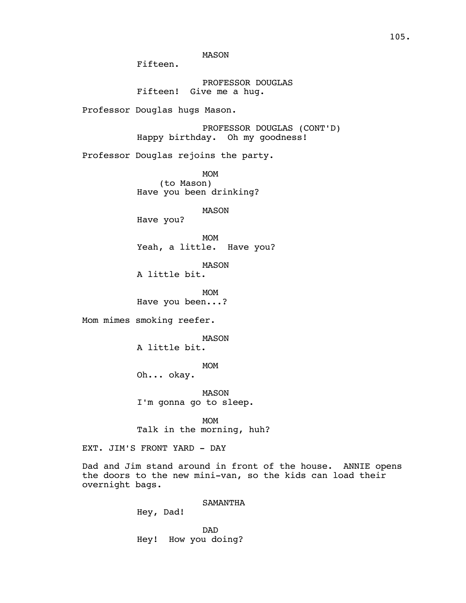MASON

Fifteen.

PROFESSOR DOUGLAS Fifteen! Give me a hug.

Professor Douglas hugs Mason.

PROFESSOR DOUGLAS (CONT'D) Happy birthday. Oh my goodness!

Professor Douglas rejoins the party.

MOM

(to Mason) Have you been drinking?

MASON

Have you?

MOM Yeah, a little. Have you?

MASON

A little bit.

MOM Have you been...?

Mom mimes smoking reefer.

MASON A little bit.

MOM

Oh... okay.

MASON I'm gonna go to sleep.

MOM Talk in the morning, huh?

EXT. JIM'S FRONT YARD - DAY

Dad and Jim stand around in front of the house. ANNIE opens the doors to the new mini-van, so the kids can load their overnight bags.

# SAMANTHA

Hey, Dad!

DAD Hey! How you doing?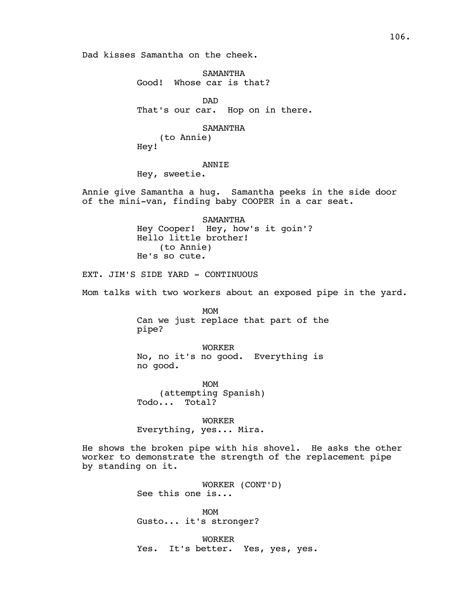Dad kisses Samantha on the cheek.

SAMANTHA Good! Whose car is that?

DAD That's our car. Hop on in there.

SAMANTHA

(to Annie) Hey!

#### ANNIE

Hey, sweetie.

Annie give Samantha a hug. Samantha peeks in the side door of the mini-van, finding baby COOPER in a car seat.

> SAMANTHA Hey Cooper! Hey, how's it goin'? Hello little brother! (to Annie) He's so cute.

EXT. JIM'S SIDE YARD - CONTINUOUS

Mom talks with two workers about an exposed pipe in the yard.

MOM Can we just replace that part of the pipe?

WORKER No, no it's no good. Everything is no good.

MOM (attempting Spanish) Todo... Total?

WORKER Everything, yes... Mira.

He shows the broken pipe with his shovel. He asks the other worker to demonstrate the strength of the replacement pipe by standing on it.

> WORKER (CONT'D) See this one is...

MOM Gusto... it's stronger?

WORKER Yes. It's better. Yes, yes, yes.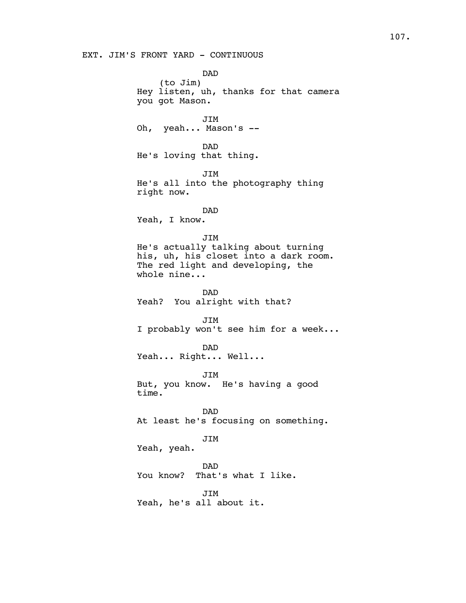# EXT. JIM'S FRONT YARD - CONTINUOUS

DAD (to Jim) Hey listen, uh, thanks for that camera you got Mason. JIM Oh, yeah... Mason's -- DAD He's loving that thing. JIM He's all into the photography thing right now. DAD Yeah, I know. JIM He's actually talking about turning his, uh, his closet into a dark room. The red light and developing, the whole nine... DAD Yeah? You alright with that? JIM I probably won't see him for a week... DAD Yeah... Right... Well... JIM But, you know. He's having a good time. DAD At least he's focusing on something. JIM Yeah, yeah. DAD You know? That's what I like. JIM

Yeah, he's all about it.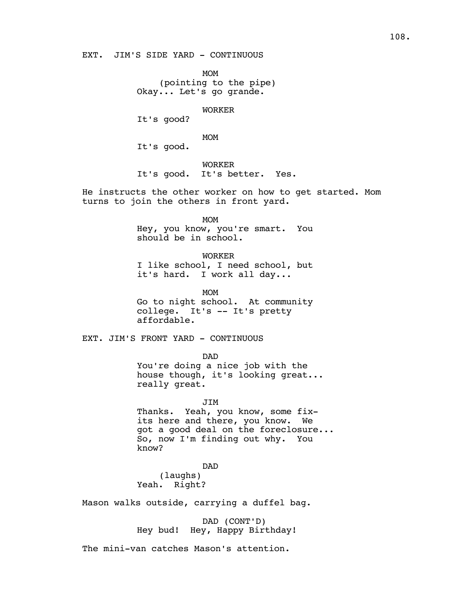EXT. JIM'S SIDE YARD - CONTINUOUS

MOM (pointing to the pipe) Okay... Let's go grande.

WORKER

It's good?

MOM

It's good.

WORKER It's good. It's better. Yes.

He instructs the other worker on how to get started. Mom turns to join the others in front yard.

> MOM Hey, you know, you're smart. You should be in school.

> WORKER I like school, I need school, but it's hard. I work all day...

> MOM Go to night school. At community college. It's -- It's pretty affordable.

EXT. JIM'S FRONT YARD - CONTINUOUS

DAD

You're doing a nice job with the house though, it's looking great... really great.

JIM

Thanks. Yeah, you know, some fixits here and there, you know. We got a good deal on the foreclosure... So, now I'm finding out why. You know?

DAD

(laughs) Yeah. Right?

Mason walks outside, carrying a duffel bag.

DAD (CONT'D) Hey bud! Hey, Happy Birthday!

The mini-van catches Mason's attention.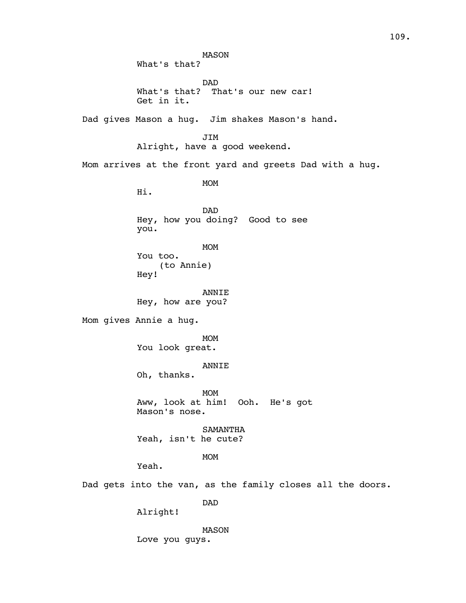MASON What's that? DAD What's that? That's our new car! Get in it. Dad gives Mason a hug. Jim shakes Mason's hand. JIM Alright, have a good weekend. Mom arrives at the front yard and greets Dad with a hug. MOM Hi. DAD Hey, how you doing? Good to see you. MOM You too. (to Annie) Hey! ANNIE Hey, how are you? Mom gives Annie a hug. MOM You look great. ANNIE Oh, thanks. MOM Aww, look at him! Ooh. He's got Mason's nose. SAMANTHA Yeah, isn't he cute? MOM Yeah. Dad gets into the van, as the family closes all the doors. DAD Alright! MASON Love you guys.

109.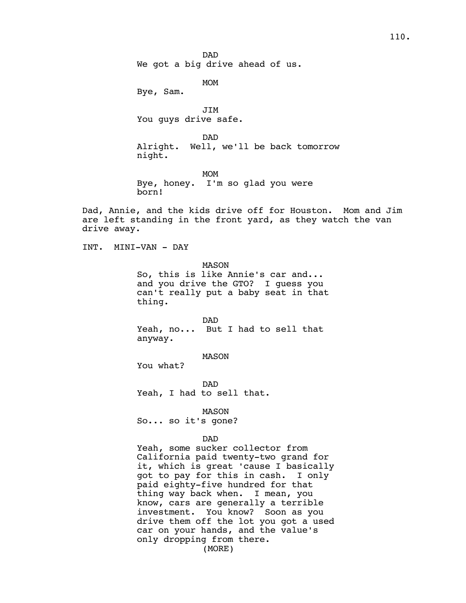DAD We got a big drive ahead of us.

MOM

Bye, Sam.

JIM You guys drive safe.

DAD Alright. Well, we'll be back tomorrow night.

MOM Bye, honey. I'm so glad you were born!

Dad, Annie, and the kids drive off for Houston. Mom and Jim are left standing in the front yard, as they watch the van drive away.

INT. MINI-VAN - DAY

MASON

So, this is like Annie's car and... and you drive the GTO? I guess you can't really put a baby seat in that thing.

DAD Yeah, no... But I had to sell that anyway.

MASON

You what?

DAD Yeah, I had to sell that.

MASON So... so it's gone?

DAD

Yeah, some sucker collector from California paid twenty-two grand for it, which is great 'cause I basically got to pay for this in cash. I only paid eighty-five hundred for that thing way back when. I mean, you know, cars are generally a terrible investment. You know? Soon as you drive them off the lot you got a used car on your hands, and the value's only dropping from there. (MORE)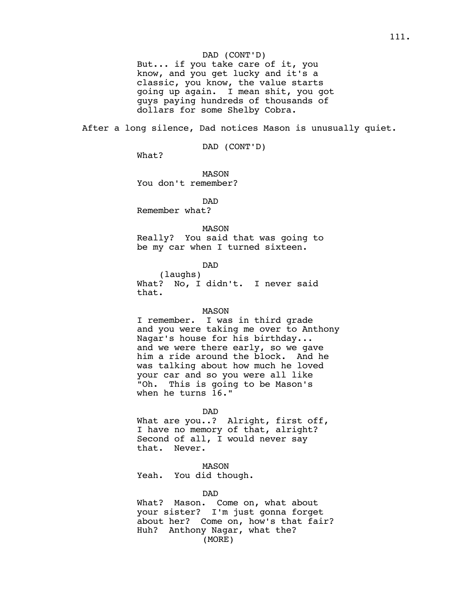## DAD (CONT'D)

But... if you take care of it, you know, and you get lucky and it's a classic, you know, the value starts going up again. I mean shit, you got guys paying hundreds of thousands of dollars for some Shelby Cobra.

After a long silence, Dad notices Mason is unusually quiet.

DAD (CONT'D)

What?

MASON You don't remember?

DAD Remember what?

MASON Really? You said that was going to be my car when I turned sixteen.

DAD

(laughs) What? No, I didn't. I never said that.

### MASON

I remember. I was in third grade and you were taking me over to Anthony Nagar's house for his birthday... and we were there early, so we gave him a ride around the block. And he was talking about how much he loved your car and so you were all like "Oh. This is going to be Mason's when he turns  $16.$ "

#### DAD

What are you..? Alright, first off, I have no memory of that, alright? Second of all, I would never say that. Never.

MASON Yeah. You did though.

DAD

What? Mason. Come on, what about your sister? I'm just gonna forget about her? Come on, how's that fair? Huh? Anthony Nagar, what the? (MORE)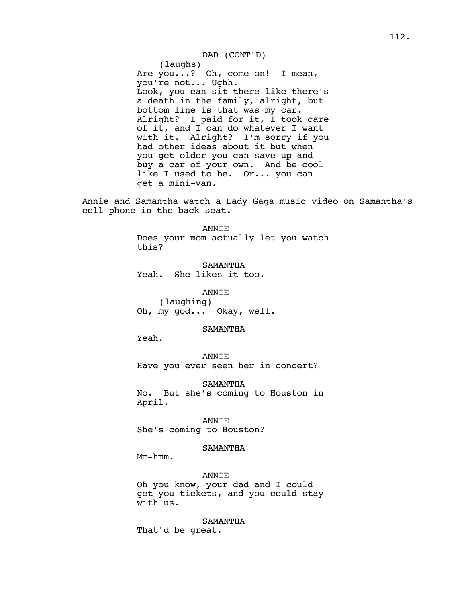DAD (CONT'D) (laughs) Are you...? Oh, come on! I mean, you're not... Ughh. Look, you can sit there like there's a death in the family, alright, but bottom line is that was my car. Alright? I paid for it, I took care of it, and I can do whatever I want with it. Alright? I'm sorry if you had other ideas about it but when you get older you can save up and buy a car of your own. And be cool like I used to be. Or... you can get a mini-van.

Annie and Samantha watch a Lady Gaga music video on Samantha's cell phone in the back seat.

> ANNIE Does your mom actually let you watch this?

SAMANTHA Yeah. She likes it too.

ANNIE (laughing) Oh, my god... Okay, well.

SAMANTHA

Yeah.

ANNIE Have you ever seen her in concert?

SAMANTHA No. But she's coming to Houston in April.

**ANNTE** She's coming to Houston?

## SAMANTHA

Mm-hmm.

ANNIE

Oh you know, your dad and I could get you tickets, and you could stay with us.

SAMANTHA That'd be great.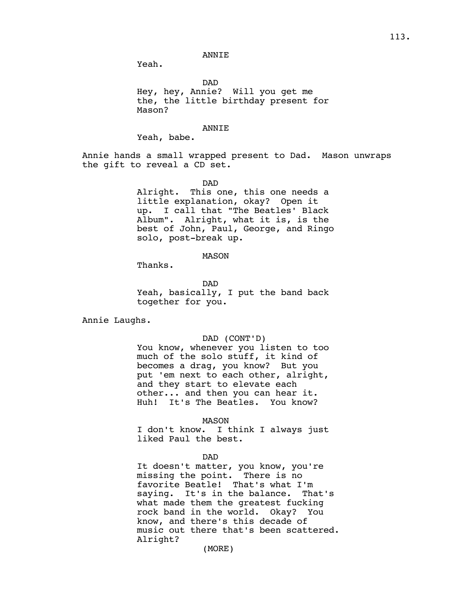## ANNIE

Yeah.

DAD Hey, hey, Annie? Will you get me the, the little birthday present for Mason?

### ANNIE

Yeah, babe.

Annie hands a small wrapped present to Dad. Mason unwraps the gift to reveal a CD set.

> DAD Alright. This one, this one needs a little explanation, okay? Open it up. I call that "The Beatles' Black Album". Alright, what it is, is the best of John, Paul, George, and Ringo solo, post-break up.

## MASON

Thanks.

DAD Yeah, basically, I put the band back together for you.

Annie Laughs.

### DAD (CONT'D)

You know, whenever you listen to too much of the solo stuff, it kind of becomes a drag, you know? But you put 'em next to each other, alright, and they start to elevate each other... and then you can hear it. Huh! It's The Beatles. You know?

MASON

I don't know. I think I always just liked Paul the best.

## DAD

It doesn't matter, you know, you're missing the point. There is no favorite Beatle! That's what I'm saying. It's in the balance. That's what made them the greatest fucking rock band in the world. Okay? You know, and there's this decade of music out there that's been scattered. Alright?

(MORE)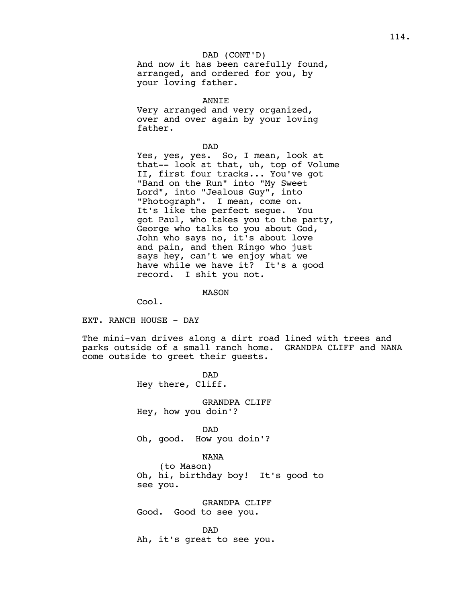DAD (CONT'D) And now it has been carefully found, arranged, and ordered for you, by your loving father.

ANNIE

Very arranged and very organized, over and over again by your loving father.

DAD

Yes, yes, yes. So, I mean, look at that-- look at that, uh, top of Volume II, first four tracks... You've got "Band on the Run" into "My Sweet Lord", into "Jealous Guy", into "Photograph". I mean, come on. It's like the perfect segue. You got Paul, who takes you to the party, George who talks to you about God, John who says no, it's about love and pain, and then Ringo who just says hey, can't we enjoy what we have while we have it? It's a good record. I shit you not.

MASON

Cool.

EXT. RANCH HOUSE - DAY

The mini-van drives along a dirt road lined with trees and parks outside of a small ranch home. GRANDPA CLIFF and NANA come outside to greet their guests.

> DAD Hey there, Cliff.

GRANDPA CLIFF Hey, how you doin'?

DAD Oh, good. How you doin'?

NANA

(to Mason) Oh, hi, birthday boy! It's good to see you.

GRANDPA CLIFF Good. Good to see you.

DAD Ah, it's great to see you.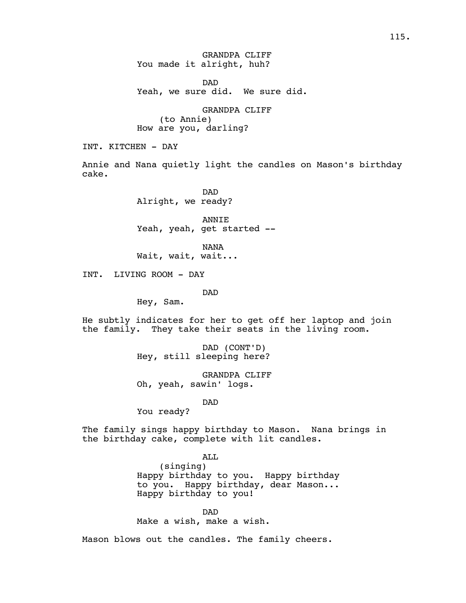GRANDPA CLIFF You made it alright, huh?

DAD Yeah, we sure did. We sure did.

GRANDPA CLIFF (to Annie) How are you, darling?

INT. KITCHEN - DAY

Annie and Nana quietly light the candles on Mason's birthday cake.

> DAD Alright, we ready?

ANNIE Yeah, yeah, get started --

NANA Wait, wait, wait...

INT. LIVING ROOM - DAY

DAD

Hey, Sam.

He subtly indicates for her to get off her laptop and join the family. They take their seats in the living room.

> DAD (CONT'D) Hey, still sleeping here?

GRANDPA CLIFF Oh, yeah, sawin' logs.

DAD

You ready?

The family sings happy birthday to Mason. Nana brings in the birthday cake, complete with lit candles.

> ALL (singing) Happy birthday to you. Happy birthday to you. Happy birthday, dear Mason... Happy birthday to you!

DAD Make a wish, make a wish.

Mason blows out the candles. The family cheers.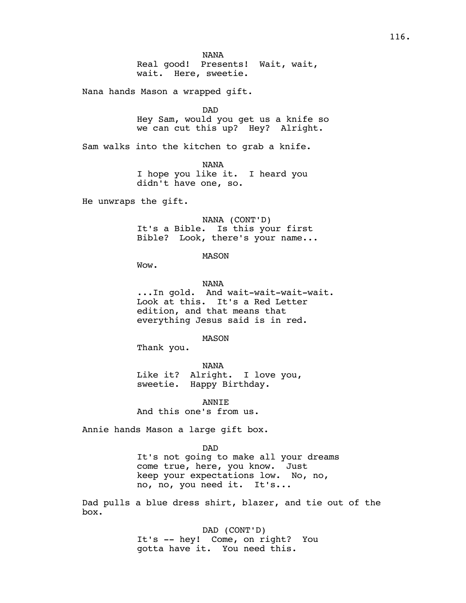NANA Real good! Presents! Wait, wait, wait. Here, sweetie.

Nana hands Mason a wrapped gift.

DAD

Hey Sam, would you get us a knife so we can cut this up? Hey? Alright.

Sam walks into the kitchen to grab a knife.

NANA

I hope you like it. I heard you didn't have one, so.

He unwraps the gift.

NANA (CONT'D) It's a Bible. Is this your first Bible? Look, there's your name...

MASON

Wow.

NANA

...In gold. And wait-wait-wait-wait. Look at this. It's a Red Letter edition, and that means that everything Jesus said is in red.

MASON

Thank you.

NANA Like it? Alright. I love you, sweetie. Happy Birthday.

ANNIE And this one's from us.

Annie hands Mason a large gift box.

DAD It's not going to make all your dreams come true, here, you know. Just keep your expectations low. No, no,

Dad pulls a blue dress shirt, blazer, and tie out of the box.

no, no, you need it. It's...

DAD (CONT'D) It's -- hey! Come, on right? You gotta have it. You need this.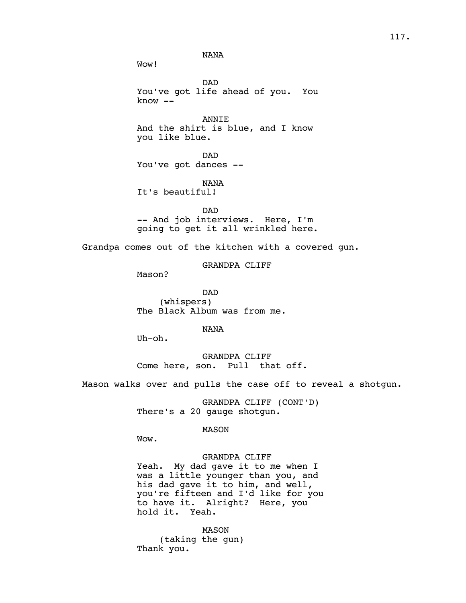NANA

Wow!

DAD You've got life ahead of you. You  $know --$ 

ANNIE And the shirt is blue, and I know you like blue.

DAD You've got dances --

NANA It's beautiful!

DAD -- And job interviews. Here, I'm going to get it all wrinkled here.

Grandpa comes out of the kitchen with a covered gun.

GRANDPA CLIFF

Mason?

DAD (whispers) The Black Album was from me.

NANA

Uh-oh.

GRANDPA CLIFF Come here, son. Pull that off.

Mason walks over and pulls the case off to reveal a shotgun.

GRANDPA CLIFF (CONT'D) There's a 20 gauge shotgun.

MASON

Wow.

GRANDPA CLIFF Yeah. My dad gave it to me when I was a little younger than you, and his dad gave it to him, and well, you're fifteen and I'd like for you to have it. Alright? Here, you hold it. Yeah.

MASON (taking the gun) Thank you.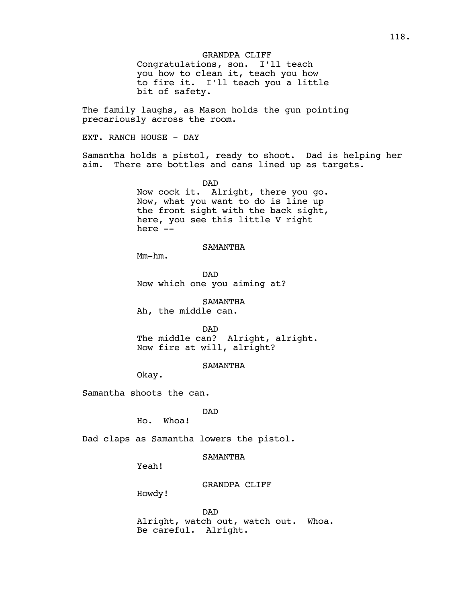### GRANDPA CLIFF

Congratulations, son. I'll teach you how to clean it, teach you how to fire it. I'll teach you a little bit of safety.

The family laughs, as Mason holds the gun pointing precariously across the room.

EXT. RANCH HOUSE - DAY

Samantha holds a pistol, ready to shoot. Dad is helping her aim. There are bottles and cans lined up as targets.

> DAD Now cock it. Alright, there you go. Now, what you want to do is line up the front sight with the back sight, here, you see this little V right here --

### SAMANTHA

Mm-hm.

DAD Now which one you aiming at?

SAMANTHA Ah, the middle can.

DAD The middle can? Alright, alright. Now fire at will, alright?

SAMANTHA

Okay.

Samantha shoots the can.

DAD

Ho. Whoa!

Dad claps as Samantha lowers the pistol.

SAMANTHA

Yeah!

GRANDPA CLIFF

Howdy!

DAD Alright, watch out, watch out. Whoa. Be careful. Alright.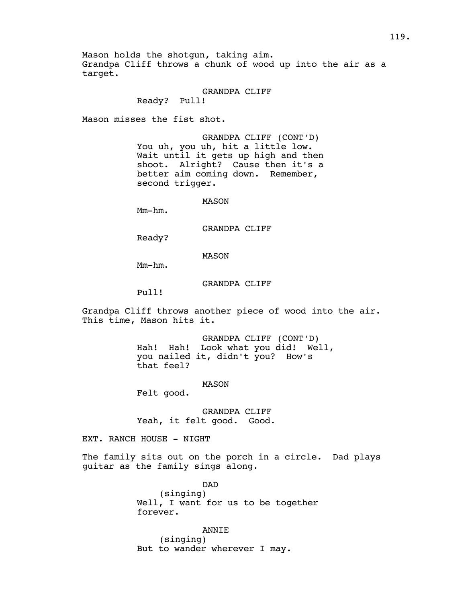Mason holds the shotgun, taking aim. Grandpa Cliff throws a chunk of wood up into the air as a target.

### GRANDPA CLIFF

Ready? Pull!

Mason misses the fist shot.

GRANDPA CLIFF (CONT'D) You uh, you uh, hit a little low. Wait until it gets up high and then shoot. Alright? Cause then it's a better aim coming down. Remember, second trigger.

MASON

Mm-hm.

GRANDPA CLIFF

Ready?

MASON

Mm-hm.

#### GRANDPA CLIFF

Pull!

Grandpa Cliff throws another piece of wood into the air. This time, Mason hits it.

> GRANDPA CLIFF (CONT'D) Hah! Hah! Look what you did! Well, you nailed it, didn't you? How's that feel?

> > MASON

Felt good.

GRANDPA CLIFF Yeah, it felt good. Good.

EXT. RANCH HOUSE - NIGHT

The family sits out on the porch in a circle. Dad plays guitar as the family sings along.

> DAD (singing) Well, I want for us to be together forever.

ANNIE (singing) But to wander wherever I may.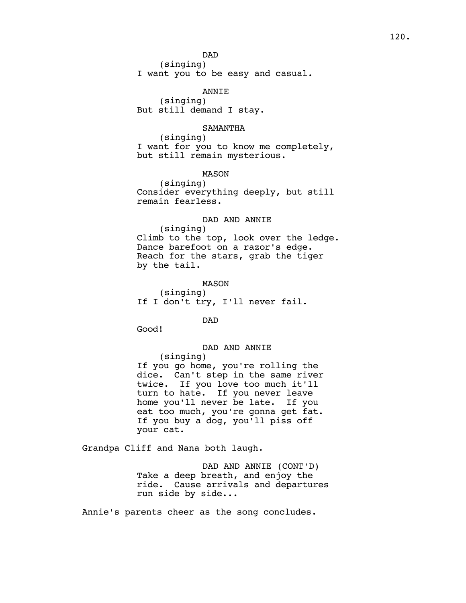DAD

(singing) I want you to be easy and casual.

ANNIE

(singing) But still demand I stay.

## SAMANTHA

(singing) I want for you to know me completely, but still remain mysterious.

MASON

(singing) Consider everything deeply, but still remain fearless.

## DAD AND ANNIE

(singing) Climb to the top, look over the ledge. Dance barefoot on a razor's edge. Reach for the stars, grab the tiger by the tail.

MASON (singing) If I don't try, I'll never fail.

DAD

Good!

## DAD AND ANNIE

(singing) If you go home, you're rolling the dice. Can't step in the same river twice. If you love too much it'll turn to hate. If you never leave home you'll never be late. If you eat too much, you're gonna get fat. If you buy a dog, you'll piss off your cat.

Grandpa Cliff and Nana both laugh.

DAD AND ANNIE (CONT'D) Take a deep breath, and enjoy the ride. Cause arrivals and departures run side by side...

Annie's parents cheer as the song concludes.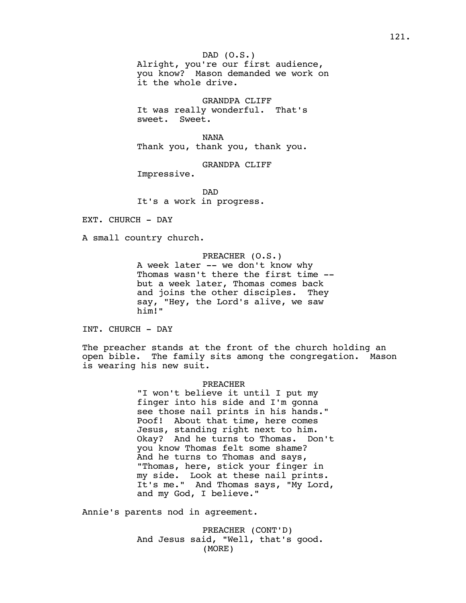DAD (O.S.) Alright, you're our first audience, you know? Mason demanded we work on it the whole drive.

GRANDPA CLIFF It was really wonderful. That's<br>sweet. Sweet. sweet. Sweet.

NANA Thank you, thank you, thank you.

GRANDPA CLIFF

Impressive.

DAD It's a work in progress.

EXT. CHURCH - DAY

A small country church.

PREACHER (O.S.) A week later -- we don't know why Thomas wasn't there the first time - but a week later, Thomas comes back and joins the other disciples. They say, "Hey, the Lord's alive, we saw him!"

INT. CHURCH - DAY

The preacher stands at the front of the church holding an open bible. The family sits among the congregation. Mason is wearing his new suit.

#### PREACHER

"I won't believe it until I put my finger into his side and I'm gonna see those nail prints in his hands." Poof! About that time, here comes Jesus, standing right next to him. Okay? And he turns to Thomas. Don't you know Thomas felt some shame? And he turns to Thomas and says, "Thomas, here, stick your finger in my side. Look at these nail prints. It's me." And Thomas says, "My Lord, and my God, I believe."

Annie's parents nod in agreement.

PREACHER (CONT'D) And Jesus said, "Well, that's good. (MORE)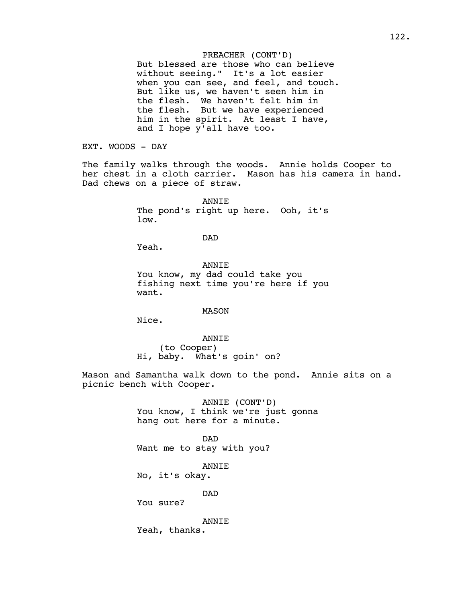### PREACHER (CONT'D)

But blessed are those who can believe without seeing." It's a lot easier when you can see, and feel, and touch. But like us, we haven't seen him in the flesh. We haven't felt him in the flesh. But we have experienced him in the spirit. At least I have, and I hope y'all have too.

EXT. WOODS - DAY

The family walks through the woods. Annie holds Cooper to her chest in a cloth carrier. Mason has his camera in hand. Dad chews on a piece of straw.

> ANNIE The pond's right up here. Ooh, it's low.

> > DAD

Yeah.

ANNIE You know, my dad could take you fishing next time you're here if you want.

#### MASON

Nice.

ANNIE (to Cooper) Hi, baby. What's goin' on?

Mason and Samantha walk down to the pond. Annie sits on a picnic bench with Cooper.

> ANNIE (CONT'D) You know, I think we're just gonna hang out here for a minute.

DAD Want me to stay with you?

ANNIE

No, it's okay.

DAD

You sure?

**ANNTE** Yeah, thanks.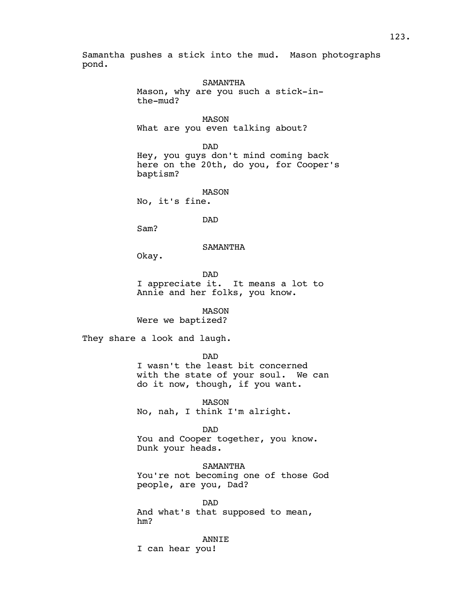Samantha pushes a stick into the mud. Mason photographs pond.

> SAMANTHA Mason, why are you such a stick-inthe-mud?

MASON What are you even talking about?

DAD Hey, you guys don't mind coming back here on the 20th, do you, for Cooper's

MASON

No, it's fine.

DAD

Sam?

baptism?

SAMANTHA

Okay.

DAD I appreciate it. It means a lot to Annie and her folks, you know.

MASON

Were we baptized?

They share a look and laugh.

DAD

I wasn't the least bit concerned with the state of your soul. We can do it now, though, if you want.

MASON No, nah, I think I'm alright.

DAD You and Cooper together, you know. Dunk your heads.

SAMANTHA You're not becoming one of those God people, are you, Dad?

DAD And what's that supposed to mean, hm?

ANNIE I can hear you!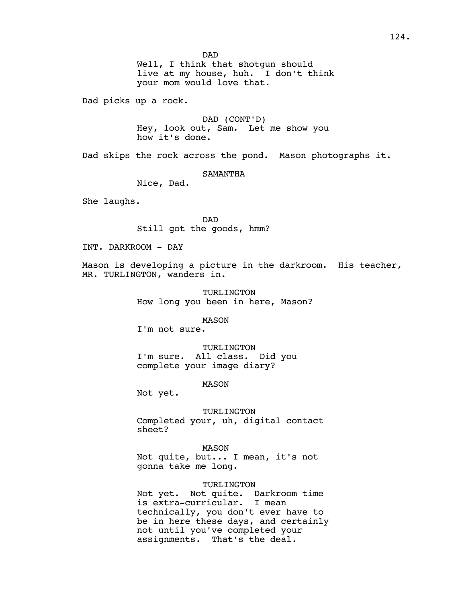DAD Well, I think that shotgun should live at my house, huh. I don't think your mom would love that.

Dad picks up a rock.

DAD (CONT'D) Hey, look out, Sam. Let me show you how it's done.

Dad skips the rock across the pond. Mason photographs it.

SAMANTHA

Nice, Dad.

She laughs.

DAD Still got the goods, hmm?

INT. DARKROOM - DAY

Mason is developing a picture in the darkroom. His teacher, MR. TURLINGTON, wanders in.

> TURLINGTON How long you been in here, Mason?

> > MASON

I'm not sure.

TURLINGTON I'm sure. All class. Did you complete your image diary?

MASON

Not yet.

TURLINGTON

Completed your, uh, digital contact sheet?

MASON

Not quite, but... I mean, it's not gonna take me long.

TURLINGTON

Not yet. Not quite. Darkroom time is extra-curricular. I mean technically, you don't ever have to be in here these days, and certainly not until you've completed your assignments. That's the deal.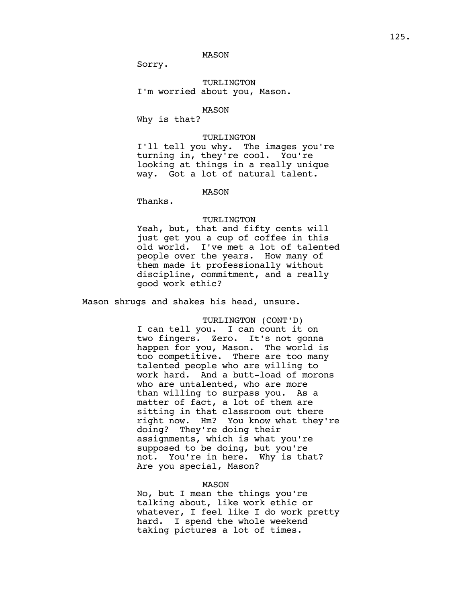## MASON

Sorry.

TURLINGTON I'm worried about you, Mason.

#### MASON

Why is that?

#### TURLINGTON

I'll tell you why. The images you're turning in, they're cool. You're looking at things in a really unique way. Got a lot of natural talent.

#### MASON

Thanks.

### TURLINGTON

Yeah, but, that and fifty cents will just get you a cup of coffee in this old world. I've met a lot of talented people over the years. How many of them made it professionally without discipline, commitment, and a really good work ethic?

Mason shrugs and shakes his head, unsure.

TURLINGTON (CONT'D) I can tell you. I can count it on two fingers. Zero. It's not gonna happen for you, Mason. The world is too competitive. There are too many talented people who are willing to work hard. And a butt-load of morons who are untalented, who are more than willing to surpass you. As a matter of fact, a lot of them are sitting in that classroom out there right now. Hm? You know what they're doing? They're doing their assignments, which is what you're supposed to be doing, but you're not. You're in here. Why is that? Are you special, Mason?

### MASON

No, but I mean the things you're talking about, like work ethic or whatever, I feel like I do work pretty hard. I spend the whole weekend taking pictures a lot of times.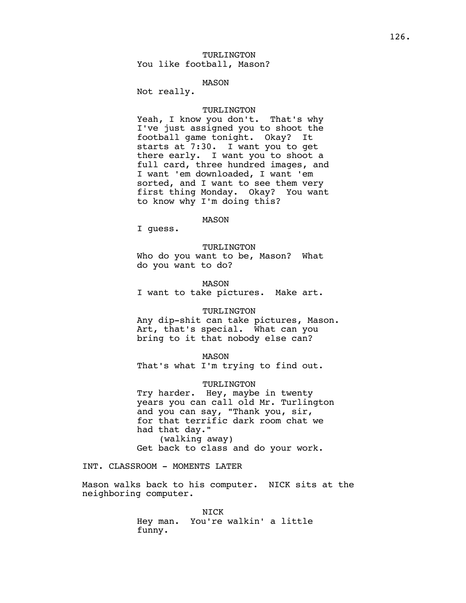You like football, Mason?

#### MASON

Not really.

#### TURLINGTON

Yeah, I know you don't. That's why I've just assigned you to shoot the football game tonight. Okay? It starts at 7:30. I want you to get there early. I want you to shoot a full card, three hundred images, and I want 'em downloaded, I want 'em sorted, and I want to see them very first thing Monday. Okay? You want to know why I'm doing this?

#### MASON

I guess.

#### TURLINGTON

Who do you want to be, Mason? What do you want to do?

MASON I want to take pictures. Make art.

#### TURLINGTON

Any dip-shit can take pictures, Mason. Art, that's special. What can you bring to it that nobody else can?

MASON That's what I'm trying to find out.

TURLINGTON Try harder. Hey, maybe in twenty years you can call old Mr. Turlington and you can say, "Thank you, sir, for that terrific dark room chat we had that day." (walking away) Get back to class and do your work.

INT. CLASSROOM - MOMENTS LATER

Mason walks back to his computer. NICK sits at the neighboring computer.

> NICK Hey man. You're walkin' a little funny.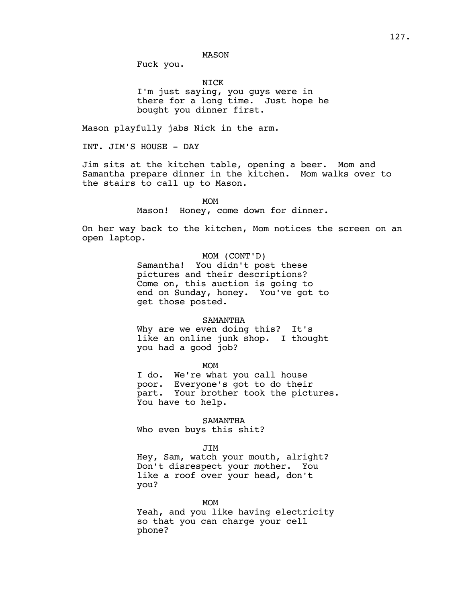MASON

Fuck you.

NICK I'm just saying, you guys were in there for a long time. Just hope he bought you dinner first.

Mason playfully jabs Nick in the arm.

INT. JIM'S HOUSE - DAY

Jim sits at the kitchen table, opening a beer. Mom and Samantha prepare dinner in the kitchen. Mom walks over to the stairs to call up to Mason.

MOM

Mason! Honey, come down for dinner.

On her way back to the kitchen, Mom notices the screen on an open laptop.

> MOM (CONT'D) Samantha! You didn't post these pictures and their descriptions? Come on, this auction is going to end on Sunday, honey. You've got to get those posted.

#### SAMANTHA

Why are we even doing this? It's like an online junk shop. I thought you had a good job?

MOM

I do. We're what you call house poor. Everyone's got to do their part. Your brother took the pictures. You have to help.

SAMANTHA Who even buys this shit?

#### JIM

Hey, Sam, watch your mouth, alright? Don't disrespect your mother. You like a roof over your head, don't you?

MOM

Yeah, and you like having electricity so that you can charge your cell phone?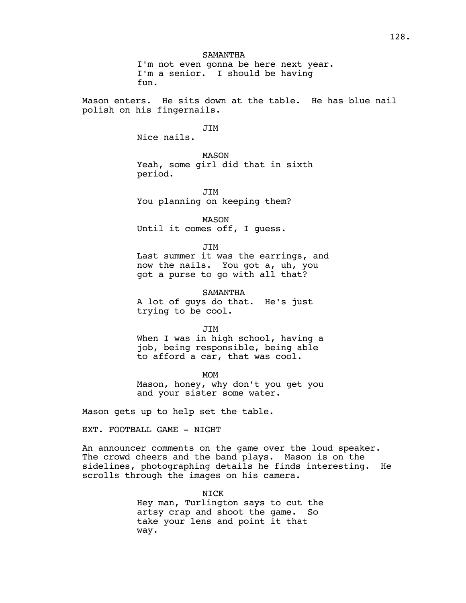SAMANTHA

I'm not even gonna be here next year. I'm a senior. I should be having fun.

Mason enters. He sits down at the table. He has blue nail polish on his fingernails.

JIM

Nice nails.

MASON Yeah, some girl did that in sixth period.

JIM You planning on keeping them?

MASON Until it comes off, I guess.

JIM

Last summer it was the earrings, and now the nails. You got a, uh, you got a purse to go with all that?

SAMANTHA A lot of guys do that. He's just trying to be cool.

JIM When I was in high school, having a job, being responsible, being able to afford a car, that was cool.

MOM Mason, honey, why don't you get you and your sister some water.

Mason gets up to help set the table.

EXT. FOOTBALL GAME - NIGHT

An announcer comments on the game over the loud speaker. The crowd cheers and the band plays. Mason is on the sidelines, photographing details he finds interesting. He scrolls through the images on his camera.

> NICK Hey man, Turlington says to cut the artsy crap and shoot the game. So take your lens and point it that way.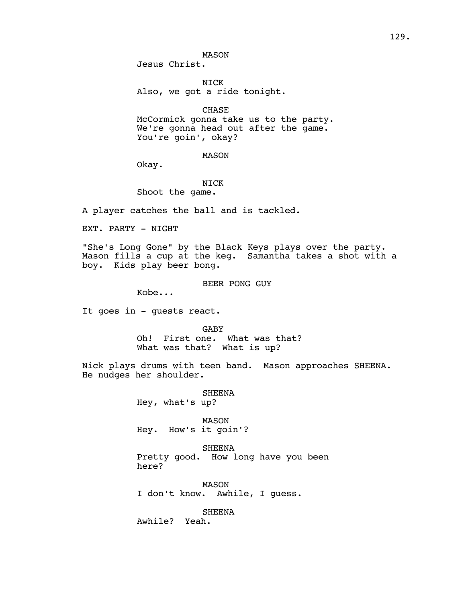MASON Jesus Christ.

NICK Also, we got a ride tonight.

CHASE McCormick gonna take us to the party. We're gonna head out after the game. You're goin', okay?

### MASON

Okay.

# NICK

Shoot the game.

A player catches the ball and is tackled.

EXT. PARTY - NIGHT

"She's Long Gone" by the Black Keys plays over the party. Mason fills a cup at the keg. Samantha takes a shot with a boy. Kids play beer bong.

### BEER PONG GUY

Kobe...

It goes in - guests react.

GABY Oh! First one. What was that? What was that? What is up?

Nick plays drums with teen band. Mason approaches SHEENA. He nudges her shoulder.

> SHEENA Hey, what's up?

MASON Hey. How's it goin'?

SHEENA Pretty good. How long have you been here?

MASON I don't know. Awhile, I guess.

SHEENA

Awhile? Yeah.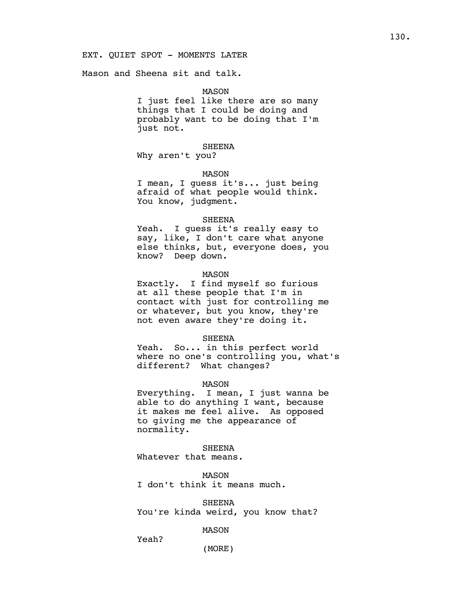## EXT. OUIET SPOT - MOMENTS LATER

Mason and Sheena sit and talk.

### MASON

I just feel like there are so many things that I could be doing and probably want to be doing that I'm just not.

#### SHEENA

Why aren't you?

### MASON

I mean, I guess it's... just being afraid of what people would think. You know, judgment.

#### SHEENA

Yeah. I guess it's really easy to say, like, I don't care what anyone else thinks, but, everyone does, you know? Deep down.

### MASON

Exactly. I find myself so furious at all these people that I'm in contact with just for controlling me or whatever, but you know, they're not even aware they're doing it.

### SHEENA

Yeah. So... in this perfect world where no one's controlling you, what's different? What changes?

#### MASON

Everything. I mean, I just wanna be able to do anything I want, because it makes me feel alive. As opposed to giving me the appearance of normality.

**SHEENA** Whatever that means.

MASON I don't think it means much.

SHEENA You're kinda weird, you know that?

MASON

Yeah?

(MORE)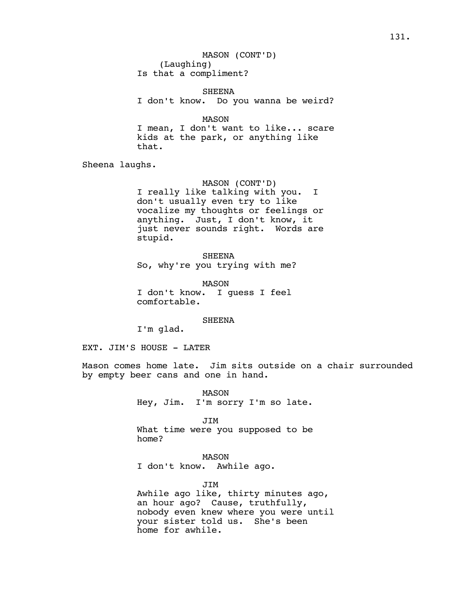MASON (CONT'D) (Laughing) Is that a compliment?

SHEENA I don't know. Do you wanna be weird?

MASON I mean, I don't want to like... scare kids at the park, or anything like that.

Sheena laughs.

MASON (CONT'D)

I really like talking with you. I don't usually even try to like vocalize my thoughts or feelings or anything. Just, I don't know, it just never sounds right. Words are stupid.

SHEENA So, why're you trying with me?

MASON I don't know. I guess I feel comfortable.

**SHEENA** 

I'm glad.

EXT. JIM'S HOUSE - LATER

Mason comes home late. Jim sits outside on a chair surrounded by empty beer cans and one in hand.

> MASON Hey, Jim. I'm sorry I'm so late.

> JIM What time were you supposed to be home?

MASON I don't know. Awhile ago.

JIM

Awhile ago like, thirty minutes ago, an hour ago? Cause, truthfully, nobody even knew where you were until your sister told us. She's been home for awhile.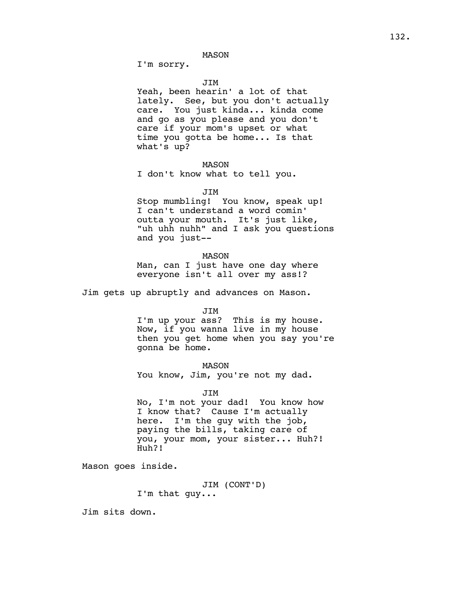I'm sorry.

JIM

Yeah, been hearin' a lot of that lately. See, but you don't actually care. You just kinda... kinda come and go as you please and you don't care if your mom's upset or what time you gotta be home... Is that what's up?

#### MASON

I don't know what to tell you.

JIM<br>!Stop mumbling You know, speak up! I can't understand a word comin' outta your mouth. It's just like, "uh uhh nuhh" and I ask you questions and you just--

MASON Man, can I just have one day where everyone isn't all over my ass!?

Jim gets up abruptly and advances on Mason.

JIM

I'm up your ass? This is my house. Now, if you wanna live in my house then you get home when you say you're gonna be home.

MASON You know, Jim, you're not my dad.

JIM No, I'm not your dad! You know how I know that? Cause I'm actually here. I'm the guy with the job, paying the bills, taking care of you, your mom, your sister... Huh?! Huh?!

Mason goes inside.

JIM (CONT'D) I'm that guy...

Jim sits down.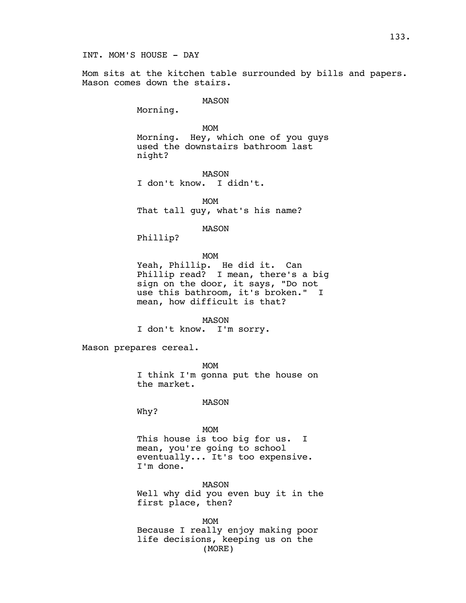Mom sits at the kitchen table surrounded by bills and papers. Mason comes down the stairs.

## MASON

Morning.

MOM

Morning. Hey, which one of you guys used the downstairs bathroom last night?

MASON I don't know. I didn't.

MOM That tall guy, what's his name?

MASON

Phillip?

MOM

Yeah, Phillip. He did it. Can Phillip read? I mean, there's a big sign on the door, it says, "Do not use this bathroom, it's broken." I mean, how difficult is that?

MASON I don't know. I'm sorry.

Mason prepares cereal.

MOM I think I'm gonna put the house on the market.

MASON

Why?

MOM

This house is too big for us. I mean, you're going to school eventually... It's too expensive. I'm done.

MASON Well why did you even buy it in the first place, then?

MOM Because I really enjoy making poor life decisions, keeping us on the (MORE)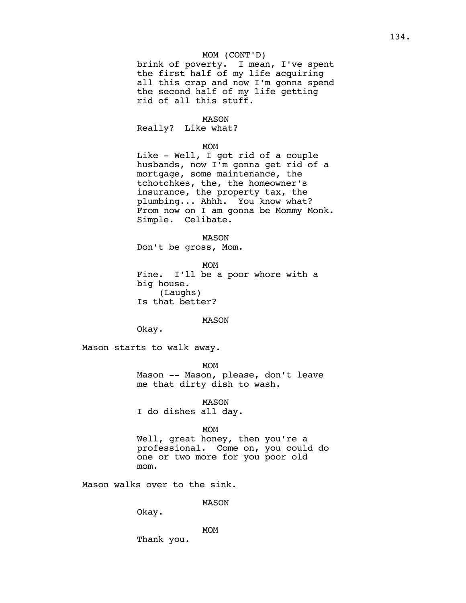## MOM (CONT'D)

brink of poverty. I mean, I've spent the first half of my life acquiring all this crap and now I'm gonna spend the second half of my life getting rid of all this stuff.

### MASON

Really? Like what?

### MOM

Like - Well, I got rid of a couple husbands, now I'm gonna get rid of a mortgage, some maintenance, the tchotchkes, the, the homeowner's insurance, the property tax, the plumbing... Ahhh. You know what? From now on I am gonna be Mommy Monk. Simple. Celibate.

### MASON

Don't be gross, Mom.

MOM Fine. I'll be a poor whore with a big house. (Laughs) Is that better?

#### MASON

Okay.

Mason starts to walk away.

MOM Mason -- Mason, please, don't leave me that dirty dish to wash.

MASON I do dishes all day.

#### MOM

Well, great honey, then you're a professional. Come on, you could do one or two more for you poor old mom.

Mason walks over to the sink.

MASON

Okay.

MOM

Thank you.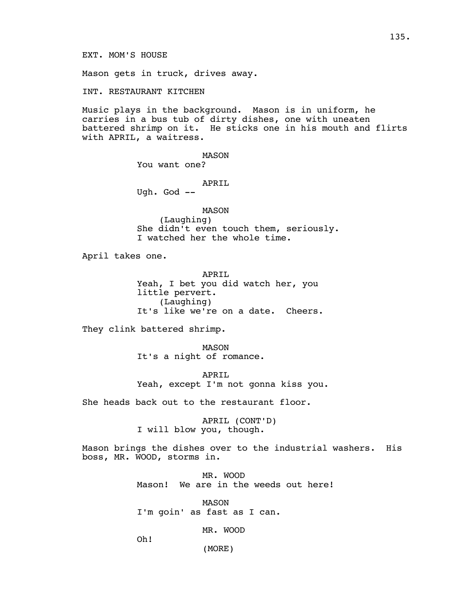Mason gets in truck, drives away.

INT. RESTAURANT KITCHEN

Music plays in the background. Mason is in uniform, he carries in a bus tub of dirty dishes, one with uneaten battered shrimp on it. He sticks one in his mouth and flirts with APRIL, a waitress.

> MASON You want one? APRIL Ugh. God --

MASON (Laughing) She didn't even touch them, seriously. I watched her the whole time.

April takes one.

APRIL Yeah, I bet you did watch her, you little pervert. (Laughing) It's like we're on a date. Cheers.

They clink battered shrimp.

MASON It's a night of romance.

APRIL Yeah, except I'm not gonna kiss you.

She heads back out to the restaurant floor.

APRIL (CONT'D) I will blow you, though.

Mason brings the dishes over to the industrial washers. His boss, MR. WOOD, storms in.

> MR. WOOD Mason! We are in the weeds out here!

MASON I'm goin' as fast as I can.

MR. WOOD

(MORE)

Oh!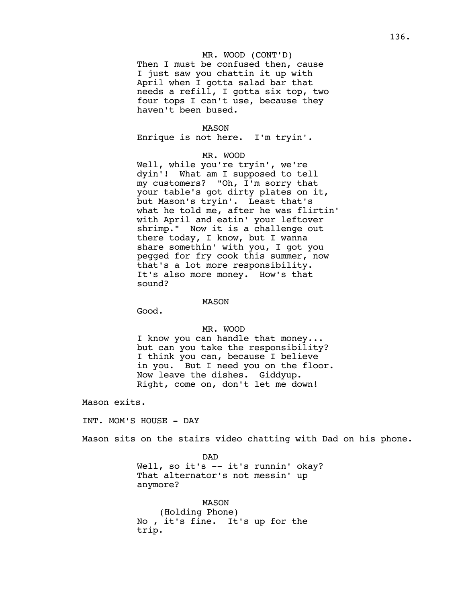#### MR. WOOD (CONT'D)

Then I must be confused then, cause I just saw you chattin it up with April when I gotta salad bar that needs a refill, I gotta six top, two four tops I can't use, because they haven't been bused.

#### MASON

Enrique is not here. I'm tryin'.

## MR. WOOD

Well, while you're tryin', we're dyin'! What am I supposed to tell my customers? "Oh, I'm sorry that your table's got dirty plates on it, but Mason's tryin'. Least that's what he told me, after he was flirtin' with April and eatin' your leftover shrimp." Now it is a challenge out there today, I know, but I wanna share somethin' with you, I got you pegged for fry cook this summer, now that's a lot more responsibility. It's also more money. How's that sound?

## MASON

Good.

## MR. WOOD

I know you can handle that money... but can you take the responsibility? I think you can, because I believe in you. But I need you on the floor. Now leave the dishes. Giddyup. Right, come on, don't let me down!

Mason exits.

INT. MOM'S HOUSE - DAY

Mason sits on the stairs video chatting with Dad on his phone.

DAD Well, so it's -- it's runnin' okay? That alternator's not messin' up anymore?

MASON (Holding Phone) No , it's fine. It's up for the trip.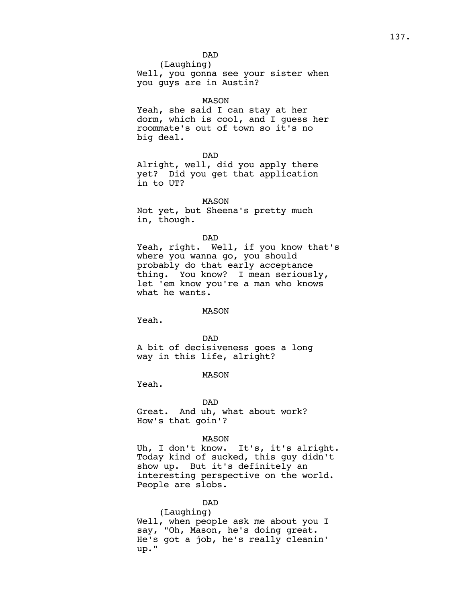# DAD

(Laughing) Well, you gonna see your sister when you guys are in Austin?

#### MASON

Yeah, she said I can stay at her dorm, which is cool, and I guess her roommate's out of town so it's no big deal.

DAD

Alright, well, did you apply there yet? Did you get that application in to UT?

MASON Not yet, but Sheena's pretty much in, though.

### DAD

Yeah, right. Well, if you know that's where you wanna go, you should probably do that early acceptance thing. You know? I mean seriously, let 'em know you're a man who knows what he wants.

### MASON

Yeah.

DAD A bit of decisiveness goes a long way in this life, alright?

## MASON

Yeah.

DAD

Great. And uh, what about work? How's that goin'?

#### MASON

Uh, I don't know. It's, it's alright. Today kind of sucked, this guy didn't show up. But it's definitely an interesting perspective on the world. People are slobs.

## DAD

(Laughing) Well, when people ask me about you I say, "Oh, Mason, he's doing great. He's got a job, he's really cleanin' up."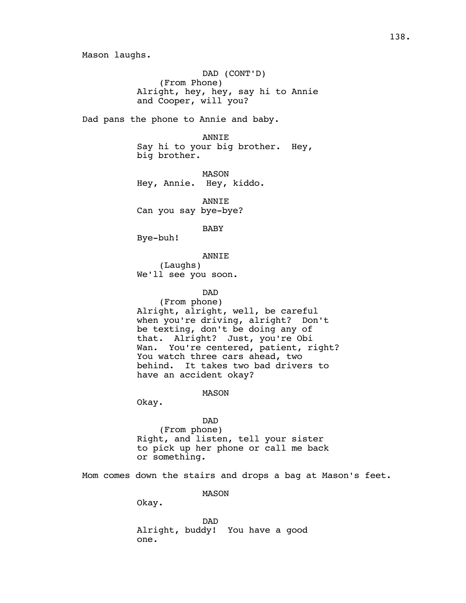Mason laughs.

DAD (CONT'D) (From Phone) Alright, hey, hey, say hi to Annie and Cooper, will you?

Dad pans the phone to Annie and baby.

ANNIE Say hi to your big brother. Hey, big brother.

MASON Hey, Annie. Hey, kiddo.

ANNIE Can you say bye-bye?

BABY

Bye-buh!

ANNIE (Laughs) We'll see you soon.

DAD

(From phone) Alright, alright, well, be careful when you're driving, alright? Don't be texting, don't be doing any of that. Alright? Just, you're Obi Wan. You're centered, patient, right? You watch three cars ahead, two behind. It takes two bad drivers to have an accident okay?

MASON

Okay.

DAD (From phone) Right, and listen, tell your sister to pick up her phone or call me back or something.

Mom comes down the stairs and drops a bag at Mason's feet.

MASON

Okay.

DAD Alright, buddy! You have a good one.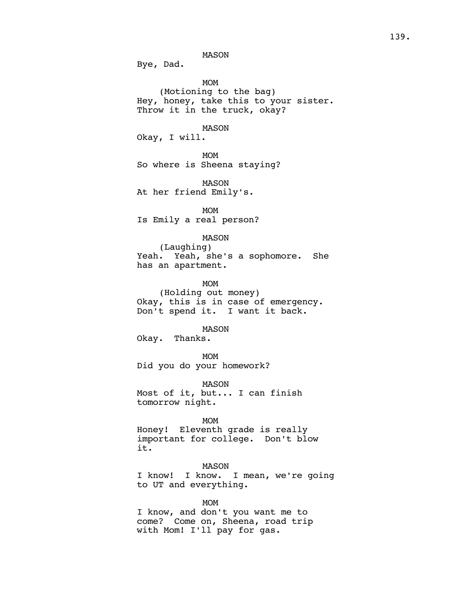MASON

Bye, Dad.

MOM (Motioning to the bag) Hey, honey, take this to your sister. Throw it in the truck, okay?

MASON

Okay, I will.

MOM So where is Sheena staying?

MASON At her friend Emily's.

MOM Is Emily a real person?

### MASON

(Laughing) Yeah. Yeah, she's a sophomore. She has an apartment.

MOM

(Holding out money) Okay, this is in case of emergency. Don't spend it. I want it back.

## MASON

Okay. Thanks.

MOM Did you do your homework?

MASON Most of it, but... I can finish tomorrow night.

MOM

Honey! Eleventh grade is really important for college. Don't blow it.

MASON

I know! I know. I mean, we're going to UT and everything.

MOM

I know, and don't you want me to come? Come on, Sheena, road trip with Mom! I'll pay for gas.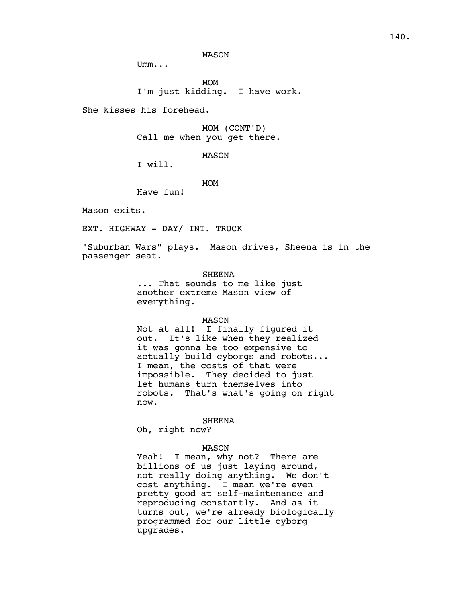MASON

Umm...

MOM I'm just kidding. I have work.

She kisses his forehead.

MOM (CONT'D) Call me when you get there.

MASON

I will.

MOM

Have fun!

Mason exits.

EXT. HIGHWAY - DAY/ INT. TRUCK

"Suburban Wars" plays. Mason drives, Sheena is in the passenger seat.

SHEENA

... That sounds to me like just another extreme Mason view of everything.

#### MASON

Not at all! I finally figured it out. It's like when they realized it was gonna be too expensive to actually build cyborgs and robots... I mean, the costs of that were impossible. They decided to just let humans turn themselves into robots. That's what's going on right now.

#### **SHEENA**

Oh, right now?

#### MASON

Yeah! I mean, why not? There are billions of us just laying around, not really doing anything. We don't cost anything. I mean we're even pretty good at self-maintenance and reproducing constantly. And as it turns out, we're already biologically programmed for our little cyborg upgrades.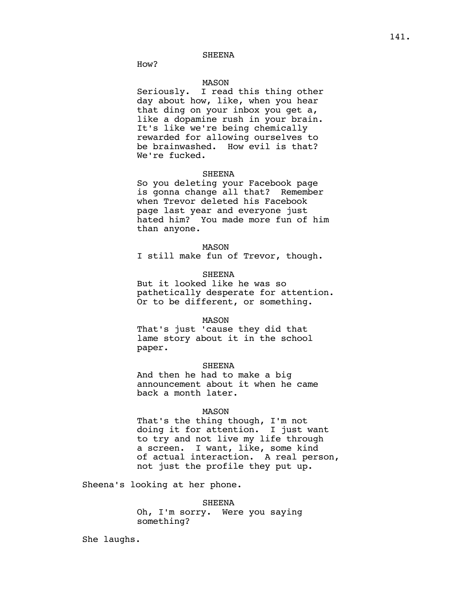## SHEENA

How?

### MASON

Seriously. I read this thing other day about how, like, when you hear that ding on your inbox you get a, like a dopamine rush in your brain. It's like we're being chemically rewarded for allowing ourselves to be brainwashed. How evil is that? We're fucked.

#### **SHEENA**

So you deleting your Facebook page is gonna change all that? Remember when Trevor deleted his Facebook page last year and everyone just hated him? You made more fun of him than anyone.

### MASON

I still make fun of Trevor, though.

## **SHEENA**

But it looked like he was so pathetically desperate for attention. Or to be different, or something.

#### MASON

That's just 'cause they did that lame story about it in the school paper.

#### SHEENA

And then he had to make a big announcement about it when he came back a month later.

### MASON

That's the thing though, I'm not doing it for attention. I just want to try and not live my life through a screen. I want, like, some kind of actual interaction. A real person, not just the profile they put up.

Sheena's looking at her phone.

SHEENA Oh, I'm sorry. Were you saying something?

She laughs.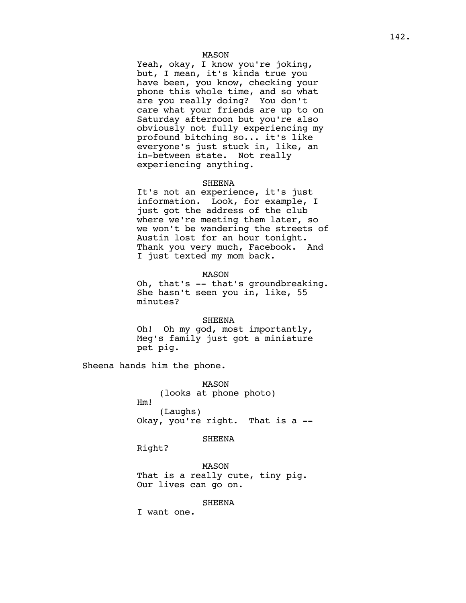### MASON

Yeah, okay, I know you're joking, but, I mean, it's kinda true you have been, you know, checking your phone this whole time, and so what are you really doing? You don't care what your friends are up to on Saturday afternoon but you're also obviously not fully experiencing my profound bitching so... it's like everyone's just stuck in, like, an in-between state. Not really experiencing anything.

### SHEENA

It's not an experience, it's just information. Look, for example, I just got the address of the club where we're meeting them later, so we won't be wandering the streets of Austin lost for an hour tonight. Thank you very much, Facebook. And I just texted my mom back.

MASON

Oh, that's -- that's groundbreaking. She hasn't seen you in, like, 55 minutes?

#### SHEENA

Oh! Oh my god, most importantly, Meg's family just got a miniature pet pig.

Sheena hands him the phone.

MASON (looks at phone photo) Hm! (Laughs) Okay, you're right. That is a --

## SHEENA

Right?

MASON That is a really cute, tiny pig. Our lives can go on.

## SHEENA

I want one.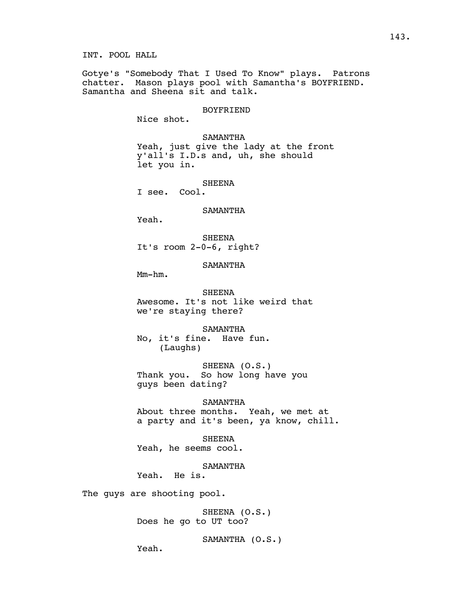INT. POOL HALL

Gotye's "Somebody That I Used To Know" plays. Patrons chatter. Mason plays pool with Samantha's BOYFRIEND. Samantha and Sheena sit and talk.

### BOYFRIEND

Nice shot.

## SAMANTHA

Yeah, just give the lady at the front y'all's I.D.s and, uh, she should let you in.

SHEENA

I see. Cool.

### SAMANTHA

Yeah.

SHEENA It's room 2-0-6, right?

### SAMANTHA

Mm-hm.

SHEENA Awesome. It's not like weird that we're staying there?

SAMANTHA No, it's fine. Have fun. (Laughs)

SHEENA (O.S.) Thank you. So how long have you guys been dating?

SAMANTHA About three months. Yeah, we met at a party and it's been, ya know, chill.

SHEENA Yeah, he seems cool.

SAMANTHA

Yeah. He is.

The guys are shooting pool.

SHEENA (O.S.) Does he go to UT too?

SAMANTHA (O.S.)

Yeah.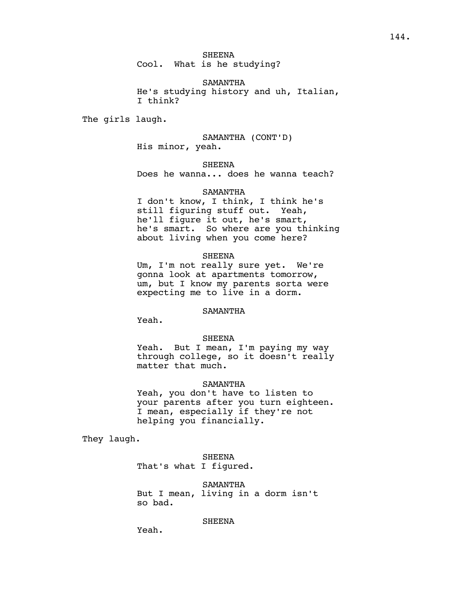SAMANTHA He's studying history and uh, Italian, I think?

The girls laugh.

SAMANTHA (CONT'D) His minor, yeah.

SHEENA Does he wanna... does he wanna teach?

## SAMANTHA

I don't know, I think, I think he's still figuring stuff out. Yeah, he'll figure it out, he's smart, he's smart. So where are you thinking about living when you come here?

SHEENA

Um, I'm not really sure yet. We're gonna look at apartments tomorrow, um, but I know my parents sorta were expecting me to live in a dorm.

## SAMANTHA

Yeah.

### SHEENA

Yeah. But I mean, I'm paying my way through college, so it doesn't really matter that much.

#### SAMANTHA

Yeah, you don't have to listen to your parents after you turn eighteen. I mean, especially if they're not helping you financially.

They laugh.

SHEENA That's what I figured.

SAMANTHA But I mean, living in a dorm isn't so bad.

### **SHEENA**

Yeah.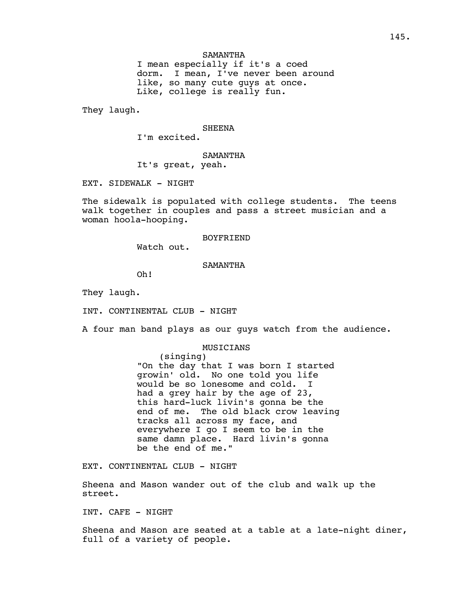SAMANTHA

I mean especially if it's a coed dorm. I mean, I've never been around like, so many cute guys at once. Like, college is really fun.

They laugh.

### SHEENA

I'm excited.

SAMANTHA It's great, yeah.

EXT. SIDEWALK - NIGHT

The sidewalk is populated with college students. The teens walk together in couples and pass a street musician and a woman hoola-hooping.

## **BOYFRIEND**

Watch out.

## SAMANTHA

Oh!

They laugh.

INT. CONTINENTAL CLUB - NIGHT

A four man band plays as our guys watch from the audience.

### MUSICIANS

(singing) "On the day that I was born I started growin' old. No one told you life would be so lonesome and cold. I had a grey hair by the age of 23, this hard-luck livin's gonna be the end of me. The old black crow leaving tracks all across my face, and everywhere I go I seem to be in the same damn place. Hard livin's gonna be the end of me."

EXT. CONTINENTAL CLUB - NIGHT

Sheena and Mason wander out of the club and walk up the street.

INT. CAFE - NIGHT

Sheena and Mason are seated at a table at a late-night diner, full of a variety of people.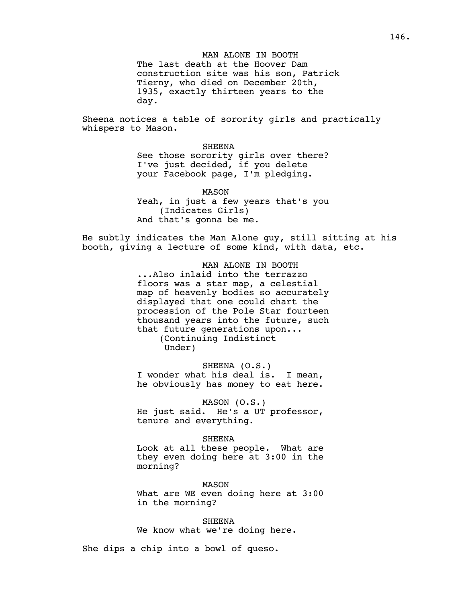MAN ALONE IN BOOTH The last death at the Hoover Dam construction site was his son, Patrick Tierny, who died on December 20th, 1935, exactly thirteen years to the day.

Sheena notices a table of sorority girls and practically whispers to Mason.

> SHEENA See those sorority girls over there? I've just decided, if you delete your Facebook page, I'm pledging.

MASON Yeah, in just a few years that's you (Indicates Girls) And that's gonna be me.

He subtly indicates the Man Alone guy, still sitting at his booth, giving a lecture of some kind, with data, etc.

> MAN ALONE IN BOOTH ...Also inlaid into the terrazzo floors was a star map, a celestial map of heavenly bodies so accurately displayed that one could chart the procession of the Pole Star fourteen thousand years into the future, such that future generations upon... (Continuing Indistinct Under)

SHEENA (O.S.) I wonder what his deal is. I mean, he obviously has money to eat here.

MASON (O.S.)

He just said. He's a UT professor, tenure and everything.

**SHEENA** 

Look at all these people. What are they even doing here at 3:00 in the morning?

MASON What are WE even doing here at 3:00 in the morning?

**SHEENA** We know what we're doing here.

She dips a chip into a bowl of queso.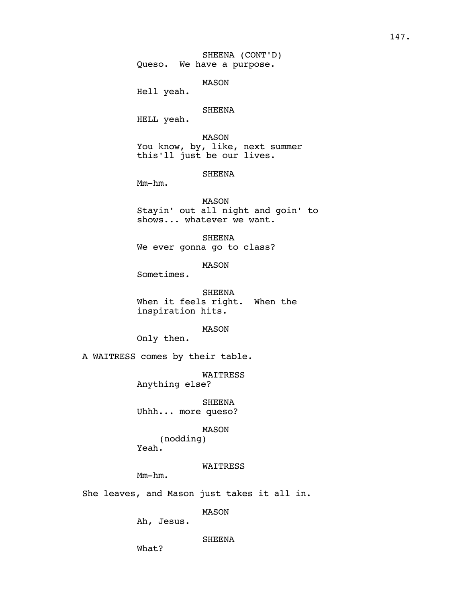SHEENA (CONT'D) Queso. We have a purpose.

MASON

Hell yeah.

## SHEENA

HELL yeah.

## MASON

You know, by, like, next summer this'll just be our lives.

## SHEENA

Mm-hm.

MASON Stayin' out all night and goin' to shows... whatever we want.

SHEENA We ever gonna go to class?

MASON

Sometimes.

SHEENA When it feels right. When the inspiration hits.

MASON

Only then.

A WAITRESS comes by their table.

WAITRESS Anything else?

SHEENA Uhhh... more queso?

# MASON

(nodding) Yeah.

## WAITRESS

Mm-hm.

She leaves, and Mason just takes it all in.

MASON

Ah, Jesus.

SHEENA

What?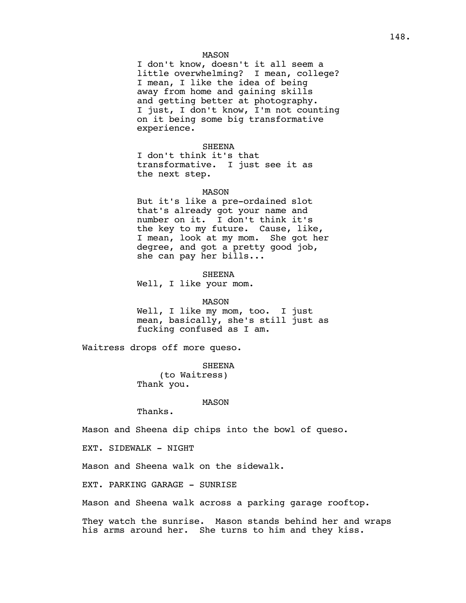## MASON

I don't know, doesn't it all seem a little overwhelming? I mean, college? I mean, I like the idea of being away from home and gaining skills and getting better at photography. I just, I don't know, I'm not counting on it being some big transformative experience.

#### SHEENA

I don't think it's that transformative. I just see it as the next step.

#### MASON

But it's like a pre-ordained slot that's already got your name and number on it. I don't think it's the key to my future. Cause, like, I mean, look at my mom. She got her degree, and got a pretty good job, she can pay her bills...

SHEENA

Well, I like your mom.

#### MASON

Well, I like my mom, too. I just mean, basically, she's still just as fucking confused as I am.

Waitress drops off more queso.

**SHEENA** (to Waitress) Thank you.

### MASON

Thanks.

Mason and Sheena dip chips into the bowl of queso.

EXT. SIDEWALK - NIGHT

Mason and Sheena walk on the sidewalk.

EXT. PARKING GARAGE - SUNRISE

Mason and Sheena walk across a parking garage rooftop.

They watch the sunrise. Mason stands behind her and wraps his arms around her. She turns to him and they kiss.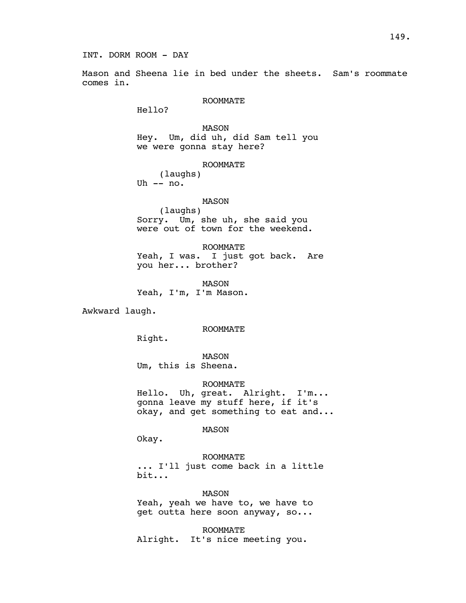## INT. DORM ROOM - DAY

Mason and Sheena lie in bed under the sheets. Sam's roommate comes in.

## ROOMMATE

Hello?

MASON Hey. Um, did uh, did Sam tell you we were gonna stay here?

ROOMMATE

(laughs) Uh -- no.

## MASON

(laughs) Sorry. Um, she uh, she said you were out of town for the weekend.

ROOMMATE Yeah, I was. I just got back. Are you her... brother?

MASON Yeah, I'm, I'm Mason.

Awkward laugh.

ROOMMATE

Right.

MASON Um, this is Sheena.

ROOMMATE

Hello. Uh, great. Alright. I'm... gonna leave my stuff here, if it's okay, and get something to eat and...

MASON

Okay.

ROOMMATE ... I'll just come back in a little bit...

MASON Yeah, yeah we have to, we have to get outta here soon anyway, so...

ROOMMATE Alright. It's nice meeting you.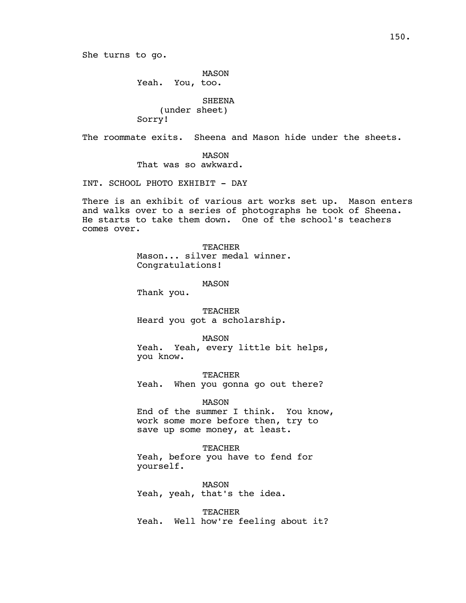She turns to go.

MASON

Yeah. You, too.

SHEENA (under sheet)

Sorry!

The roommate exits. Sheena and Mason hide under the sheets.

MASON That was so awkward.

INT. SCHOOL PHOTO EXHIBIT - DAY

There is an exhibit of various art works set up. Mason enters and walks over to a series of photographs he took of Sheena. He starts to take them down. One of the school's teachers comes over.

> TEACHER Mason... silver medal winner. Congratulations!

> > MASON

Thank you.

TEACHER Heard you got a scholarship.

MASON Yeah. Yeah, every little bit helps, you know.

TEACHER Yeah. When you gonna go out there?

#### MASON

End of the summer I think. You know, work some more before then, try to save up some money, at least.

TEACHER

Yeah, before you have to fend for yourself.

MASON Yeah, yeah, that's the idea.

TEACHER Yeah. Well how're feeling about it?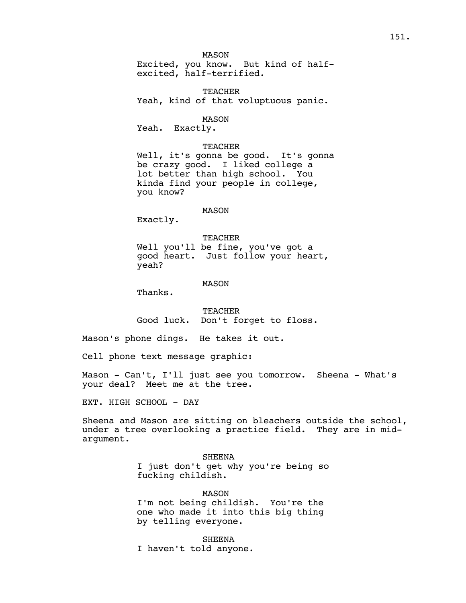MASON

Excited, you know. But kind of halfexcited, half-terrified.

TEACHER Yeah, kind of that voluptuous panic.

MASON

Yeah. Exactly.

## TEACHER

Well, it's gonna be good. It's gonna be crazy good. I liked college a lot better than high school. You kinda find your people in college, you know?

## MASON

Exactly.

TEACHER Well you'll be fine, you've got a good heart. Just follow your heart, yeah?

#### MASON

Thanks.

TEACHER Good luck. Don't forget to floss.

Mason's phone dings. He takes it out.

Cell phone text message graphic:

Mason - Can't, I'll just see you tomorrow. Sheena - What's your deal? Meet me at the tree.

EXT. HIGH SCHOOL - DAY

Sheena and Mason are sitting on bleachers outside the school, under a tree overlooking a practice field. They are in midargument.

> SHEENA I just don't get why you're being so fucking childish.

MASON I'm not being childish. You're the one who made it into this big thing by telling everyone.

SHEENA I haven't told anyone.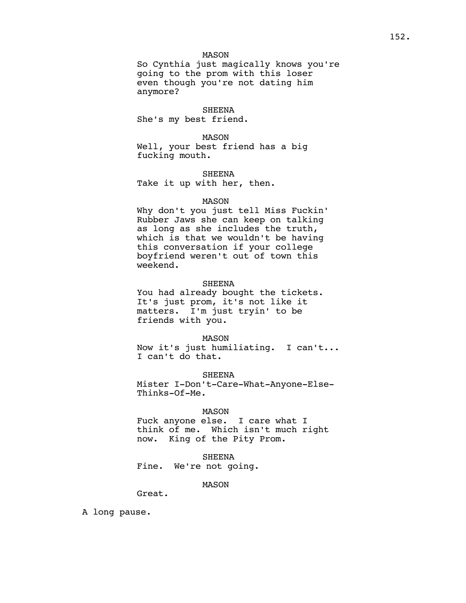## MASON

So Cynthia just magically knows you're going to the prom with this loser even though you're not dating him anymore?

SHEENA She's my best friend.

MASON

Well, your best friend has a big fucking mouth.

SHEENA

Take it up with her, then.

### MASON

Why don't you just tell Miss Fuckin' Rubber Jaws she can keep on talking as long as she includes the truth, which is that we wouldn't be having this conversation if your college boyfriend weren't out of town this weekend.

#### SHEENA

You had already bought the tickets. It's just prom, it's not like it matters. I'm just tryin' to be friends with you.

## MASON

Now it's just humiliating. I can't... I can't do that.

SHEENA

Mister I-Don't-Care-What-Anyone-Else-Thinks-Of-Me.

### MASON

Fuck anyone else. I care what I think of me. Which isn't much right now. King of the Pity Prom.

SHEENA Fine. We're not going.

#### MASON

Great.

A long pause.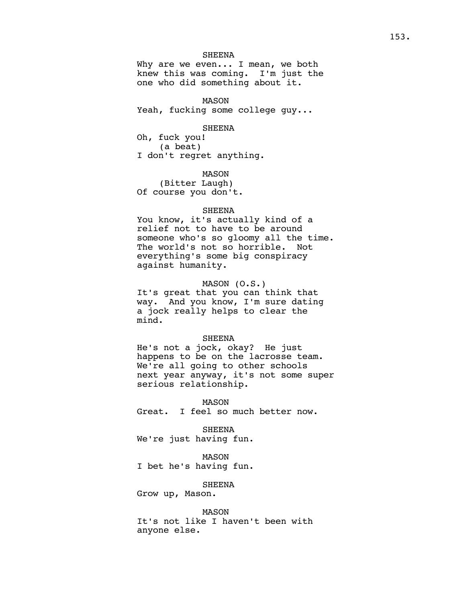## SHEENA

Why are we even... I mean, we both knew this was coming. I'm just the one who did something about it.

MASON Yeah, fucking some college guy...

#### SHEENA

Oh, fuck you! (a beat) I don't regret anything.

MASON

(Bitter Laugh) Of course you don't.

#### SHEENA

You know, it's actually kind of a relief not to have to be around someone who's so gloomy all the time. The world's not so horrible. Not everything's some big conspiracy against humanity.

#### MASON (O.S.)

It's great that you can think that way. And you know, I'm sure dating a jock really helps to clear the mind.

#### SHEENA

He's not a jock, okay? He just happens to be on the lacrosse team. We're all going to other schools next year anyway, it's not some super serious relationship.

MASON Great. I feel so much better now.

**SHEENA** We're just having fun.

MASON I bet he's having fun.

## SHEENA

Grow up, Mason.

#### MASON

It's not like I haven't been with anyone else.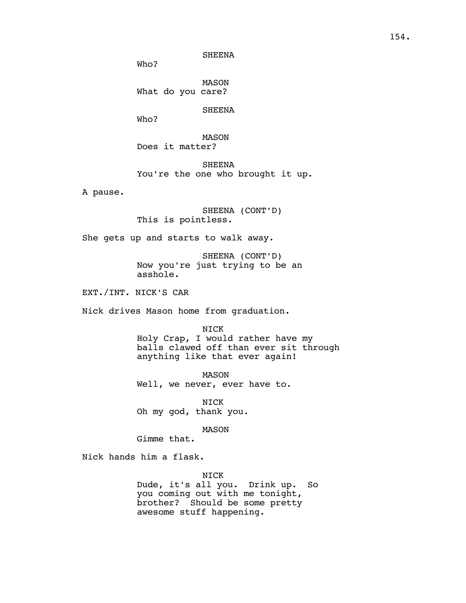SHEENA

Who?

MASON What do you care?

SHEENA

Who?

MASON Does it matter?

SHEENA You're the one who brought it up.

A pause.

SHEENA (CONT'D) This is pointless.

She gets up and starts to walk away.

SHEENA (CONT'D) Now you're just trying to be an asshole.

EXT./INT. NICK'S CAR

Nick drives Mason home from graduation.

NICK

Holy Crap, I would rather have my balls clawed off than ever sit through anything like that ever again!

MASON Well, we never, ever have to.

NICK Oh my god, thank you.

MASON

Gimme that.

Nick hands him a flask.

NICK

Dude, it's all you. Drink up. So you coming out with me tonight, brother? Should be some pretty awesome stuff happening.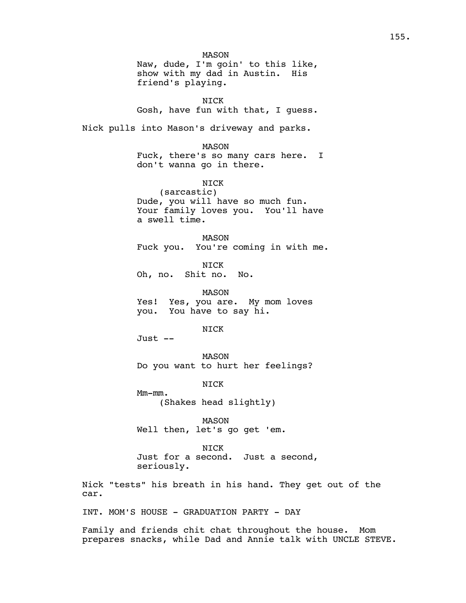MASON Naw, dude, I'm goin' to this like, show with my dad in Austin. His friend's playing.

NICK

Gosh, have fun with that, I guess.

Nick pulls into Mason's driveway and parks.

## MASON

Fuck, there's so many cars here. I don't wanna go in there.

NICK (sarcastic) Dude, you will have so much fun. Your family loves you. You'll have a swell time.

MASON Fuck you. You're coming in with me.

NICK Oh, no. Shit no. No.

MASON Yes! Yes, you are. My mom loves you. You have to say hi.

NICK

Just --

MASON Do you want to hurt her feelings?

NICK

Mm-mm. (Shakes head slightly)

MASON Well then, let's go get 'em.

### NICK

Just for a second. Just a second, seriously.

Nick "tests" his breath in his hand. They get out of the car.

INT. MOM'S HOUSE - GRADUATION PARTY - DAY

Family and friends chit chat throughout the house. Mom prepares snacks, while Dad and Annie talk with UNCLE STEVE.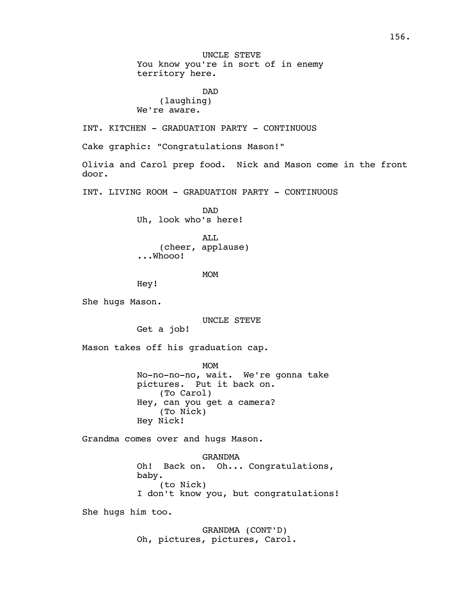UNCLE STEVE You know you're in sort of in enemy territory here. DAD (laughing) We're aware. INT. KITCHEN - GRADUATION PARTY - CONTINUOUS Cake graphic: "Congratulations Mason!" Olivia and Carol prep food. Nick and Mason come in the front door. INT. LIVING ROOM - GRADUATION PARTY - CONTINUOUS DAD Uh, look who's here! ALL (cheer, applause) ...Whooo! MOM Hey! She hugs Mason. UNCLE STEVE Get a job! Mason takes off his graduation cap. MOM No-no-no-no, wait. We're gonna take pictures. Put it back on. (To Carol) Hey, can you get a camera? (To Nick) Hey Nick! Grandma comes over and hugs Mason. GRANDMA Oh! Back on. Oh... Congratulations, baby. (to Nick) I don't know you, but congratulations! She hugs him too. GRANDMA (CONT'D) Oh, pictures, pictures, Carol.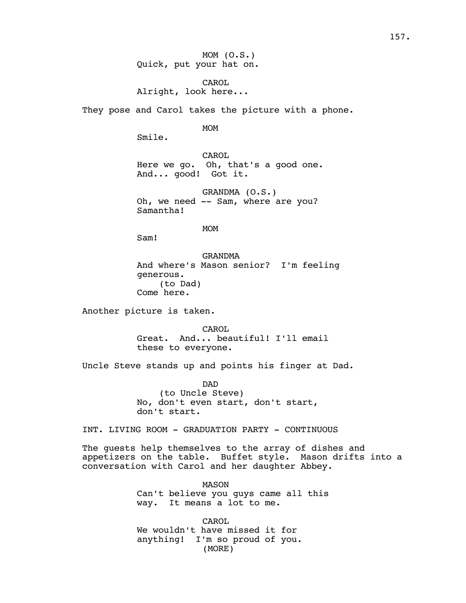$MOM$   $(O.S.)$ Quick, put your hat on.

CAROL Alright, look here...

They pose and Carol takes the picture with a phone.

MOM

Smile.

CAROL Here we go. Oh, that's a good one. And... good! Got it.

GRANDMA (O.S.) Oh, we need -- Sam, where are you? Samantha!

MOM

Sam!

GRANDMA And where's Mason senior? I'm feeling generous. (to Dad) Come here.

Another picture is taken.

CAROL Great. And... beautiful! I'll email these to everyone.

Uncle Steve stands up and points his finger at Dad.

DAD (to Uncle Steve) No, don't even start, don't start, don't start.

INT. LIVING ROOM - GRADUATION PARTY - CONTINUOUS

The guests help themselves to the array of dishes and appetizers on the table. Buffet style. Mason drifts into a conversation with Carol and her daughter Abbey.

> MASON Can't believe you guys came all this way. It means a lot to me.

CAROL. We wouldn't have missed it for anything! I'm so proud of you. (MORE)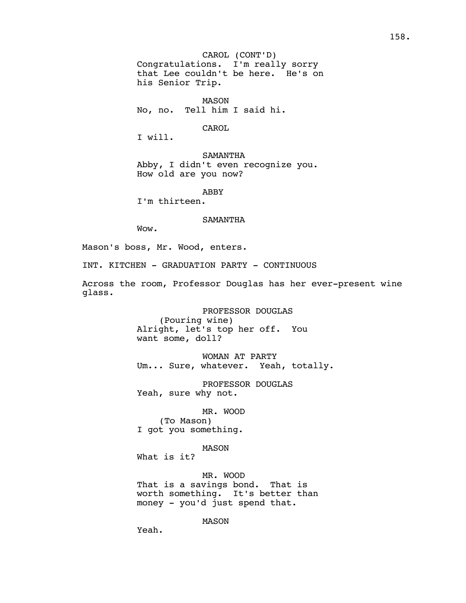CAROL (CONT'D) Congratulations. I'm really sorry that Lee couldn't be here. He's on his Senior Trip.

MASON No, no. Tell him I said hi.

CAROL

I will.

SAMANTHA Abby, I didn't even recognize you. How old are you now?

ABBY

I'm thirteen.

#### SAMANTHA

Wow.

Mason's boss, Mr. Wood, enters.

INT. KITCHEN - GRADUATION PARTY - CONTINUOUS

Across the room, Professor Douglas has her ever-present wine glass.

> PROFESSOR DOUGLAS (Pouring wine) Alright, let's top her off. You want some, doll?

WOMAN AT PARTY Um... Sure, whatever. Yeah, totally.

PROFESSOR DOUGLAS Yeah, sure why not.

> MR. WOOD (To Mason)

I got you something.

MASON

What is it?

MR. WOOD That is a savings bond. That is worth something. It's better than money - you'd just spend that.

MASON

Yeah.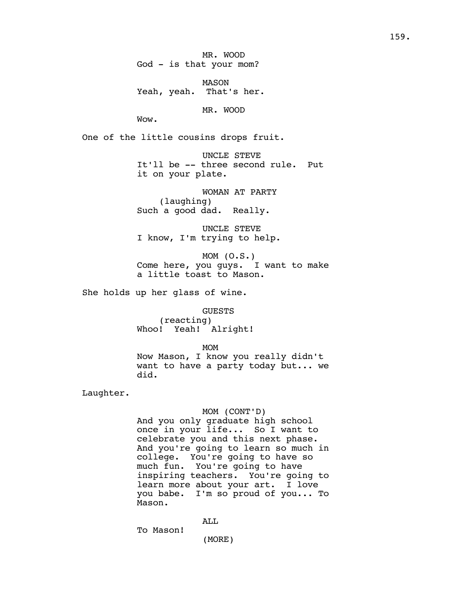MASON Yeah, yeah. That's her.

MR. WOOD

Wow.

One of the little cousins drops fruit.

UNCLE STEVE It'll be -- three second rule. Put it on your plate.

WOMAN AT PARTY (laughing) Such a good dad. Really.

UNCLE STEVE I know, I'm trying to help.

 $MOM (O.S.)$ Come here, you guys. I want to make a little toast to Mason.

She holds up her glass of wine.

GUESTS (reacting) Whoo! Yeah! Alright!

MOM

Now Mason, I know you really didn't want to have a party today but... we did.

Laughter.

### MOM (CONT'D)

And you only graduate high school once in your life... So I want to celebrate you and this next phase. And you're going to learn so much in college. You're going to have so much fun. You're going to have inspiring teachers. You're going to learn more about your art. I love you babe. I'm so proud of you... To Mason.

ALL.

(MORE)

To Mason!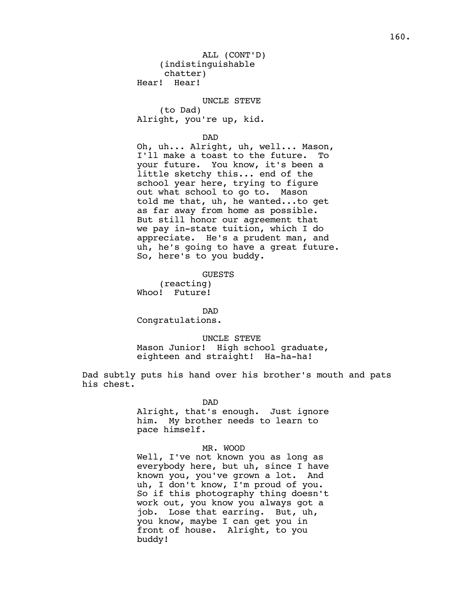ALL (CONT'D) (indistinguishable chatter) Hear! Hear!

UNCLE STEVE (to Dad) Alright, you're up, kid.

DAD

Oh, uh... Alright, uh, well... Mason, I'll make a toast to the future. To your future. You know, it's been a little sketchy this... end of the school year here, trying to figure out what school to go to. Mason told me that, uh, he wanted...to get as far away from home as possible. But still honor our agreement that we pay in-state tuition, which I do appreciate. He's a prudent man, and uh, he's going to have a great future. So, here's to you buddy.

GUESTS

(reacting) Whoo! Future!

DAD Congratulations.

UNCLE STEVE<br>Mason Junior! High scho High school graduate, eighteen and straight! Ha-ha-ha!

Dad subtly puts his hand over his brother's mouth and pats his chest.

DAD

Alright, that's enough. Just ignore him. My brother needs to learn to pace himself.

### MR. WOOD

Well, I've not known you as long as everybody here, but uh, since I have known you, you've grown a lot. And uh, I don't know, I'm proud of you. So if this photography thing doesn't work out, you know you always got a job. Lose that earring. But, uh, you know, maybe I can get you in front of house. Alright, to you buddy!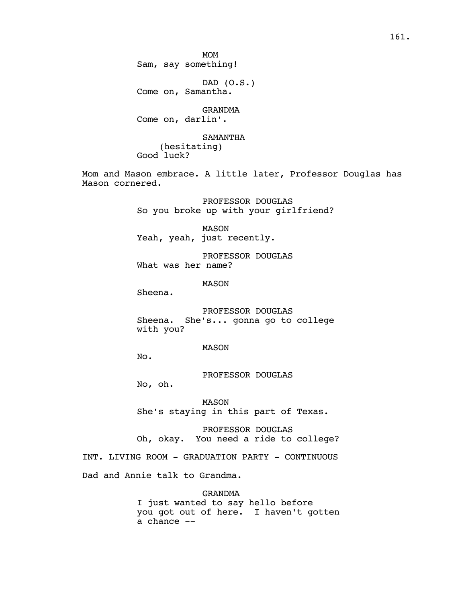MOM Sam, say something!

DAD (O.S.) Come on, Samantha.

GRANDMA Come on, darlin'.

SAMANTHA (hesitating) Good luck?

Mom and Mason embrace. A little later, Professor Douglas has Mason cornered.

> PROFESSOR DOUGLAS So you broke up with your girlfriend?

MASON Yeah, yeah, just recently.

PROFESSOR DOUGLAS What was her name?

MASON

Sheena.

PROFESSOR DOUGLAS Sheena. She's... gonna go to college with you?

MASON

No.

PROFESSOR DOUGLAS

No, oh.

MASON She's staying in this part of Texas.

PROFESSOR DOUGLAS Oh, okay. You need a ride to college?

INT. LIVING ROOM - GRADUATION PARTY - CONTINUOUS Dad and Annie talk to Grandma.

> GRANDMA I just wanted to say hello before you got out of here. I haven't gotten a chance --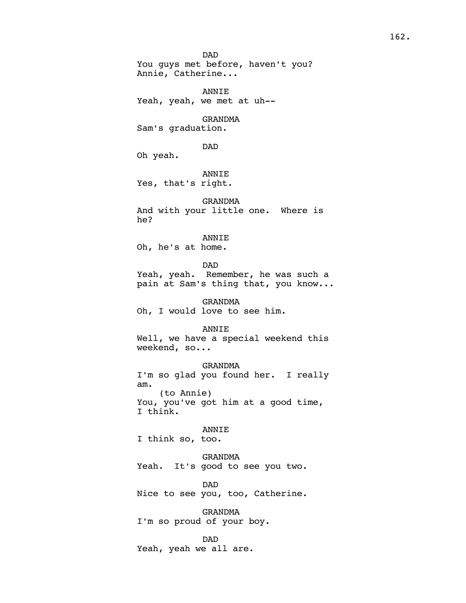DAD You guys met before, haven't you? Annie, Catherine... ANNIE Yeah, yeah, we met at uh-- GRANDMA Sam's graduation. DAD Oh yeah. ANNIE Yes, that's right. GRANDMA And with your little one. Where is he? ANNIE Oh, he's at home. DAD Yeah, yeah. Remember, he was such a pain at Sam's thing that, you know... GRANDMA Oh, I would love to see him. ANNIE Well, we have a special weekend this weekend, so... GRANDMA I'm so glad you found her. I really am. (to Annie) You, you've got him at a good time, I think. ANNIE I think so, too. GRANDMA Yeah. It's good to see you two. DAD Nice to see you, too, Catherine. GRANDMA I'm so proud of your boy.

DAD Yeah, yeah we all are.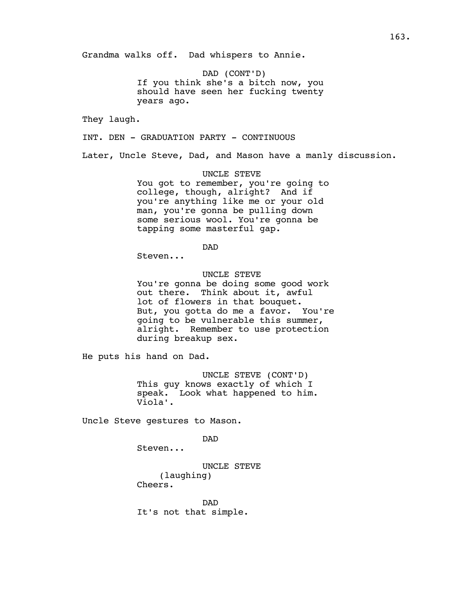Grandma walks off. Dad whispers to Annie.

DAD (CONT'D) If you think she's a bitch now, you should have seen her fucking twenty years ago.

They laugh.

INT. DEN - GRADUATION PARTY - CONTINUOUS

Later, Uncle Steve, Dad, and Mason have a manly discussion.

UNCLE STEVE You got to remember, you're going to college, though, alright? And if you're anything like me or your old man, you're gonna be pulling down some serious wool. You're gonna be tapping some masterful gap.

DAD

Steven...

UNCLE STEVE

You're gonna be doing some good work out there. Think about it, awful lot of flowers in that bouquet. But, you gotta do me a favor. You're going to be vulnerable this summer, alright. Remember to use protection during breakup sex.

He puts his hand on Dad.

UNCLE STEVE (CONT'D) This guy knows exactly of which I speak. Look what happened to him. Viola'.

Uncle Steve gestures to Mason.

DAD

Steven...

UNCLE STEVE (laughing) Cheers.

DAD It's not that simple.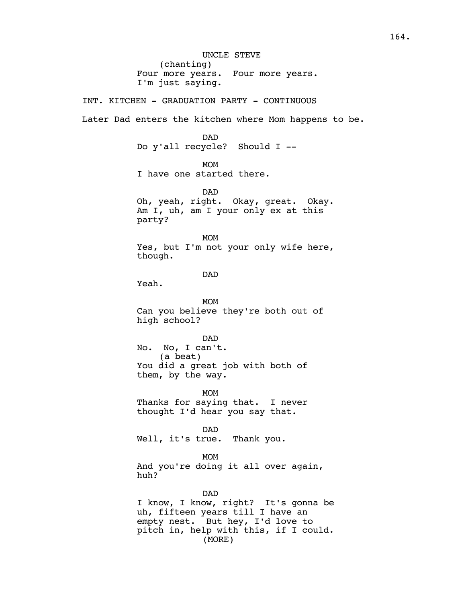UNCLE STEVE (chanting) Four more years. Four more years. I'm just saying.

INT. KITCHEN - GRADUATION PARTY - CONTINUOUS

Later Dad enters the kitchen where Mom happens to be.

DAD

Do y'all recycle? Should I --

MOM

I have one started there.

DAD

Oh, yeah, right. Okay, great. Okay. Am I, uh, am I your only ex at this party?

MOM

Yes, but I'm not your only wife here, though.

DAD

Yeah.

MOM Can you believe they're both out of high school?

DAD

No. No, I can't. (a beat) You did a great job with both of them, by the way.

MOM Thanks for saying that. I never thought I'd hear you say that.

DAD Well, it's true. Thank you.

MOM

And you're doing it all over again, huh?

DAD

I know, I know, right? It's gonna be uh, fifteen years till I have an empty nest. But hey, I'd love to pitch in, help with this, if I could. (MORE)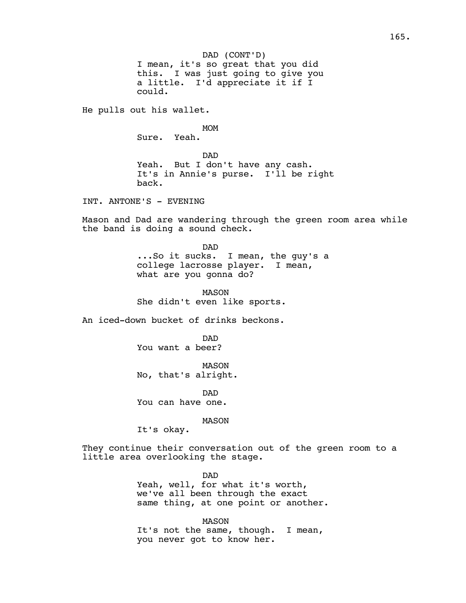DAD (CONT'D) I mean, it's so great that you did this. I was just going to give you a little. I'd appreciate it if I could.

He pulls out his wallet.

## MOM

Sure. Yeah.

DAD Yeah. But I don't have any cash. It's in Annie's purse. I'll be right back.

INT. ANTONE'S - EVENING

Mason and Dad are wandering through the green room area while the band is doing a sound check.

> DAD ...So it sucks. I mean, the guy's a college lacrosse player. I mean, what are you gonna do?

MASON She didn't even like sports.

An iced-down bucket of drinks beckons.

DAD You want a beer?

MASON No, that's alright.

DAD You can have one.

MASON

It's okay.

They continue their conversation out of the green room to a little area overlooking the stage.

> DAD Yeah, well, for what it's worth, we've all been through the exact same thing, at one point or another.

MASON It's not the same, though. I mean, you never got to know her.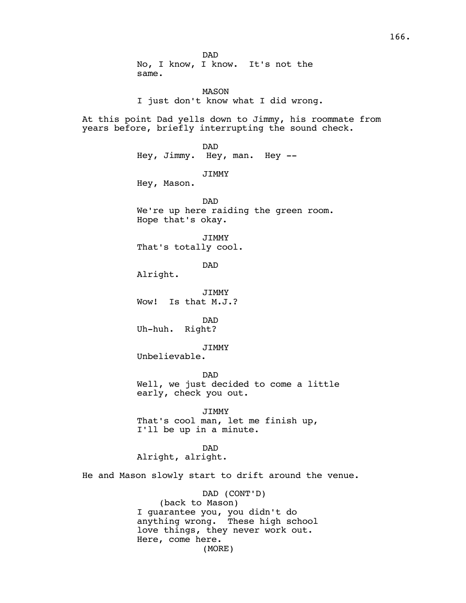DAD No, I know, I know. It's not the same.

MASON I just don't know what I did wrong.

At this point Dad yells down to Jimmy, his roommate from years before, briefly interrupting the sound check.

DAD

Hey, Jimmy. Hey, man. Hey --

JIMMY

Hey, Mason.

DAD We're up here raiding the green room. Hope that's okay.

JIMMY That's totally cool.

DAD

Alright.

JIMMY Wow! Is that M.J.?

DAD Uh-huh. Right?

JIMMY

Unbelievable.

DAD Well, we just decided to come a little early, check you out.

JIMMY That's cool man, let me finish up, I'll be up in a minute.

DAD

Alright, alright.

He and Mason slowly start to drift around the venue.

DAD (CONT'D) (back to Mason) I guarantee you, you didn't do anything wrong. These high school love things, they never work out. Here, come here. (MORE)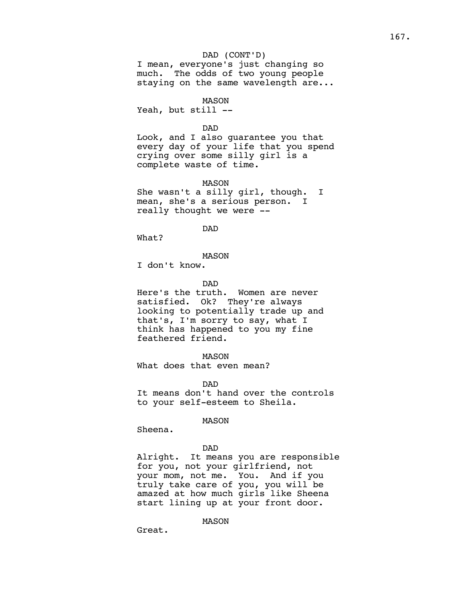## DAD (CONT'D)

I mean, everyone's just changing so much. The odds of two young people staying on the same wavelength are...

### MASON

Yeah, but still --

#### DAD

Look, and I also guarantee you that every day of your life that you spend crying over some silly girl is a complete waste of time.

MASON

She wasn't a silly girl, though. I mean, she's a serious person. I really thought we were --

DAD

What?

## MASON

I don't know.

DAD

Here's the truth. Women are never satisfied. Ok? They're always looking to potentially trade up and that's, I'm sorry to say, what I think has happened to you my fine feathered friend.

MASON What does that even mean?

DAD It means don't hand over the controls to your self-esteem to Sheila.

### MASON

Sheena.

#### DAD

Alright. It means you are responsible for you, not your girlfriend, not your mom, not me. You. And if you truly take care of you, you will be amazed at how much girls like Sheena start lining up at your front door.

MASON

Great.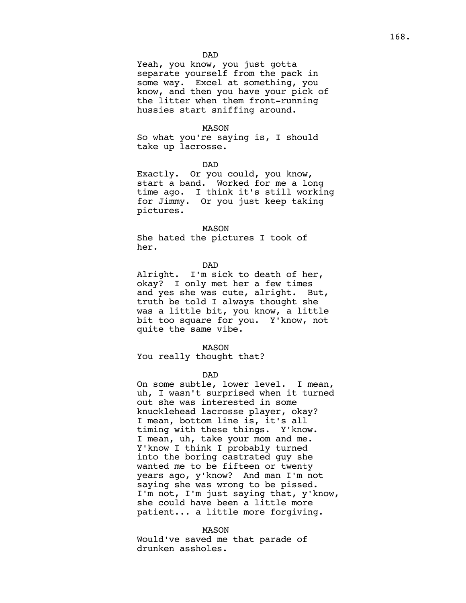## DAD

Yeah, you know, you just gotta separate yourself from the pack in some way. Excel at something, you know, and then you have your pick of the litter when them front-running hussies start sniffing around.

#### MASON

So what you're saying is, I should take up lacrosse.

#### DAD

Exactly. Or you could, you know, start a band. Worked for me a long time ago. I think it's still working for Jimmy. Or you just keep taking pictures.

#### MASON

She hated the pictures I took of her.

#### DAD

Alright. I'm sick to death of her, okay? I only met her a few times and yes she was cute, alright. But, truth be told I always thought she was a little bit, you know, a little bit too square for you. Y'know, not quite the same vibe.

#### MASON

You really thought that?

#### DAD

On some subtle, lower level. I mean, uh, I wasn't surprised when it turned out she was interested in some knucklehead lacrosse player, okay? I mean, bottom line is, it's all timing with these things. Y'know. I mean, uh, take your mom and me. Y'know I think I probably turned into the boring castrated guy she wanted me to be fifteen or twenty years ago, y'know? And man I'm not saying she was wrong to be pissed. I'm not, I'm just saying that, y'know, she could have been a little more patient... a little more forgiving.

### MASON

Would've saved me that parade of drunken assholes.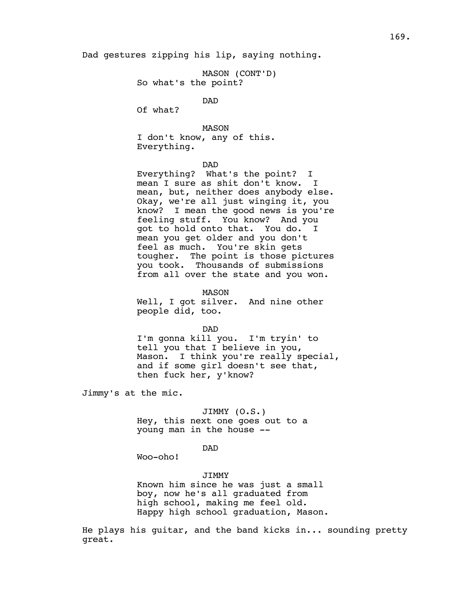Dad gestures zipping his lip, saying nothing.

MASON (CONT'D) So what's the point?

DAD

Of what?

MASON I don't know, any of this. Everything.

DAD

Everything? What's the point? I mean I sure as shit don't know. I mean, but, neither does anybody else. Okay, we're all just winging it, you know? I mean the good news is you're feeling stuff. You know? And you got to hold onto that. You do. I mean you get older and you don't feel as much. You're skin gets tougher. The point is those pictures you took. Thousands of submissions from all over the state and you won.

MASON

Well, I got silver. And nine other people did, too.

DAD

I'm gonna kill you. I'm tryin' to tell you that I believe in you, Mason. I think you're really special, and if some girl doesn't see that, then fuck her, y'know?

Jimmy's at the mic.

JIMMY (O.S.)

Hey, this next one goes out to a young man in the house --

DAD

Woo-oho!

JIMMY

Known him since he was just a small boy, now he's all graduated from high school, making me feel old. Happy high school graduation, Mason.

He plays his guitar, and the band kicks in... sounding pretty great.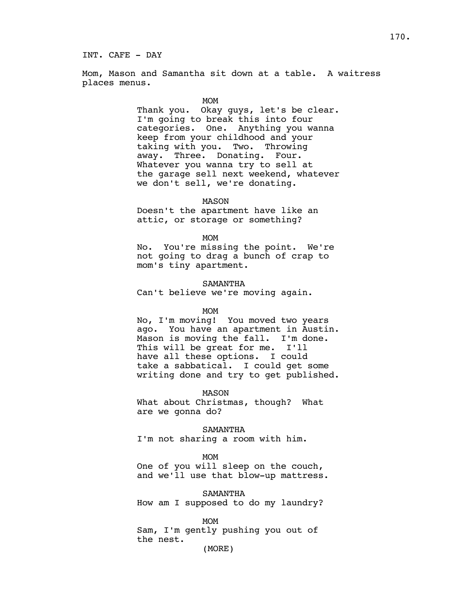Mom, Mason and Samantha sit down at a table. A waitress places menus.

MOM

Thank you. Okay guys, let's be clear. I'm going to break this into four categories. One. Anything you wanna keep from your childhood and your taking with you. Two. Throwing away. Three. Donating. Four. Whatever you wanna try to sell at the garage sell next weekend, whatever we don't sell, we're donating.

MASON

Doesn't the apartment have like an attic, or storage or something?

MOM

No. You're missing the point. We're not going to drag a bunch of crap to mom's tiny apartment.

SAMANTHA Can't believe we're moving again.

#### MOM

No, I'm moving! You moved two years ago. You have an apartment in Austin. Mason is moving the fall. I'm done. This will be great for me. I'll have all these options. I could take a sabbatical. I could get some writing done and try to get published.

MASON

What about Christmas, though? What are we gonna do?

SAMANTHA

I'm not sharing a room with him.

MOM

One of you will sleep on the couch, and we'll use that blow-up mattress.

SAMANTHA How am I supposed to do my laundry?

MOM Sam, I'm gently pushing you out of the nest.

(MORE)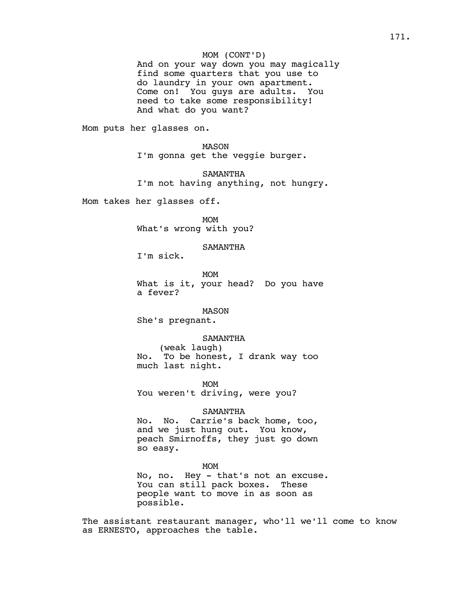### MOM (CONT'D)

And on your way down you may magically find some quarters that you use to do laundry in your own apartment. Come on! You guys are adults. You need to take some responsibility! And what do you want?

Mom puts her glasses on.

MASON I'm gonna get the veggie burger.

SAMANTHA I'm not having anything, not hungry.

Mom takes her glasses off.

MOM What's wrong with you?

## SAMANTHA

I'm sick.

MOM

What is it, your head? Do you have a fever?

MASON She's pregnant.

## SAMANTHA

(weak laugh) No. To be honest, I drank way too much last night.

MOM You weren't driving, were you?

#### SAMANTHA

No. No. Carrie's back home, too, and we just hung out. You know, peach Smirnoffs, they just go down so easy.

#### MOM

No, no. Hey - that's not an excuse. You can still pack boxes. These people want to move in as soon as possible.

The assistant restaurant manager, who'll we'll come to know as ERNESTO, approaches the table.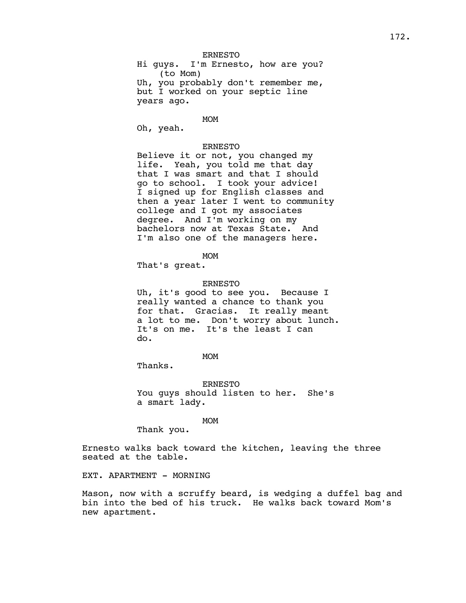## ERNESTO

Hi guys. I'm Ernesto, how are you? (to Mom) Uh, you probably don't remember me, but I worked on your septic line years ago.

MOM

Oh, yeah.

## ERNESTO

Believe it or not, you changed my life. Yeah, you told me that day that I was smart and that I should go to school. I took your advice! I signed up for English classes and then a year later I went to community college and I got my associates degree. And I'm working on my bachelors now at Texas State. And I'm also one of the managers here.

MOM

That's great.

#### ERNESTO

Uh, it's good to see you. Because I really wanted a chance to thank you for that. Gracias. It really meant a lot to me. Don't worry about lunch. It's on me. It's the least I can do.

## MOM

Thanks.

ERNESTO You guys should listen to her. She's a smart lady.

MOM

Thank you.

Ernesto walks back toward the kitchen, leaving the three seated at the table.

EXT. APARTMENT - MORNING

Mason, now with a scruffy beard, is wedging a duffel bag and bin into the bed of his truck. He walks back toward Mom's new apartment.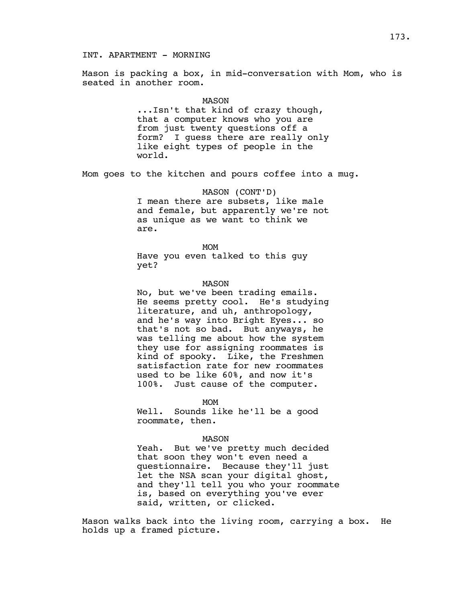### INT. APARTMENT - MORNING

Mason is packing a box, in mid-conversation with Mom, who is seated in another room.

## MASON

...Isn't that kind of crazy though, that a computer knows who you are from just twenty questions off a form? I guess there are really only like eight types of people in the world.

Mom goes to the kitchen and pours coffee into a mug.

MASON (CONT'D) I mean there are subsets, like male and female, but apparently we're not as unique as we want to think we are.

MOM

Have you even talked to this guy yet?

#### MASON

No, but we've been trading emails. He seems pretty cool. He's studying literature, and uh, anthropology, and he's way into Bright Eyes... so that's not so bad. But anyways, he was telling me about how the system they use for assigning roommates is kind of spooky. Like, the Freshmen satisfaction rate for new roommates used to be like 60%, and now it's 100%. Just cause of the computer.

#### MOM

Well. Sounds like he'll be a good roommate, then.

#### MASON

Yeah. But we've pretty much decided that soon they won't even need a questionnaire. Because they'll just let the NSA scan your digital ghost, and they'll tell you who your roommate is, based on everything you've ever said, written, or clicked.

Mason walks back into the living room, carrying a box. He holds up a framed picture.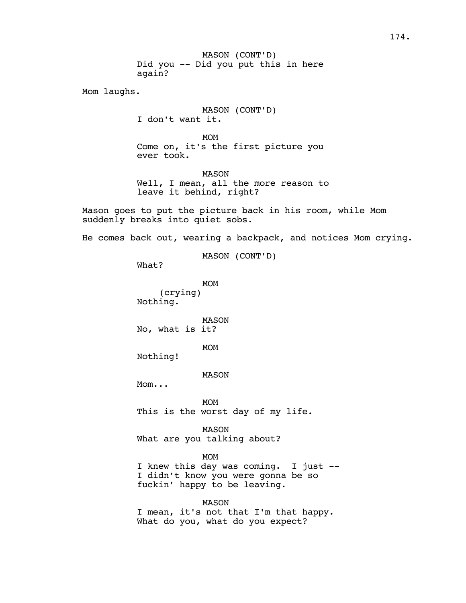MASON (CONT'D) Did you -- Did you put this in here again?

Mom laughs.

## MASON (CONT'D) I don't want it.

MOM Come on, it's the first picture you ever took.

MASON Well, I mean, all the more reason to leave it behind, right?

Mason goes to put the picture back in his room, while Mom suddenly breaks into quiet sobs.

He comes back out, wearing a backpack, and notices Mom crying.

```
MASON (CONT'D)
```
What?

MOM (crying)

Nothing.

MASON No, what is it?

MOM

Nothing!

MASON

Mom...

MOM This is the worst day of my life.

MASON What are you talking about?

MOM

I knew this day was coming. I just -- I didn't know you were gonna be so fuckin' happy to be leaving.

MASON I mean, it's not that I'm that happy. What do you, what do you expect?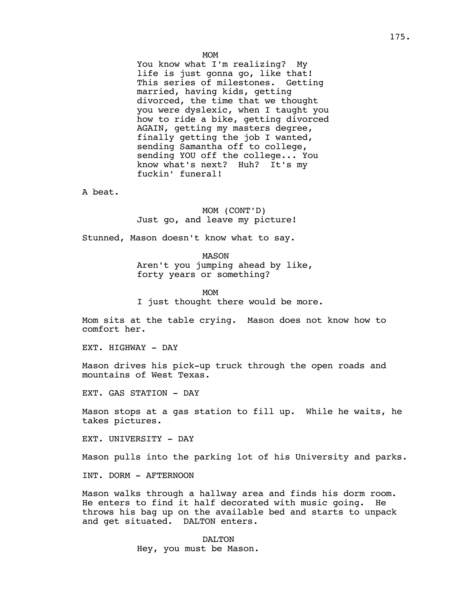You know what I'm realizing? My life is just gonna go, like that! This series of milestones. Getting married, having kids, getting divorced, the time that we thought you were dyslexic, when I taught you how to ride a bike, getting divorced AGAIN, getting my masters degree, finally getting the job I wanted, sending Samantha off to college, sending YOU off the college... You know what's next? Huh? It's my fuckin' funeral!

A beat.

## MOM (CONT'D) Just go, and leave my picture!

Stunned, Mason doesn't know what to say.

MASON Aren't you jumping ahead by like, forty years or something?

MOM I just thought there would be more.

Mom sits at the table crying. Mason does not know how to comfort her.

EXT. HIGHWAY - DAY

Mason drives his pick-up truck through the open roads and mountains of West Texas.

EXT. GAS STATION - DAY

Mason stops at a gas station to fill up. While he waits, he takes pictures.

EXT. UNIVERSITY - DAY

Mason pulls into the parking lot of his University and parks.

INT. DORM - AFTERNOON

Mason walks through a hallway area and finds his dorm room. He enters to find it half decorated with music going. He throws his bag up on the available bed and starts to unpack and get situated. DALTON enters.

> DALTON Hey, you must be Mason.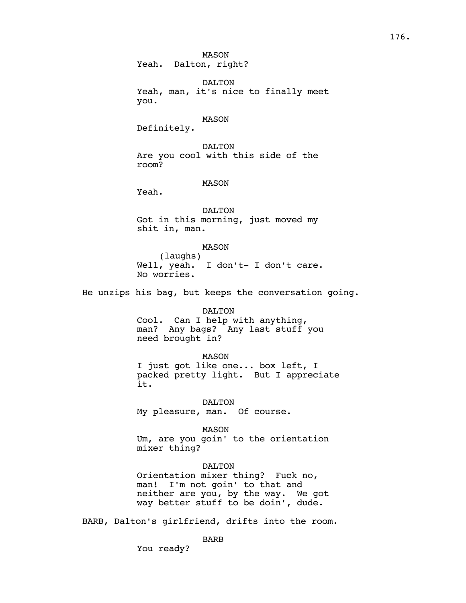MASON Yeah. Dalton, right?

DALTON Yeah, man, it's nice to finally meet you.

## MASON

Definitely.

DALTON Are you cool with this side of the room?

### MASON

Yeah.

DALTON Got in this morning, just moved my shit in, man.

## MASON

(laughs) Well, yeah. I don't- I don't care. No worries.

He unzips his bag, but keeps the conversation going.

### DALTON

Cool. Can I help with anything, man? Any bags? Any last stuff you need brought in?

#### MASON

I just got like one... box left, I packed pretty light. But I appreciate it.

DALTON My pleasure, man. Of course.

### MASON

Um, are you goin' to the orientation mixer thing?

### DALTON

Orientation mixer thing? Fuck no, man! I'm not goin' to that and neither are you, by the way. We got way better stuff to be doin', dude.

BARB, Dalton's girlfriend, drifts into the room.

BARB

You ready?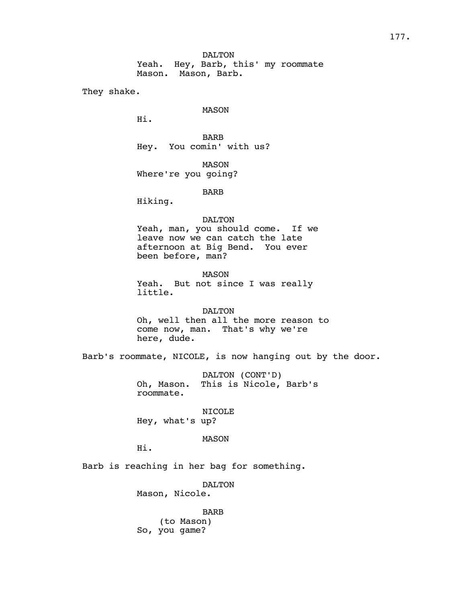They shake.

### MASON

Hi.

BARB Hey. You comin' with us?

MASON Where're you going?

BARB

Hiking.

## DALTON

Yeah, man, you should come. If we leave now we can catch the late afternoon at Big Bend. You ever been before, man?

MASON Yeah. But not since I was really little.

#### DALTON

Oh, well then all the more reason to come now, man. That's why we're here, dude.

Barb's roommate, NICOLE, is now hanging out by the door.

DALTON (CONT'D) Oh, Mason. This is Nicole, Barb's roommate.

NICOLE Hey, what's up?

## MASON

Hi.

Barb is reaching in her bag for something.

DALTON Mason, Nicole.

BARB (to Mason) So, you game?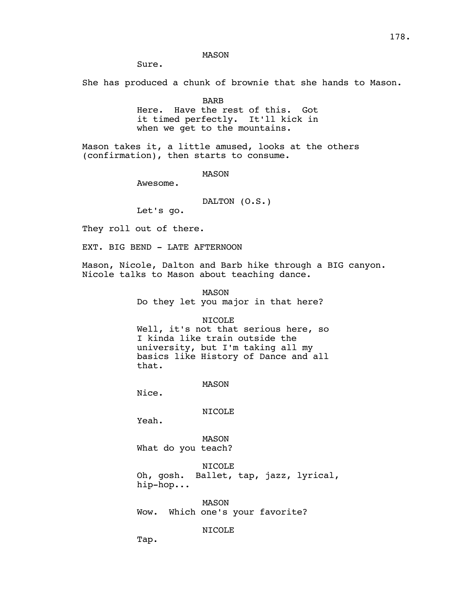MASON

Sure.

She has produced a chunk of brownie that she hands to Mason.

BARB

Here. Have the rest of this. Got it timed perfectly. It'll kick in when we get to the mountains.

Mason takes it, a little amused, looks at the others (confirmation), then starts to consume.

MASON

Awesome.

DALTON (O.S.)

Let's go.

They roll out of there.

EXT. BIG BEND - LATE AFTERNOON

Mason, Nicole, Dalton and Barb hike through a BIG canyon. Nicole talks to Mason about teaching dance.

MASON

Do they let you major in that here?

NICOLE

Well, it's not that serious here, so I kinda like train outside the university, but I'm taking all my basics like History of Dance and all that.

MASON

Nice.

NICOLE

Yeah.

MASON What do you teach?

NICOLE Oh, gosh. Ballet, tap, jazz, lyrical, hip-hop...

MASON Wow. Which one's your favorite?

NICOLE

Tap.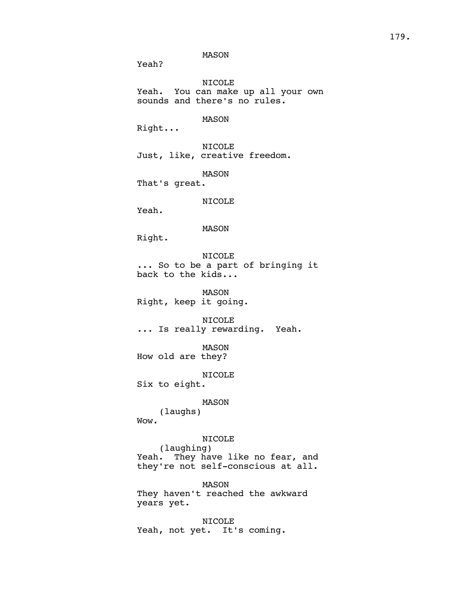MASON

Yeah?

NICOLE Yeah. You can make up all your own sounds and there's no rules.

MASON

Right...

NICOLE Just, like, creative freedom.

MASON

That's great.

NICOLE

Yeah.

## MASON

Right.

NICOLE ... So to be a part of bringing it back to the kids...

MASON Right, keep it going.

NICOLE ... Is really rewarding. Yeah.

MASON

How old are they?

NICOLE

Six to eight.

## MASON

(laughs) Wow.

### NICOLE

(laughing)<br>Yeah. They hay They have like no fear, and they're not self-conscious at all.

MASON They haven't reached the awkward years yet.

NICOLE Yeah, not yet. It's coming.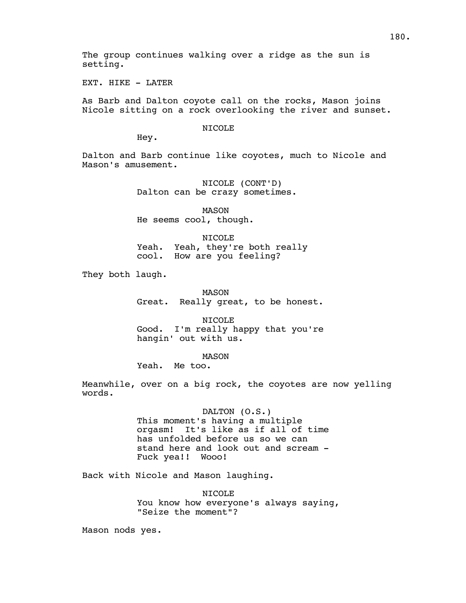EXT. HIKE - LATER

As Barb and Dalton coyote call on the rocks, Mason joins Nicole sitting on a rock overlooking the river and sunset.

## NICOLE

Hey.

Dalton and Barb continue like coyotes, much to Nicole and Mason's amusement.

> NICOLE (CONT'D) Dalton can be crazy sometimes.

MASON He seems cool, though.

NICOLE Yeah. Yeah, they're both really<br>cool. How are you feeling? How are you feeling?

They both laugh.

MASON Great. Really great, to be honest.

NICOLE Good. I'm really happy that you're hangin' out with us.

MASON

Yeah. Me too.

Meanwhile, over on a big rock, the coyotes are now yelling words.

> DALTON (O.S.) This moment's having a multiple orgasm! It's like as if all of time has unfolded before us so we can stand here and look out and scream - Fuck yea!! Wooo!

Back with Nicole and Mason laughing.

NICOLE You know how everyone's always saying, "Seize the moment"?

Mason nods yes.